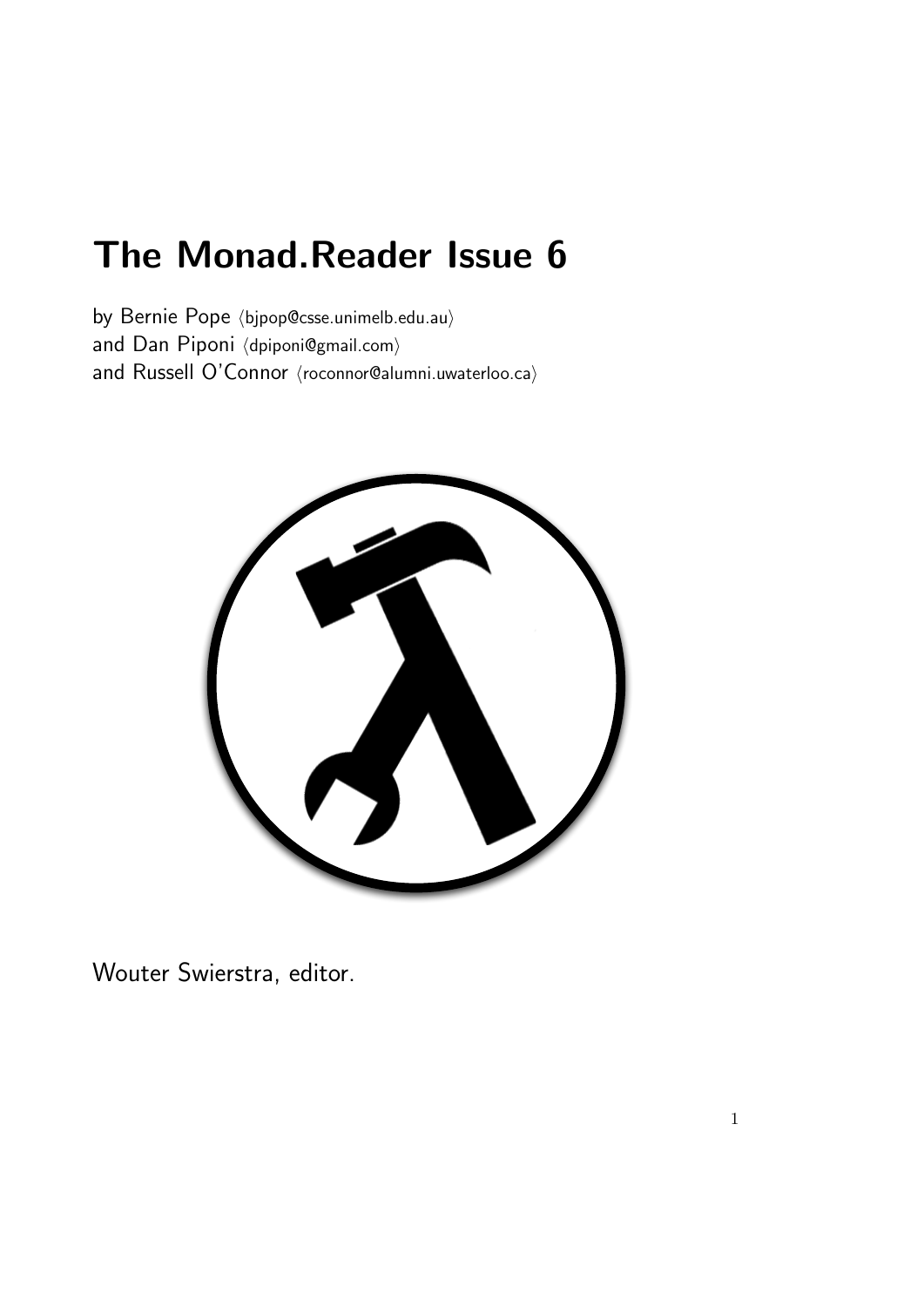<span id="page-0-0"></span>by Bernie Pope (bjpop@csse.unimelb.edu.au) and Dan Piponi  $\langle$ dpiponi@gmail.com $\rangle$ and Russell O'Connor  $\langle$ roconnor@alumni.uwaterloo.ca $\rangle$ 



Wouter Swierstra, editor.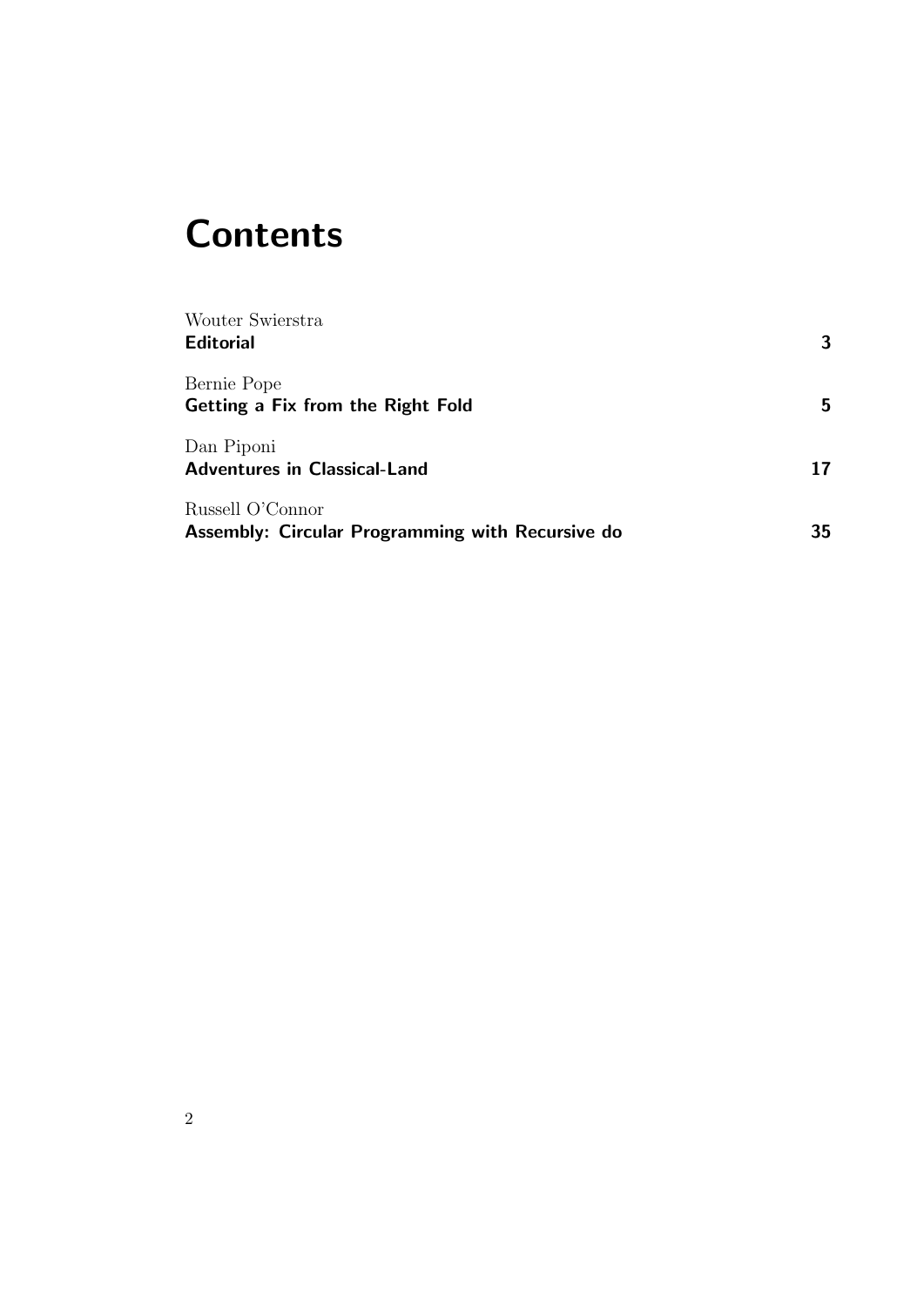# **Contents**

| 3  |
|----|
|    |
| 5  |
|    |
| 17 |
|    |
| 35 |
|    |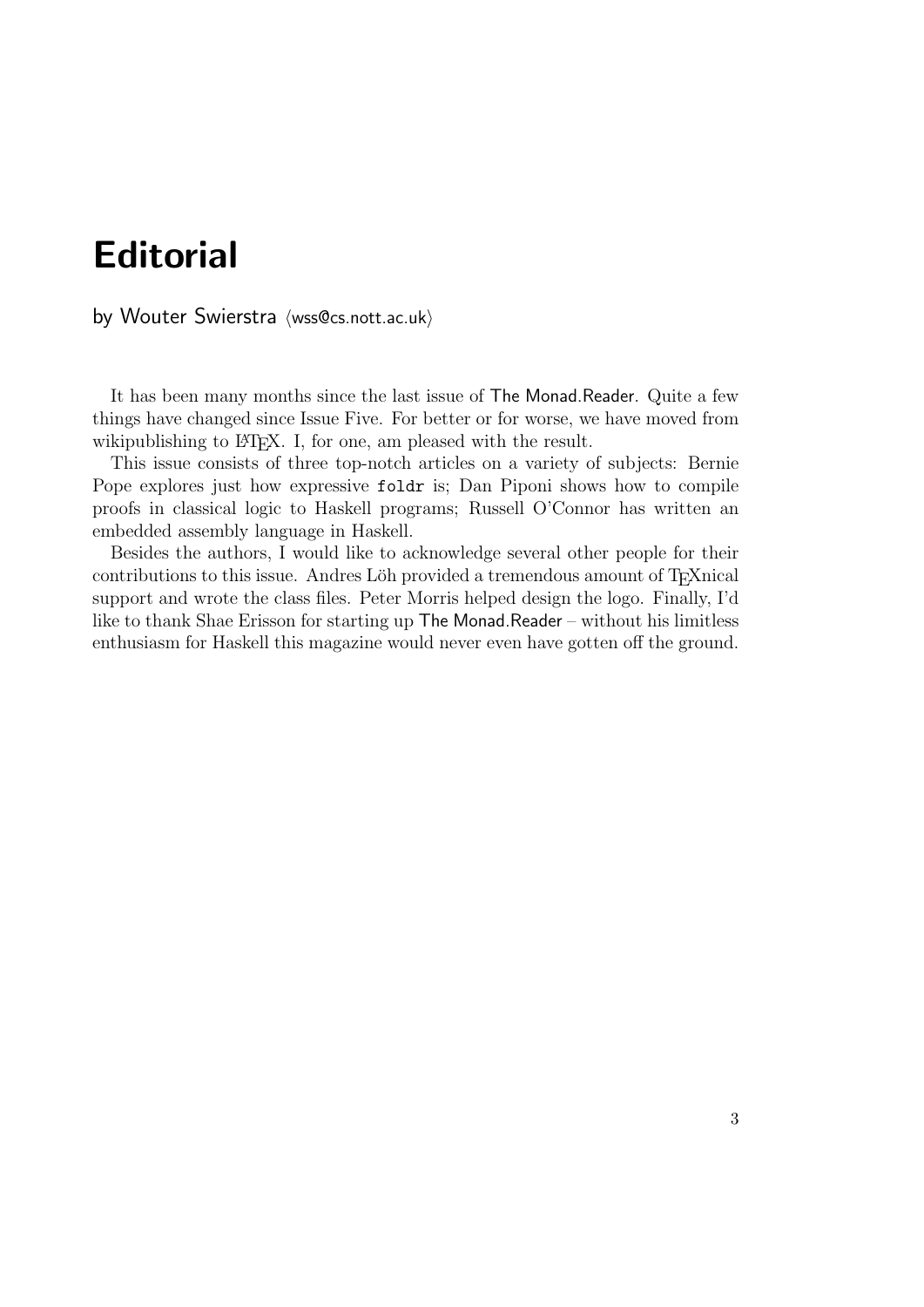# Editorial

by Wouter Swierstra (wss@cs.nott.ac.uk)

<span id="page-2-0"></span>It has been many months since the last issue of The Monad.Reader. Quite a few things have changed since Issue Five. For better or for worse, we have moved from wikipublishing to LAT<sub>EX</sub>. I, for one, am pleased with the result.

This issue consists of three top-notch articles on a variety of subjects: Bernie Pope explores just how expressive foldr is; Dan Piponi shows how to compile proofs in classical logic to Haskell programs; Russell O'Connor has written an embedded assembly language in Haskell.

Besides the authors, I would like to acknowledge several other people for their contributions to this issue. Andres Löh provided a tremendous amount of T<sub>E</sub>Xnical support and wrote the class files. Peter Morris helped design the logo. Finally, I'd like to thank Shae Erisson for starting up The Monad.Reader – without his limitless enthusiasm for Haskell this magazine would never even have gotten off the ground.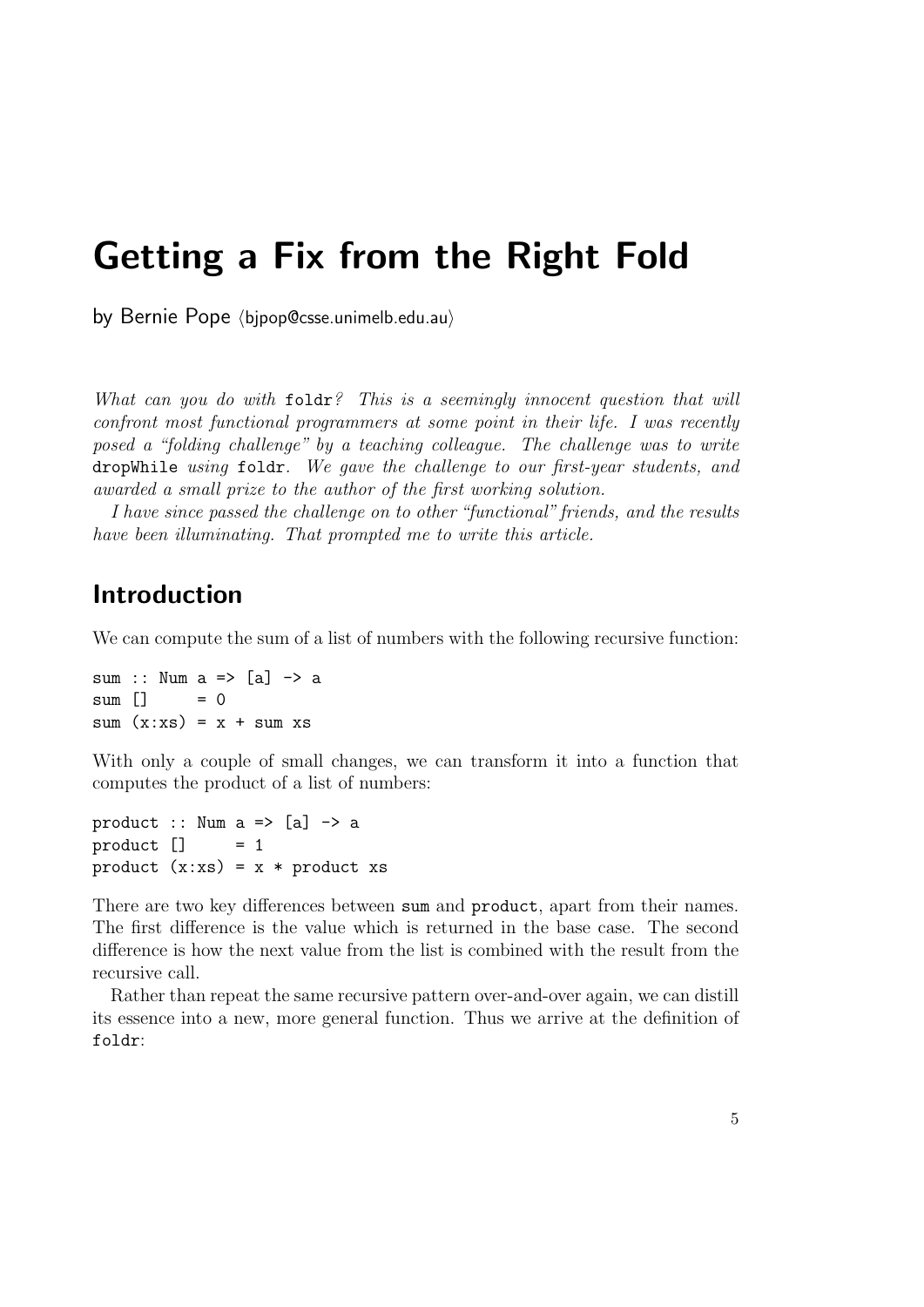## Getting a Fix from the Right Fold

by Bernie Pope (bipop@csse.unimelb.edu.au)

<span id="page-4-0"></span>What can you do with foldr? This is a seemingly innocent question that will confront most functional programmers at some point in their life. I was recently posed a "folding challenge" by a teaching colleague. The challenge was to write dropWhile using foldr. We gave the challenge to our first-year students, and awarded a small prize to the author of the first working solution.

I have since passed the challenge on to other "functional" friends, and the results have been illuminating. That prompted me to write this article.

#### Introduction

We can compute the sum of a list of numbers with the following recursive function:

sum :: Num  $a \Rightarrow [a] \rightarrow a$  $sum \space 0$  = 0  $sum (x:xs) = x + sum xs$ 

With only a couple of small changes, we can transform it into a function that computes the product of a list of numbers:

product :: Num  $a \Rightarrow [a] \rightarrow a$ product  $[] = 1$ product  $(x:xs) = x * product xs$ 

There are two key differences between sum and product, apart from their names. The first difference is the value which is returned in the base case. The second difference is how the next value from the list is combined with the result from the recursive call.

Rather than repeat the same recursive pattern over-and-over again, we can distill its essence into a new, more general function. Thus we arrive at the definition of foldr: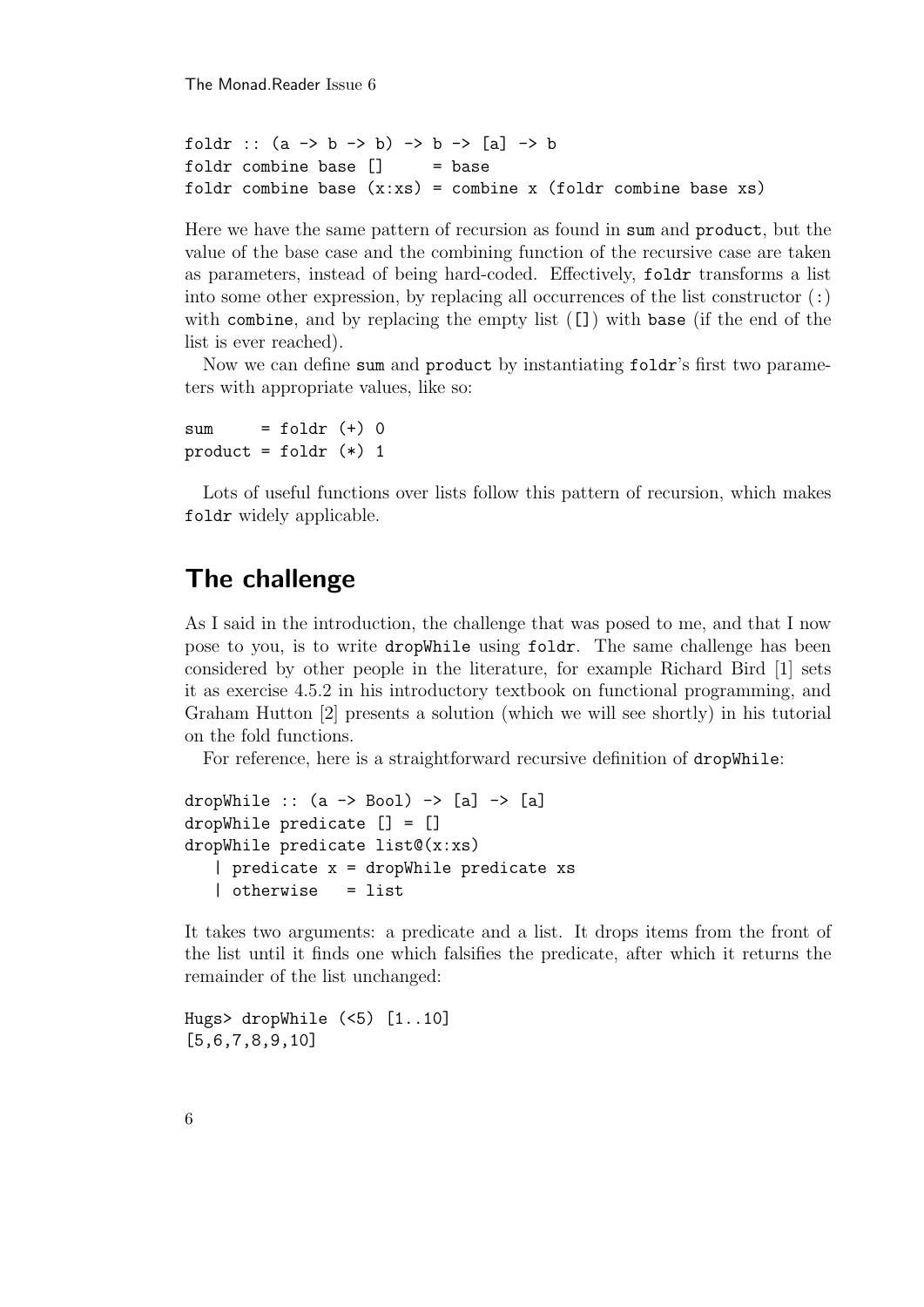```
foldr :: (a \rightarrow b \rightarrow b) \rightarrow b \rightarrow [a] \rightarrow bfoldr combine base \lceil \rceil = base
foldr combine base (x:xs) = combine x (foldr combine base xs)
```
Here we have the same pattern of recursion as found in sum and product, but the value of the base case and the combining function of the recursive case are taken as parameters, instead of being hard-coded. Effectively, foldr transforms a list into some other expression, by replacing all occurrences of the list constructor (:) with combine, and by replacing the empty list  $(1)$  with base (if the end of the list is ever reached).

Now we can define sum and product by instantiating foldr's first two parameters with appropriate values, like so:

```
sum = foldr (+) 0product = foldr (*) 1
```
Lots of useful functions over lists follow this pattern of recursion, which makes foldr widely applicable.

### The challenge

As I said in the introduction, the challenge that was posed to me, and that I now pose to you, is to write dropWhile using foldr. The same challenge has been considered by other people in the literature, for example Richard Bird [\[1\]](#page-14-0) sets it as exercise 4.5.2 in his introductory textbook on functional programming, and Graham Hutton [\[2\]](#page-14-1) presents a solution (which we will see shortly) in his tutorial on the fold functions.

For reference, here is a straightforward recursive definition of dropWhile:

```
dropWhile :: (a \rightarrow Bool) \rightarrow [a] \rightarrow [a]dropWhile predicate [] = []
dropWhile predicate list@(x:xs)
   | predicate x = dropWhile predicate xs
   | otherwise = list
```
It takes two arguments: a predicate and a list. It drops items from the front of the list until it finds one which falsifies the predicate, after which it returns the remainder of the list unchanged:

Hugs> dropWhile (<5) [1..10] [5,6,7,8,9,10]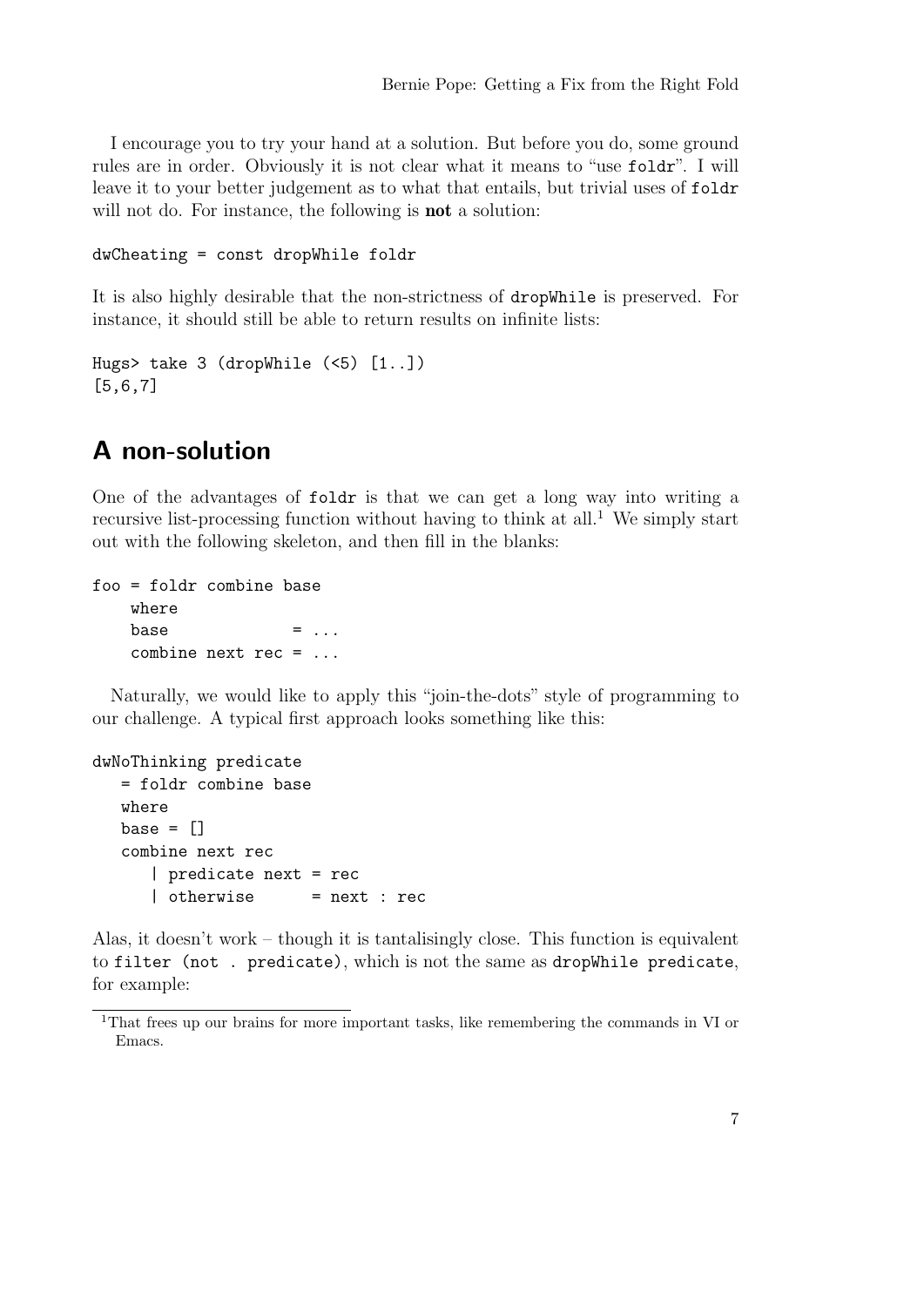I encourage you to try your hand at a solution. But before you do, some ground rules are in order. Obviously it is not clear what it means to "use foldr". I will leave it to your better judgement as to what that entails, but trivial uses of foldr will not do. For instance, the following is **not** a solution:

```
dwCheating = const dropWhile foldr
```
It is also highly desirable that the non-strictness of dropWhile is preserved. For instance, it should still be able to return results on infinite lists:

```
Hugs> take 3 (dropWhile (<5) [1..])
[5,6,7]
```
#### A non-solution

One of the advantages of foldr is that we can get a long way into writing a recursive list-processing function without having to think at all.<sup>[1](#page-0-0)</sup> We simply start out with the following skeleton, and then fill in the blanks:

```
foo = foldr combine base
   where
   base = ...
   combine next rec = ...
```
Naturally, we would like to apply this "join-the-dots" style of programming to our challenge. A typical first approach looks something like this:

```
dwNoThinking predicate
  = foldr combine base
  where
  base = []combine next rec
      | predicate next = rec
      | otherwise = next : rec
```
Alas, it doesn't work – though it is tantalisingly close. This function is equivalent to filter (not . predicate), which is not the same as dropWhile predicate, for example:

<sup>1</sup>That frees up our brains for more important tasks, like remembering the commands in VI or Emacs.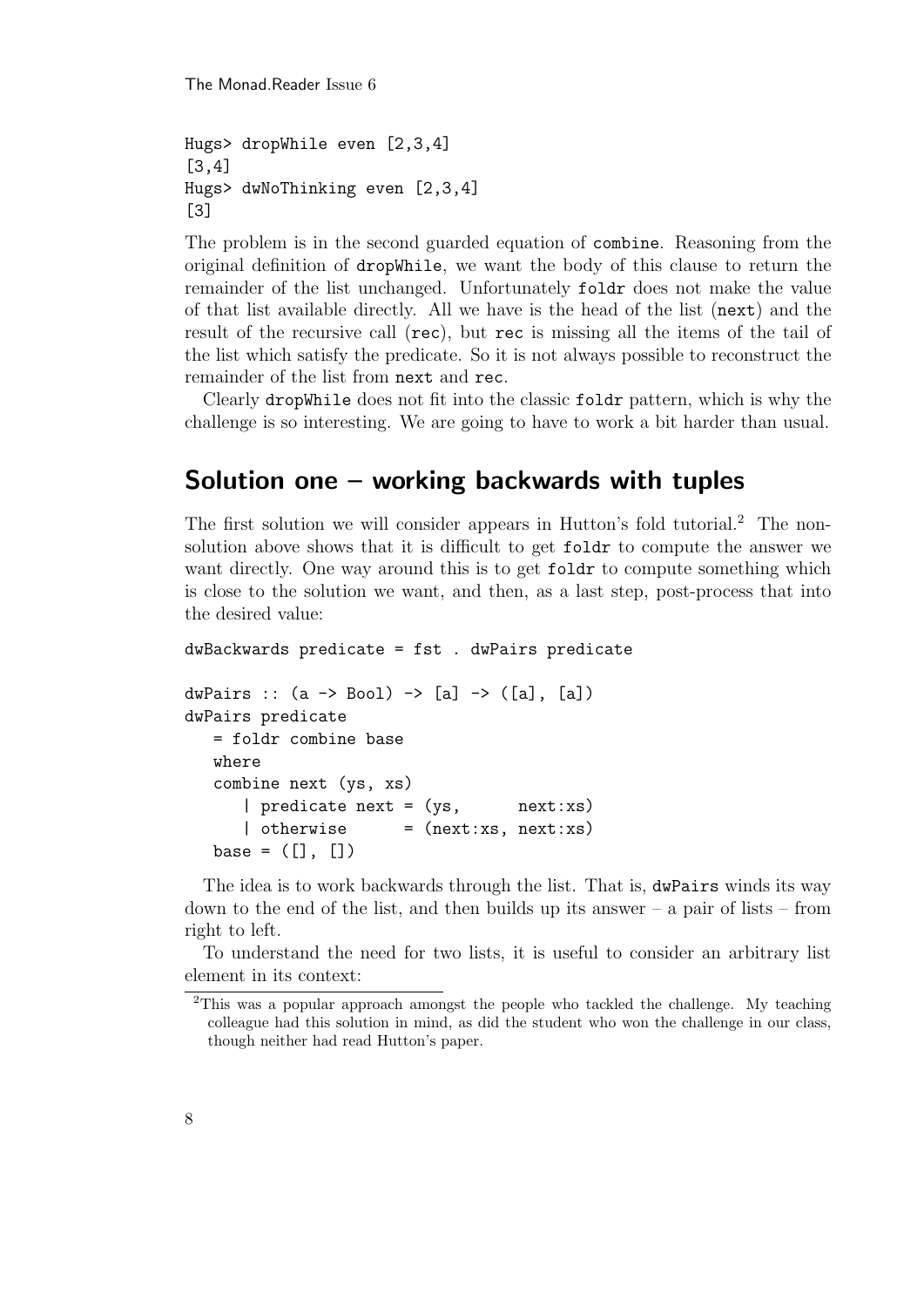Hugs> dropWhile even [2,3,4] [3,4] Hugs> dwNoThinking even [2,3,4] [3]

The problem is in the second guarded equation of combine. Reasoning from the original definition of dropWhile, we want the body of this clause to return the remainder of the list unchanged. Unfortunately foldr does not make the value of that list available directly. All we have is the head of the list (next) and the result of the recursive call (rec), but rec is missing all the items of the tail of the list which satisfy the predicate. So it is not always possible to reconstruct the remainder of the list from next and rec.

Clearly dropWhile does not fit into the classic foldr pattern, which is why the challenge is so interesting. We are going to have to work a bit harder than usual.

#### Solution one – working backwards with tuples

The first solution we will consider appears in Hutton's fold tutorial.<sup>[2](#page-0-0)</sup> The nonsolution above shows that it is difficult to get foldr to compute the answer we want directly. One way around this is to get **foldr** to compute something which is close to the solution we want, and then, as a last step, post-process that into the desired value:

```
dwBackwards predicate = fst . dwPairs predicate
dwPairs :: (a \rightarrow Bool) \rightarrow [a] \rightarrow ([a], [a])dwPairs predicate
   = foldr combine base
   where
   combine next (ys, xs)
      | predicate next = (ys, next:xs)
      | otherwise = (next:xs, next:xs)base = ([], [])
```
The idea is to work backwards through the list. That is, dwPairs winds its way down to the end of the list, and then builds up its answer – a pair of lists – from right to left.

To understand the need for two lists, it is useful to consider an arbitrary list element in its context:

<sup>2</sup>This was a popular approach amongst the people who tackled the challenge. My teaching colleague had this solution in mind, as did the student who won the challenge in our class, though neither had read Hutton's paper.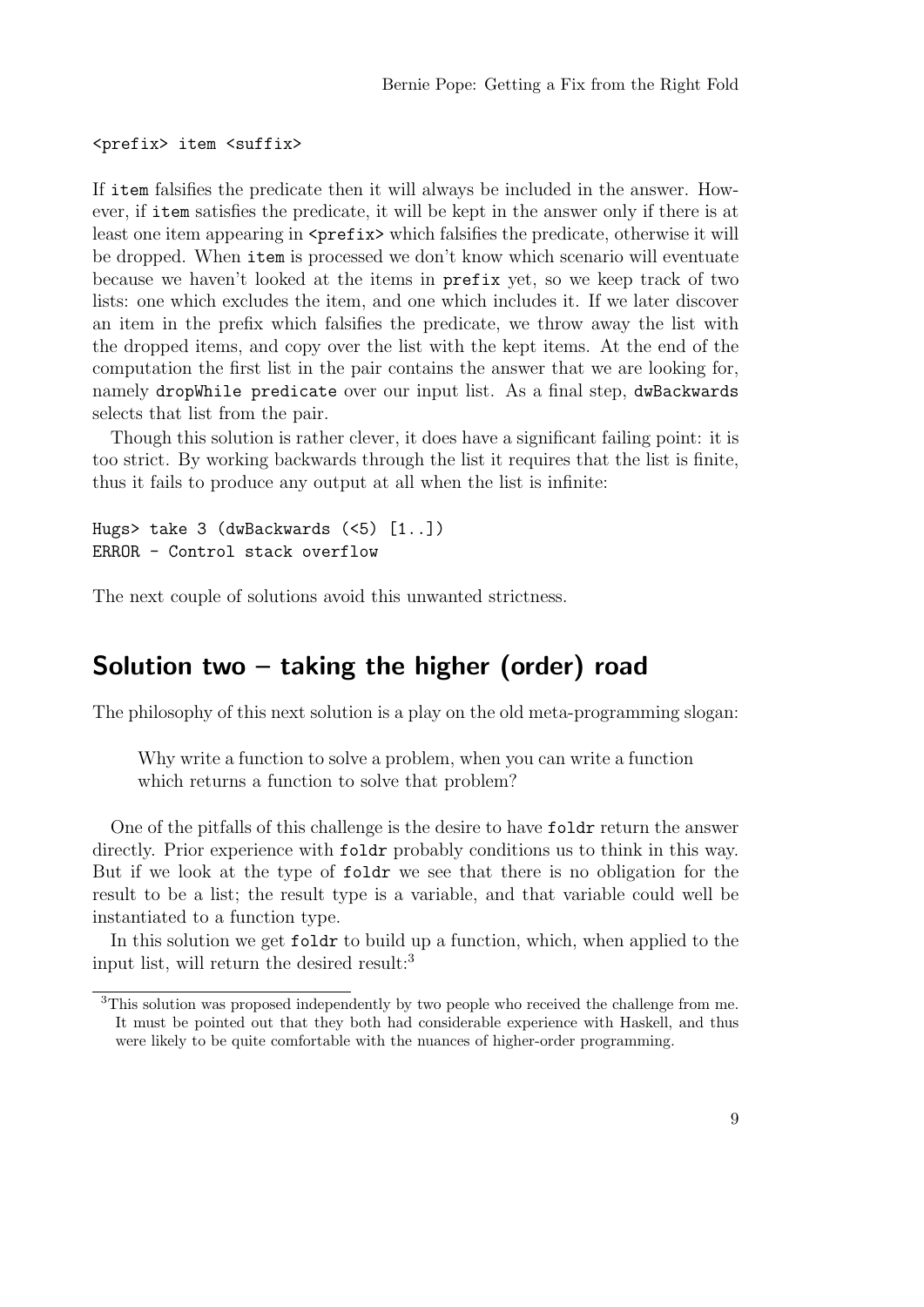<prefix> item <suffix>

If item falsifies the predicate then it will always be included in the answer. However, if item satisfies the predicate, it will be kept in the answer only if there is at least one item appearing in  $\epsilon$ **prefix** which falsifies the predicate, otherwise it will be dropped. When item is processed we don't know which scenario will eventuate because we haven't looked at the items in prefix yet, so we keep track of two lists: one which excludes the item, and one which includes it. If we later discover an item in the prefix which falsifies the predicate, we throw away the list with the dropped items, and copy over the list with the kept items. At the end of the computation the first list in the pair contains the answer that we are looking for, namely dropWhile predicate over our input list. As a final step, dwBackwards selects that list from the pair.

Though this solution is rather clever, it does have a significant failing point: it is too strict. By working backwards through the list it requires that the list is finite, thus it fails to produce any output at all when the list is infinite:

```
Hugs> take 3 (dwBackwards (<5) [1..])
ERROR - Control stack overflow
```
The next couple of solutions avoid this unwanted strictness.

#### Solution two – taking the higher (order) road

The philosophy of this next solution is a play on the old meta-programming slogan:

Why write a function to solve a problem, when you can write a function which returns a function to solve that problem?

One of the pitfalls of this challenge is the desire to have foldr return the answer directly. Prior experience with foldr probably conditions us to think in this way. But if we look at the type of foldr we see that there is no obligation for the result to be a list; the result type is a variable, and that variable could well be instantiated to a function type.

In this solution we get folder to build up a function, which, when applied to the input list, will return the desired result: $3$ 

<sup>&</sup>lt;sup>3</sup>This solution was proposed independently by two people who received the challenge from me. It must be pointed out that they both had considerable experience with Haskell, and thus were likely to be quite comfortable with the nuances of higher-order programming.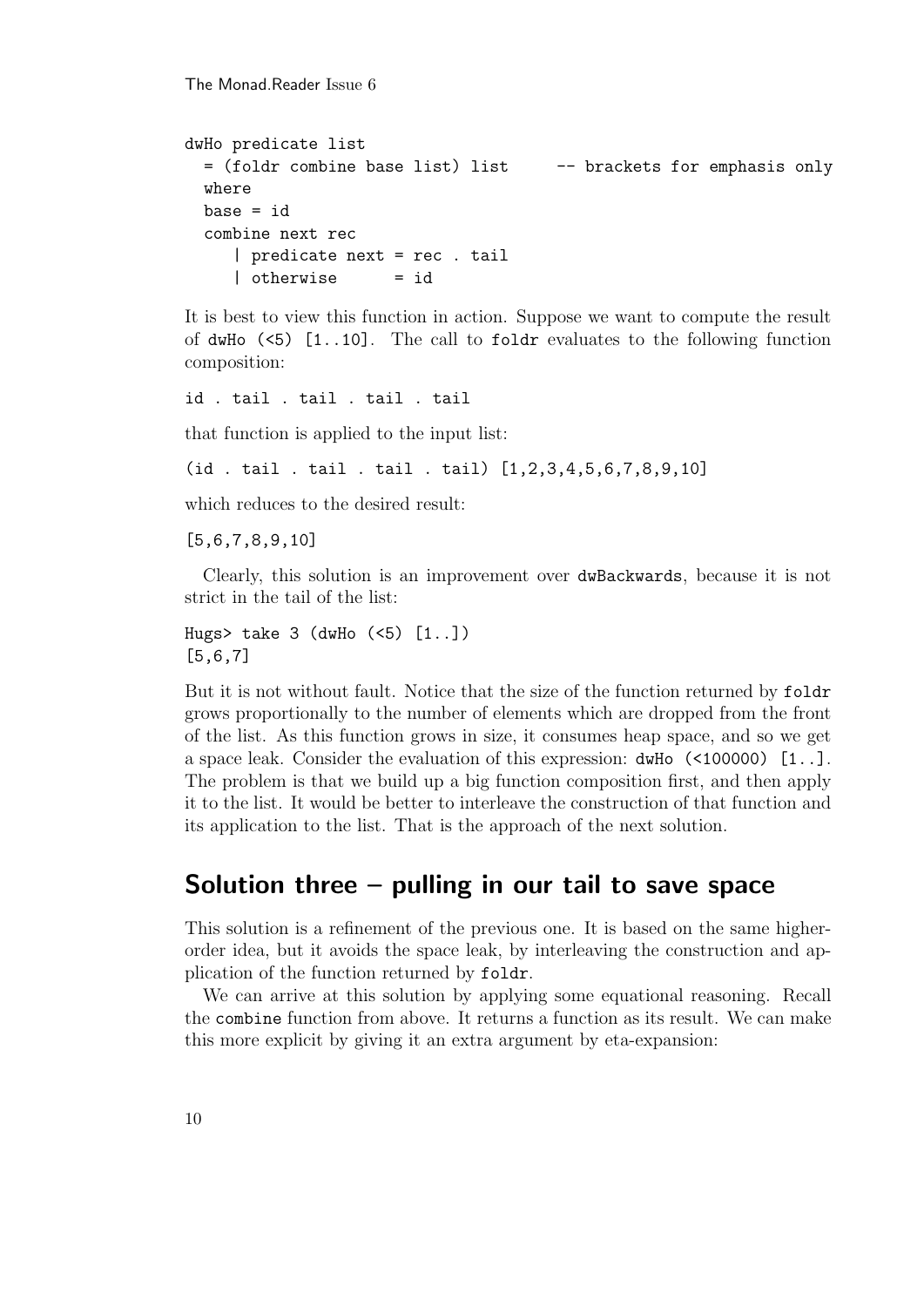```
dwHo predicate list
 = (foldr combine base list) list -- brackets for emphasis only
 where
 base = idcombine next rec
    | predicate next = rec . tail
    | otherwise = id
```
It is best to view this function in action. Suppose we want to compute the result of dwHo  $(\leq 5)$  [1..10]. The call to folder evaluates to the following function composition:

id . tail . tail . tail . tail

that function is applied to the input list:

(id . tail . tail . tail . tail) [1,2,3,4,5,6,7,8,9,10]

which reduces to the desired result:

[5,6,7,8,9,10]

Clearly, this solution is an improvement over dwBackwards, because it is not strict in the tail of the list:

```
Hugs> take 3 (dwHo (<5) [1..])
[5,6,7]
```
But it is not without fault. Notice that the size of the function returned by foldr grows proportionally to the number of elements which are dropped from the front of the list. As this function grows in size, it consumes heap space, and so we get a space leak. Consider the evaluation of this expression: dwHo (<100000) [1..]. The problem is that we build up a big function composition first, and then apply it to the list. It would be better to interleave the construction of that function and its application to the list. That is the approach of the next solution.

#### Solution three – pulling in our tail to save space

This solution is a refinement of the previous one. It is based on the same higherorder idea, but it avoids the space leak, by interleaving the construction and application of the function returned by foldr.

We can arrive at this solution by applying some equational reasoning. Recall the combine function from above. It returns a function as its result. We can make this more explicit by giving it an extra argument by eta-expansion: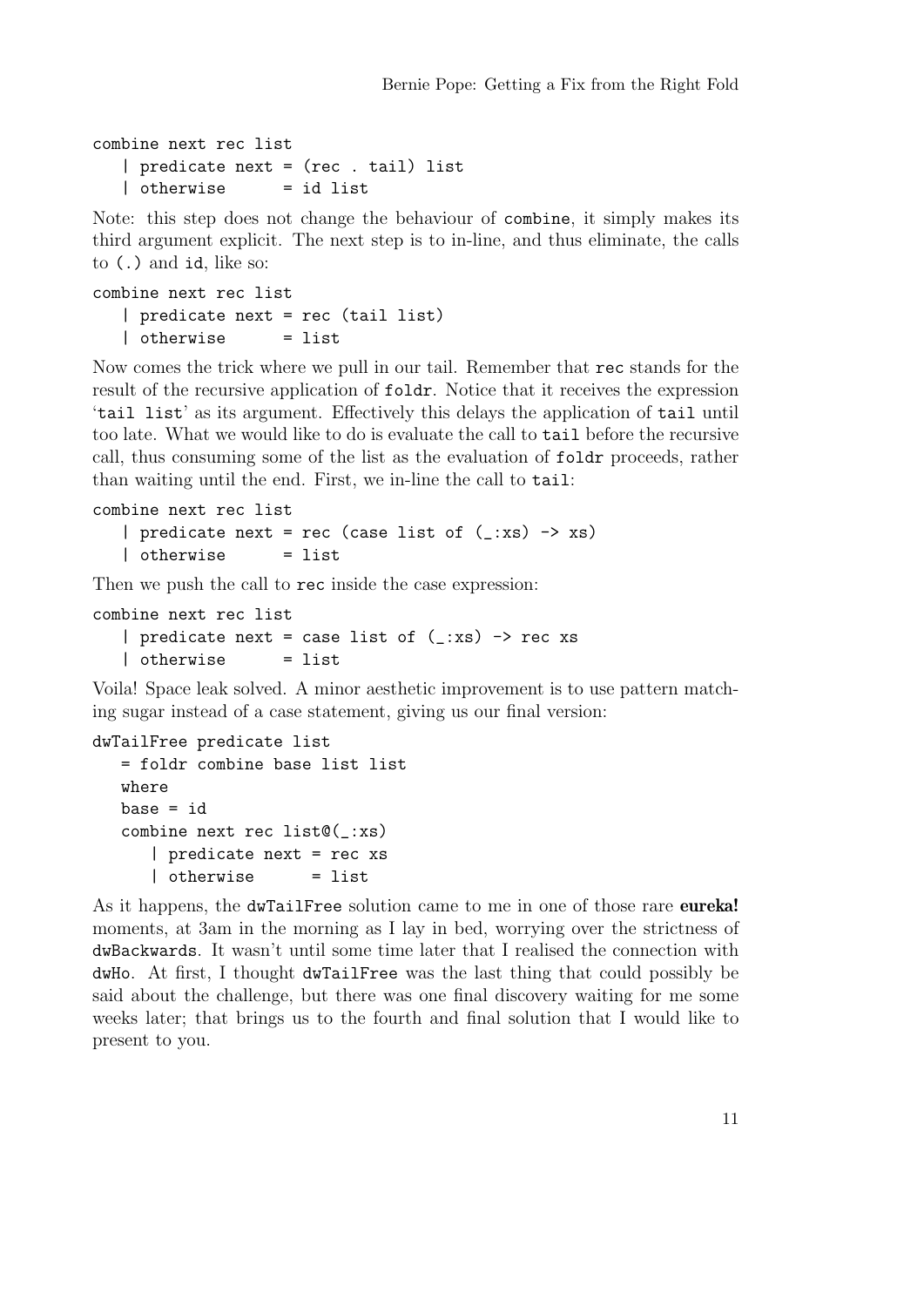```
combine next rec list
   | predicate next = (rec . tail) list
   | otherwise = id list
```
Note: this step does not change the behaviour of combine, it simply makes its third argument explicit. The next step is to in-line, and thus eliminate, the calls to (.) and id, like so:

```
combine next rec list
   | predicate next = rec (tail list)
   | otherwise = list
```
Now comes the trick where we pull in our tail. Remember that rec stands for the result of the recursive application of foldr. Notice that it receives the expression 'tail list' as its argument. Effectively this delays the application of tail until too late. What we would like to do is evaluate the call to tail before the recursive call, thus consuming some of the list as the evaluation of foldr proceeds, rather than waiting until the end. First, we in-line the call to tail:

```
combine next rec list
   | predicate next = rec (case list of (_:xs) -> xs)
   | otherwise = list
```
Then we push the call to rec inside the case expression:

```
combine next rec list
   | predicate next = case list of (\_:xs) \rightarrow rec xs
   | otherwise = list
```
Voila! Space leak solved. A minor aesthetic improvement is to use pattern matching sugar instead of a case statement, giving us our final version:

```
dwTailFree predicate list
  = foldr combine base list list
  where
  base = idcombine next rec list@(_:xs)
      | predicate next = rec xs
      | otherwise = list
```
As it happens, the dwTailFree solution came to me in one of those rare eureka! moments, at 3am in the morning as I lay in bed, worrying over the strictness of dwBackwards. It wasn't until some time later that I realised the connection with dwHo. At first, I thought dwTailFree was the last thing that could possibly be said about the challenge, but there was one final discovery waiting for me some weeks later; that brings us to the fourth and final solution that I would like to present to you.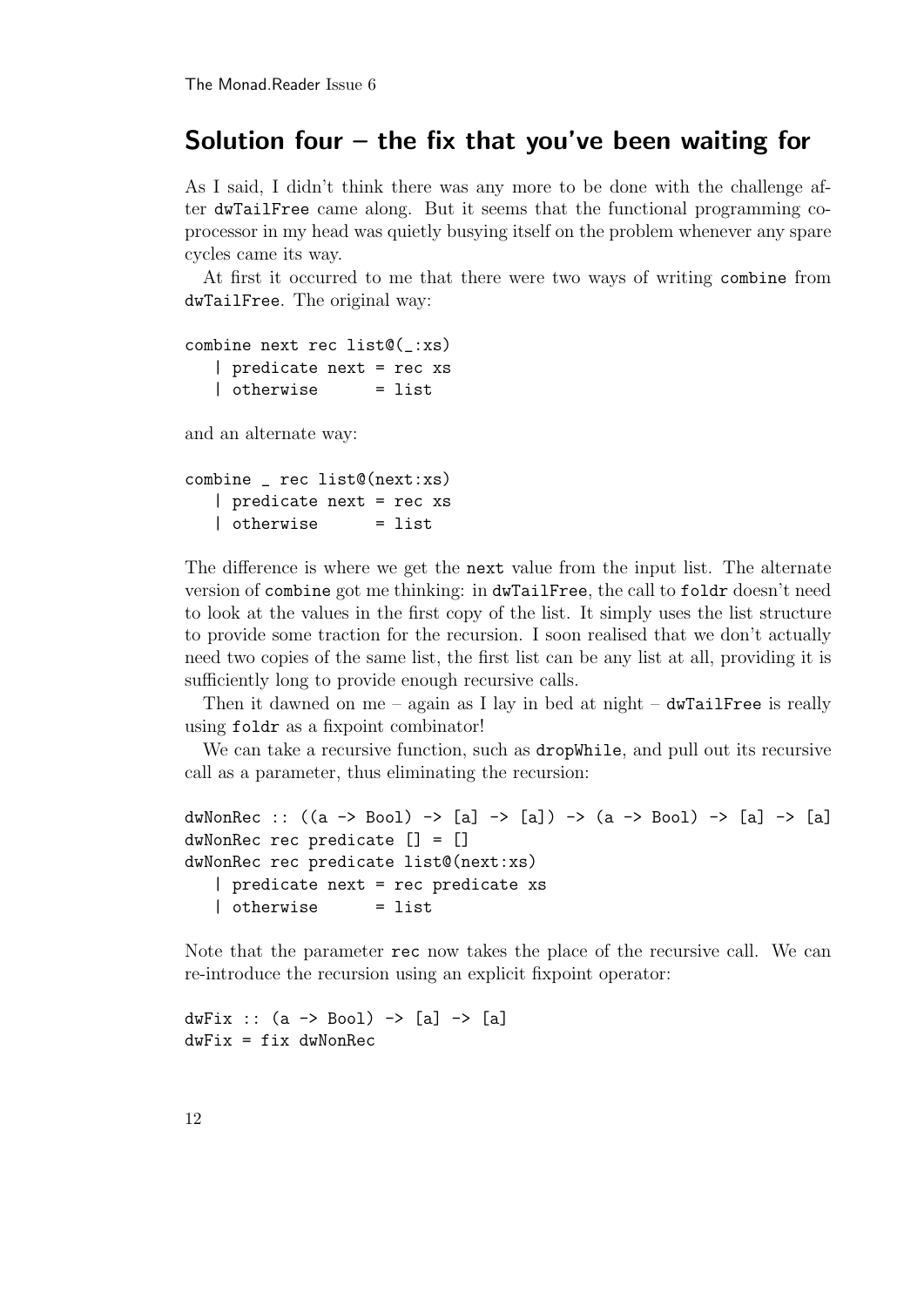#### Solution four  $-$  the fix that you've been waiting for

As I said, I didn't think there was any more to be done with the challenge after dwTailFree came along. But it seems that the functional programming coprocessor in my head was quietly busying itself on the problem whenever any spare cycles came its way.

At first it occurred to me that there were two ways of writing combine from dwTailFree. The original way:

```
combine next rec list@(_:xs)
   | predicate next = rec xs
   | otherwise = list
```
and an alternate way:

```
combine _ rec list@(next:xs)
  | predicate next = rec xs
   | otherwise = list
```
The difference is where we get the next value from the input list. The alternate version of combine got me thinking: in dwTailFree, the call to foldr doesn't need to look at the values in the first copy of the list. It simply uses the list structure to provide some traction for the recursion. I soon realised that we don't actually need two copies of the same list, the first list can be any list at all, providing it is sufficiently long to provide enough recursive calls.

Then it dawned on me – again as I lay in bed at night –  $dwTailFree$  is really using foldr as a fixpoint combinator!

We can take a recursive function, such as **dropWhile**, and pull out its recursive call as a parameter, thus eliminating the recursion:

```
dwNonRec :: ((a \rightarrow Bool) \rightarrow [a] \rightarrow [a]) \rightarrow (a \rightarrow Bool) \rightarrow [a] \rightarrow [a]dwNonRec rec predicate [] = []
dwNonRec rec predicate list@(next:xs)
    | predicate next = rec predicate xs
    | otherwise = list
```
Note that the parameter rec now takes the place of the recursive call. We can re-introduce the recursion using an explicit fixpoint operator:

```
dwFix :: (a \rightarrow Bool) \rightarrow [a] \rightarrow [a]dwFix = fix dwNonRec
```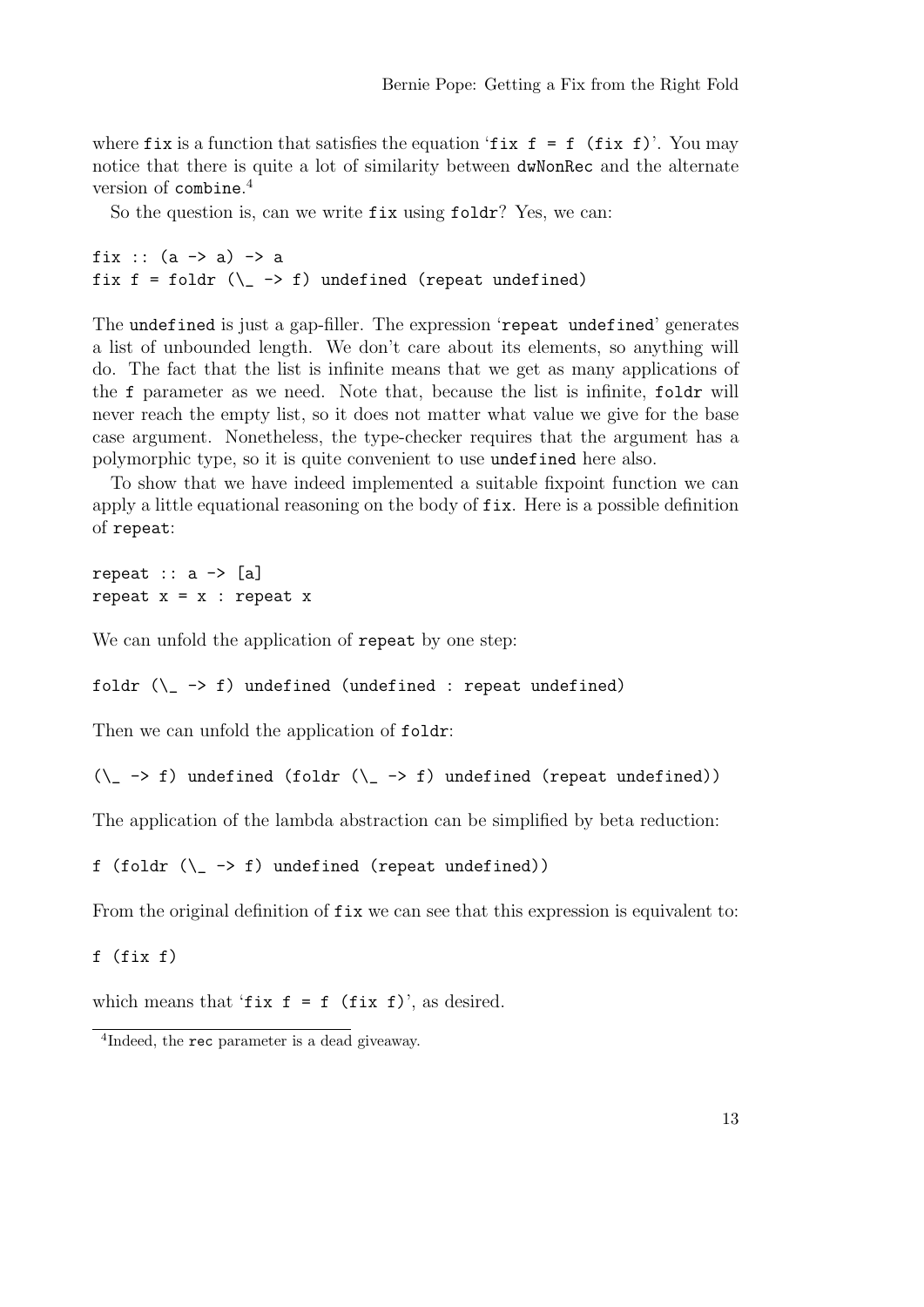where fix is a function that satisfies the equation 'fix  $f = f$  (fix f)'. You may notice that there is quite a lot of similarity between dwNonRec and the alternate version of combine. [4](#page-0-0)

So the question is, can we write fix using foldr? Yes, we can:

fix ::  $(a \rightarrow a) \rightarrow a$ fix  $f = f$ oldr  $(\neg \neg) f$  undefined (repeat undefined)

The undefined is just a gap-filler. The expression 'repeat undefined' generates a list of unbounded length. We don't care about its elements, so anything will do. The fact that the list is infinite means that we get as many applications of the f parameter as we need. Note that, because the list is infinite, foldr will never reach the empty list, so it does not matter what value we give for the base case argument. Nonetheless, the type-checker requires that the argument has a polymorphic type, so it is quite convenient to use undefined here also.

To show that we have indeed implemented a suitable fixpoint function we can apply a little equational reasoning on the body of fix. Here is a possible definition of repeat:

```
repeat : a \rightarrow [a]repeat x = x : repeat x
```
We can unfold the application of repeat by one step:

foldr  $(\neg)$  -> f) undefined (undefined : repeat undefined)

Then we can unfold the application of foldr:

 $(\neg)$  -> f) undefined (foldr  $(\neg)$  -> f) undefined (repeat undefined))

The application of the lambda abstraction can be simplified by beta reduction:

f (foldr  $(\neg -\neg)$  i) undefined (repeat undefined))

From the original definition of  $fix$  we can see that this expression is equivalent to:

f (fix f)

which means that 'fix  $f = f$  (fix f)', as desired.

<sup>&</sup>lt;sup>4</sup>Indeed, the rec parameter is a dead giveaway.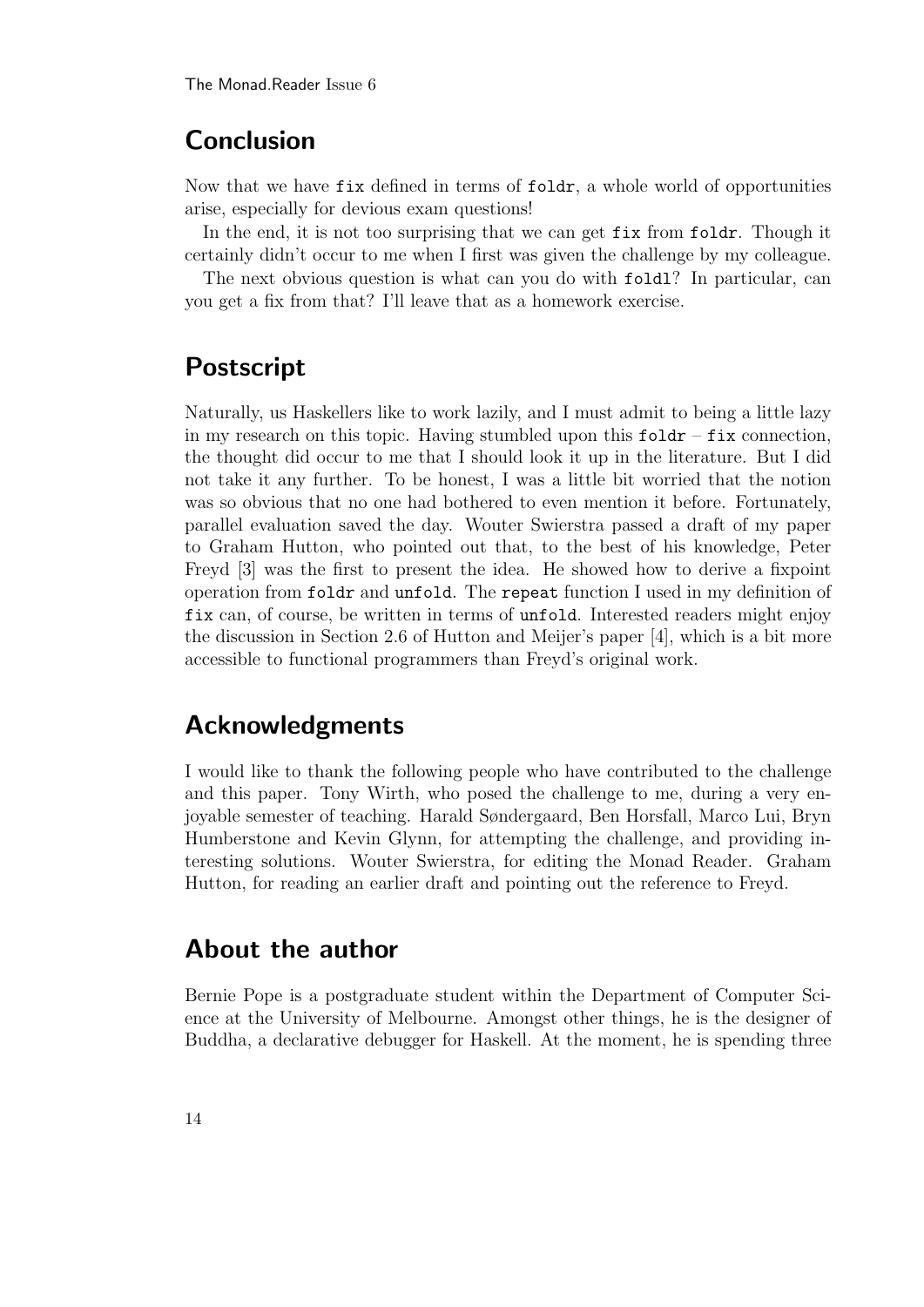#### Conclusion

Now that we have fix defined in terms of foldr, a whole world of opportunities arise, especially for devious exam questions!

In the end, it is not too surprising that we can get fix from foldr. Though it certainly didn't occur to me when I first was given the challenge by my colleague.

The next obvious question is what can you do with foldl? In particular, can you get a fix from that? I'll leave that as a homework exercise.

### Postscript

Naturally, us Haskellers like to work lazily, and I must admit to being a little lazy in my research on this topic. Having stumbled upon this  $foldr - fix$  connection, the thought did occur to me that I should look it up in the literature. But I did not take it any further. To be honest, I was a little bit worried that the notion was so obvious that no one had bothered to even mention it before. Fortunately, parallel evaluation saved the day. Wouter Swierstra passed a draft of my paper to Graham Hutton, who pointed out that, to the best of his knowledge, Peter Freyd [\[3\]](#page-14-2) was the first to present the idea. He showed how to derive a fixpoint operation from foldr and unfold. The repeat function I used in my definition of fix can, of course, be written in terms of unfold. Interested readers might enjoy the discussion in Section 2.6 of Hutton and Meijer's paper [\[4\]](#page-14-3), which is a bit more accessible to functional programmers than Freyd's original work.

#### Acknowledgments

I would like to thank the following people who have contributed to the challenge and this paper. Tony Wirth, who posed the challenge to me, during a very enjoyable semester of teaching. Harald Søndergaard, Ben Horsfall, Marco Lui, Bryn Humberstone and Kevin Glynn, for attempting the challenge, and providing interesting solutions. Wouter Swierstra, for editing the Monad Reader. Graham Hutton, for reading an earlier draft and pointing out the reference to Freyd.

#### About the author

Bernie Pope is a postgraduate student within the Department of Computer Science at the University of Melbourne. Amongst other things, he is the designer of Buddha, a declarative debugger for Haskell. At the moment, he is spending three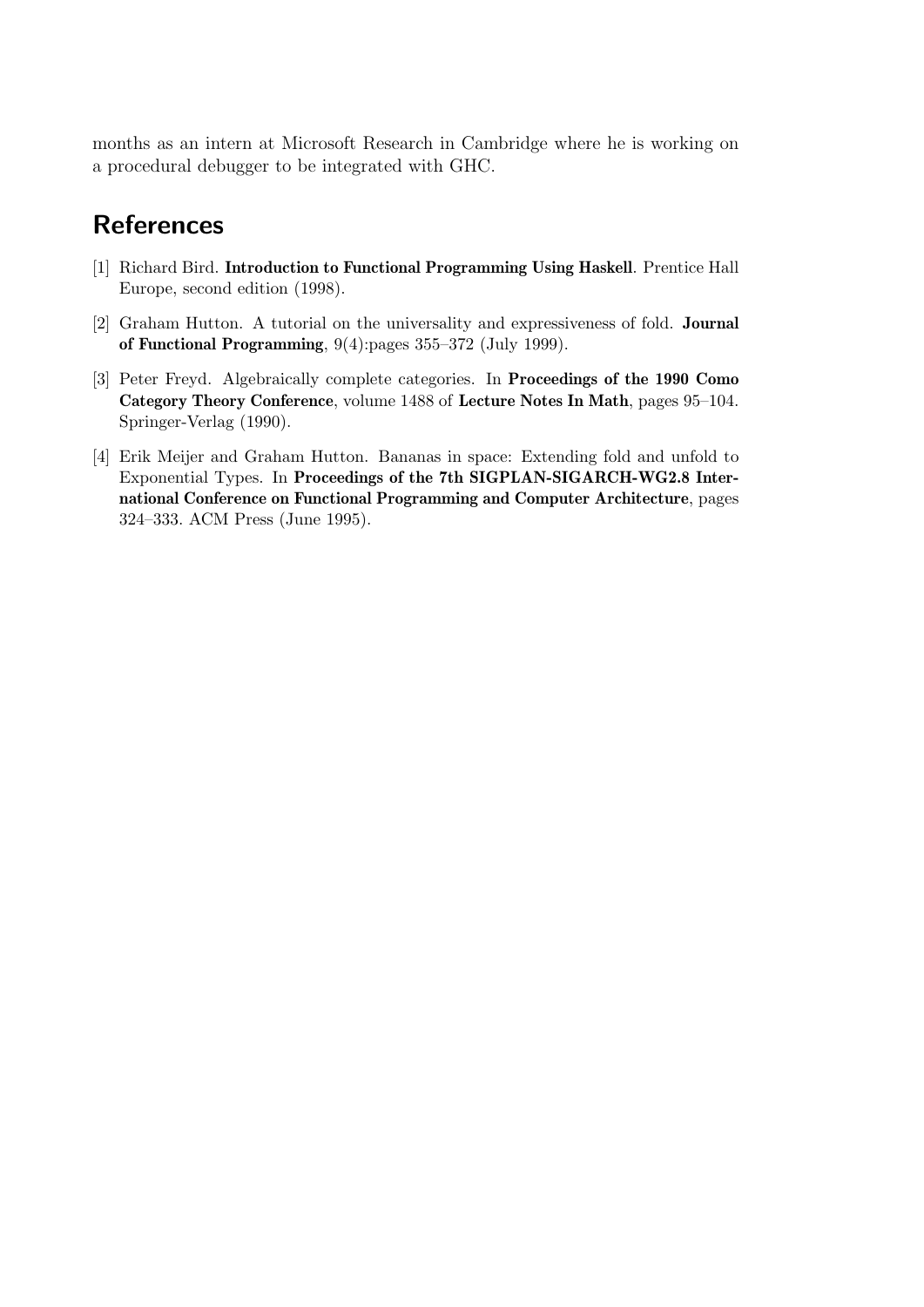months as an intern at Microsoft Research in Cambridge where he is working on a procedural debugger to be integrated with GHC.

## **References**

- <span id="page-14-0"></span>[1] Richard Bird. Introduction to Functional Programming Using Haskell. Prentice Hall Europe, second edition (1998).
- <span id="page-14-1"></span>[2] Graham Hutton. A tutorial on the universality and expressiveness of fold. Journal of Functional Programming, 9(4):pages 355–372 (July 1999).
- <span id="page-14-2"></span>[3] Peter Freyd. Algebraically complete categories. In Proceedings of the 1990 Como Category Theory Conference, volume 1488 of Lecture Notes In Math, pages 95–104. Springer-Verlag (1990).
- <span id="page-14-3"></span>[4] Erik Meijer and Graham Hutton. Bananas in space: Extending fold and unfold to Exponential Types. In Proceedings of the 7th SIGPLAN-SIGARCH-WG2.8 International Conference on Functional Programming and Computer Architecture, pages 324–333. ACM Press (June 1995).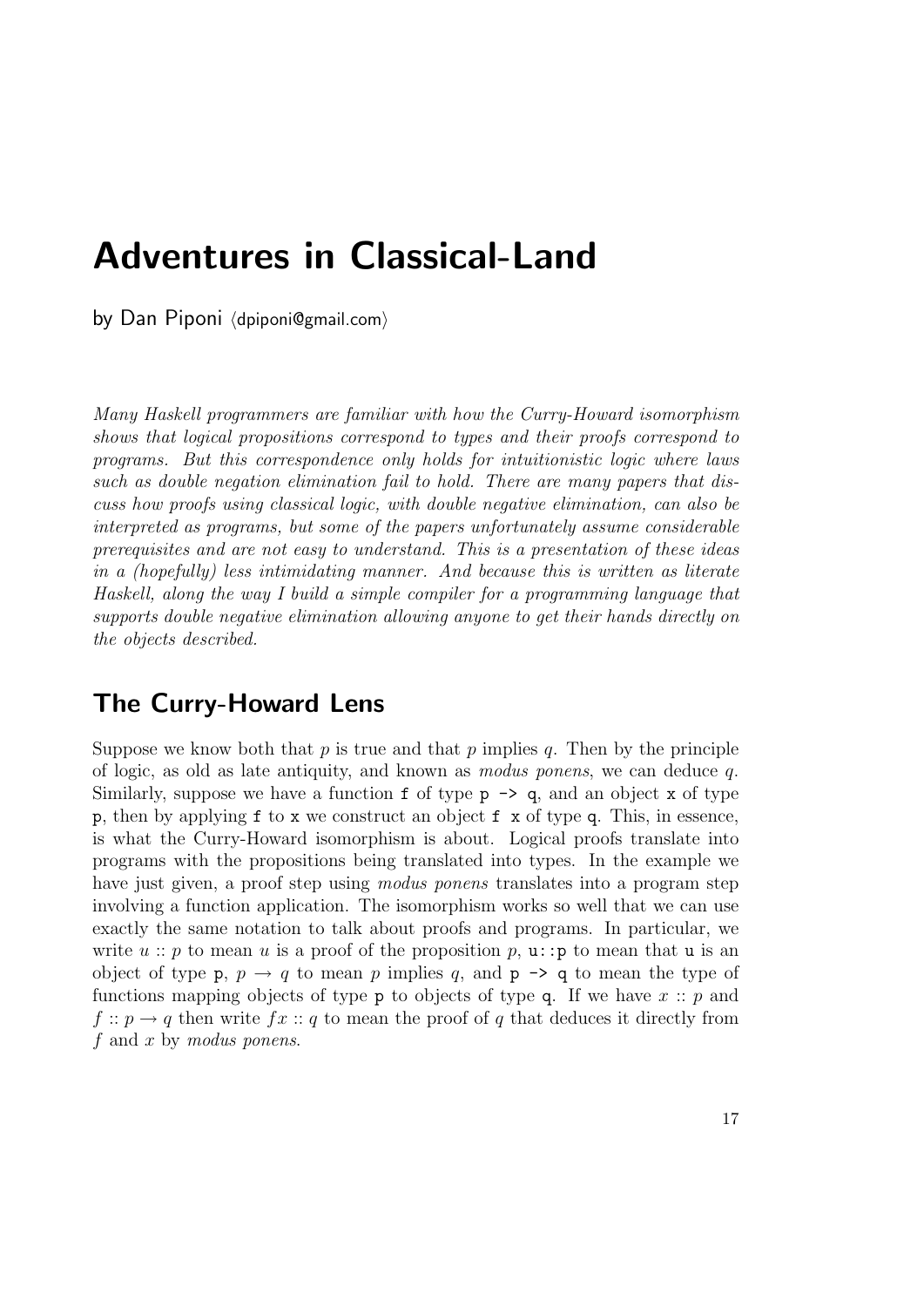## Adventures in Classical-Land

by Dan Piponi (dpiponi@gmail.com)

<span id="page-16-0"></span>Many Haskell programmers are familiar with how the Curry-Howard isomorphism shows that logical propositions correspond to types and their proofs correspond to programs. But this correspondence only holds for intuitionistic logic where laws such as double negation elimination fail to hold. There are many papers that discuss how proofs using classical logic, with double negative elimination, can also be interpreted as programs, but some of the papers unfortunately assume considerable prerequisites and are not easy to understand. This is a presentation of these ideas in a (hopefully) less intimidating manner. And because this is written as literate Haskell, along the way I build a simple compiler for a programming language that supports double negative elimination allowing anyone to get their hands directly on the objects described.

#### The Curry-Howard Lens

Suppose we know both that  $p$  is true and that  $p$  implies  $q$ . Then by the principle of logic, as old as late antiquity, and known as modus ponens, we can deduce q. Similarly, suppose we have a function  $f$  of type  $p \rightarrow q$ , and an object x of type p, then by applying  $f$  to x we construct an object  $f \times f$  type q. This, in essence, is what the Curry-Howard isomorphism is about. Logical proofs translate into programs with the propositions being translated into types. In the example we have just given, a proof step using *modus ponens* translates into a program step involving a function application. The isomorphism works so well that we can use exactly the same notation to talk about proofs and programs. In particular, we write  $u$ : p to mean u is a proof of the proposition p,  $u$ : p to mean that u is an object of type p,  $p \rightarrow q$  to mean p implies q, and p  $\rightarrow$  q to mean the type of functions mapping objects of type **p** to objects of type **q**. If we have  $x :: p$  and  $f: p \to q$  then write  $fx: q$  to mean the proof of q that deduces it directly from f and x by modus ponens.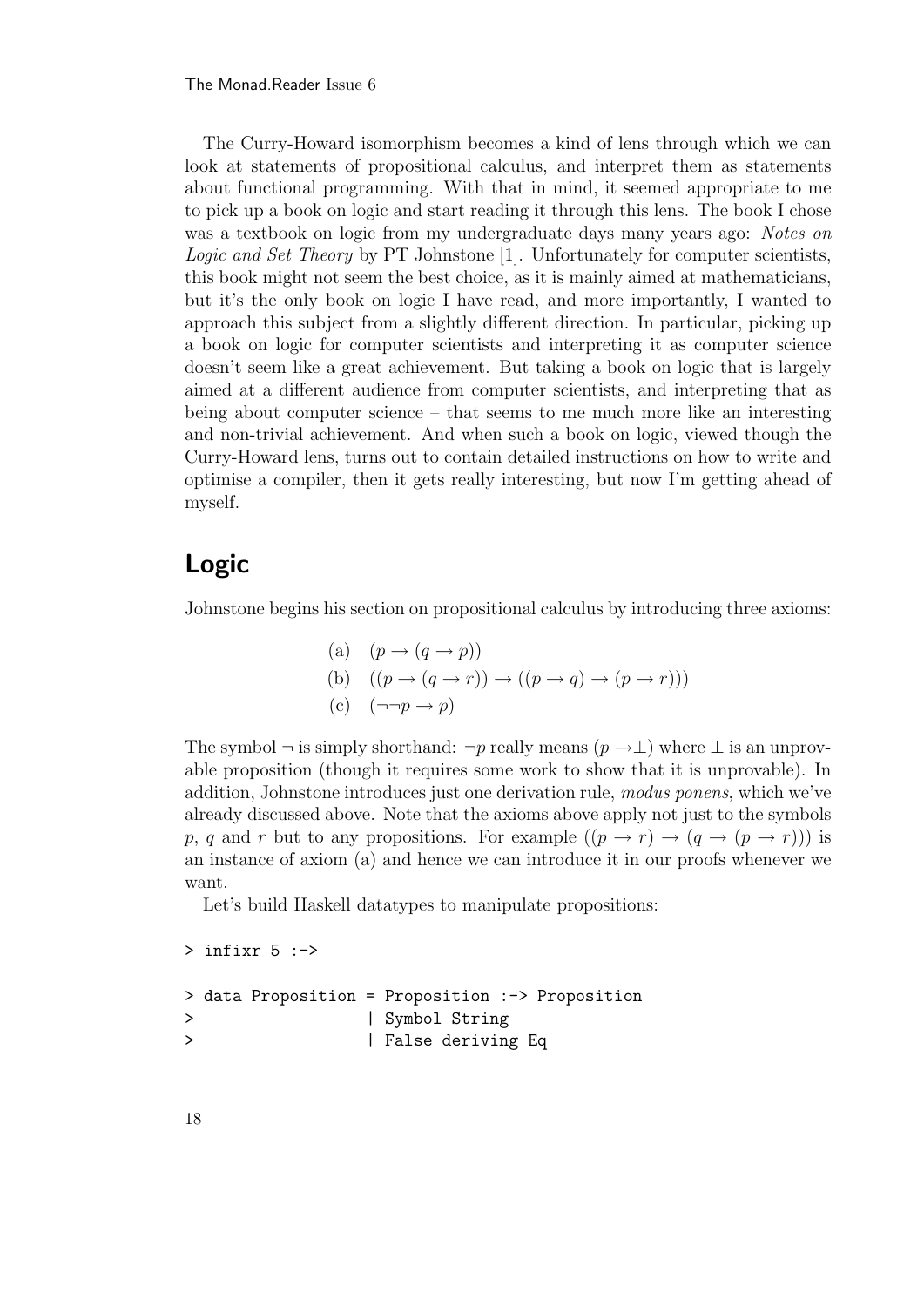The Curry-Howard isomorphism becomes a kind of lens through which we can look at statements of propositional calculus, and interpret them as statements about functional programming. With that in mind, it seemed appropriate to me to pick up a book on logic and start reading it through this lens. The book I chose was a textbook on logic from my undergraduate days many years ago: Notes on Logic and Set Theory by PT Johnstone [\[1\]](#page-30-0). Unfortunately for computer scientists, this book might not seem the best choice, as it is mainly aimed at mathematicians, but it's the only book on logic I have read, and more importantly, I wanted to approach this subject from a slightly different direction. In particular, picking up a book on logic for computer scientists and interpreting it as computer science doesn't seem like a great achievement. But taking a book on logic that is largely aimed at a different audience from computer scientists, and interpreting that as being about computer science – that seems to me much more like an interesting and non-trivial achievement. And when such a book on logic, viewed though the Curry-Howard lens, turns out to contain detailed instructions on how to write and optimise a compiler, then it gets really interesting, but now I'm getting ahead of myself.

#### Logic

Johnstone begins his section on propositional calculus by introducing three axioms:

(a) 
$$
(p \rightarrow (q \rightarrow p))
$$
  
\n(b)  $((p \rightarrow (q \rightarrow r)) \rightarrow ((p \rightarrow q) \rightarrow (p \rightarrow r)))$   
\n(c)  $(\neg\neg p \rightarrow p)$ 

The symbol ¬ is simply shorthand: ¬p really means  $(p \to \perp)$  where  $\perp$  is an unprovable proposition (though it requires some work to show that it is unprovable). In addition, Johnstone introduces just one derivation rule, modus ponens, which we've already discussed above. Note that the axioms above apply not just to the symbols p, q and r but to any propositions. For example  $((p \rightarrow r) \rightarrow (q \rightarrow (p \rightarrow r)))$  is an instance of axiom (a) and hence we can introduce it in our proofs whenever we want.

Let's build Haskell datatypes to manipulate propositions:

```
> infixr 5 :->
> data Proposition = Proposition :-> Proposition
> | Symbol String
> | False deriving Eq
```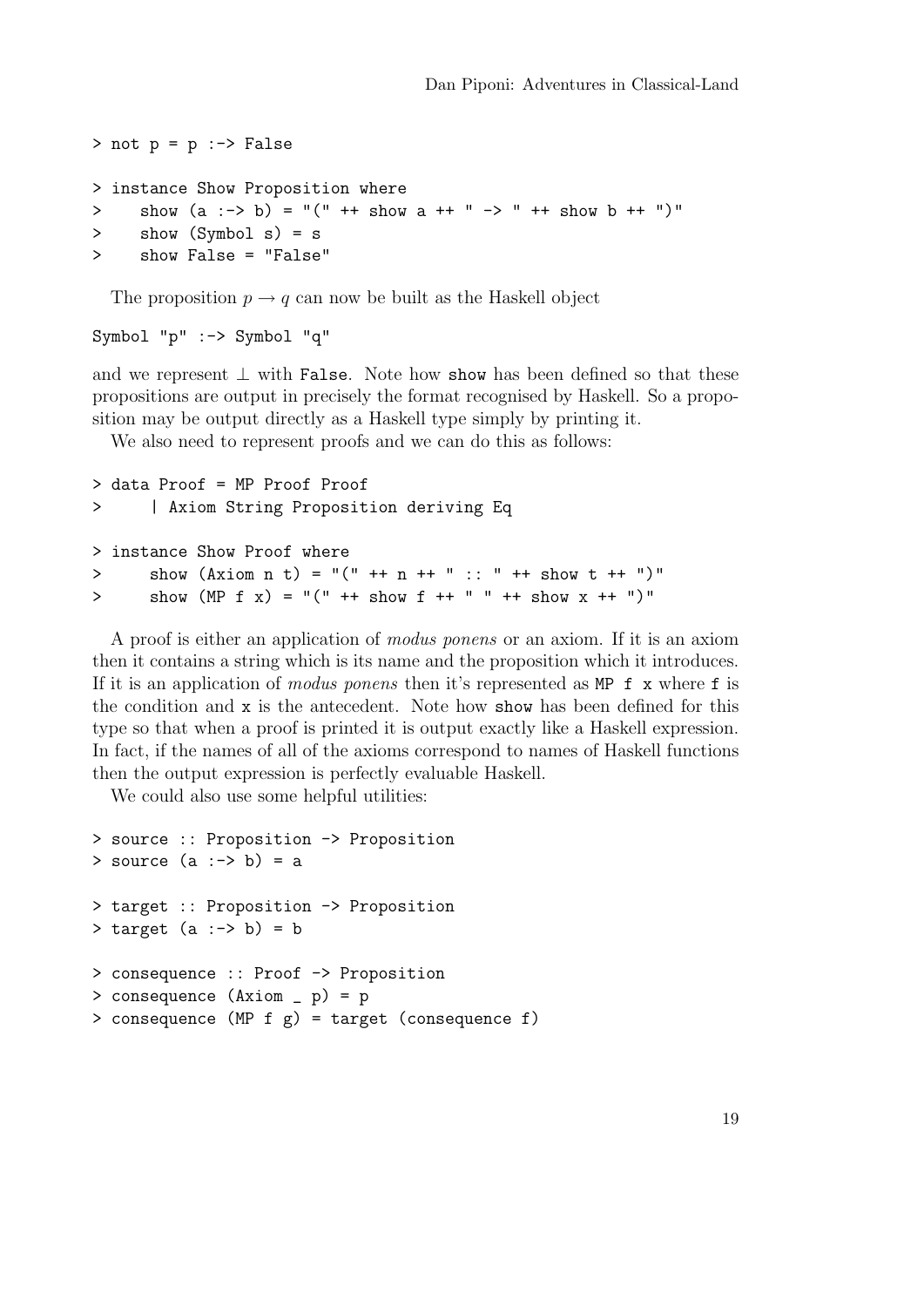```
> not p = p : -> False
> instance Show Proposition where
> show (a :-> b) = "(" ++ show a ++ " -> " ++ show b ++ "")"> show (Symbol s) = s
> show False = "False"
```
The proposition  $p \rightarrow q$  can now be built as the Haskell object

Symbol "p" :-> Symbol "q"

and we represent  $\perp$  with False. Note how show has been defined so that these propositions are output in precisely the format recognised by Haskell. So a proposition may be output directly as a Haskell type simply by printing it.

We also need to represent proofs and we can do this as follows:

```
> data Proof = MP Proof Proof
> | Axiom String Proposition deriving Eq
> instance Show Proof where
> show (Axiom n t) = "(" + n + " : : " + * show t + " "")"> show (MP f x) = "(" + show f + " " + show x + "")"
```
A proof is either an application of modus ponens or an axiom. If it is an axiom then it contains a string which is its name and the proposition which it introduces. If it is an application of modus ponens then it's represented as MP f x where f is the condition and x is the antecedent. Note how show has been defined for this type so that when a proof is printed it is output exactly like a Haskell expression. In fact, if the names of all of the axioms correspond to names of Haskell functions then the output expression is perfectly evaluable Haskell.

We could also use some helpful utilities:

```
> source :: Proposition -> Proposition
> source (a :-> b) = a> target :: Proposition -> Proposition
> target (a :-> b) = b
> consequence :: Proof -> Proposition
> consequence (Axiom _ p) = p
> consequence (MP f g) = target (consequence f)
```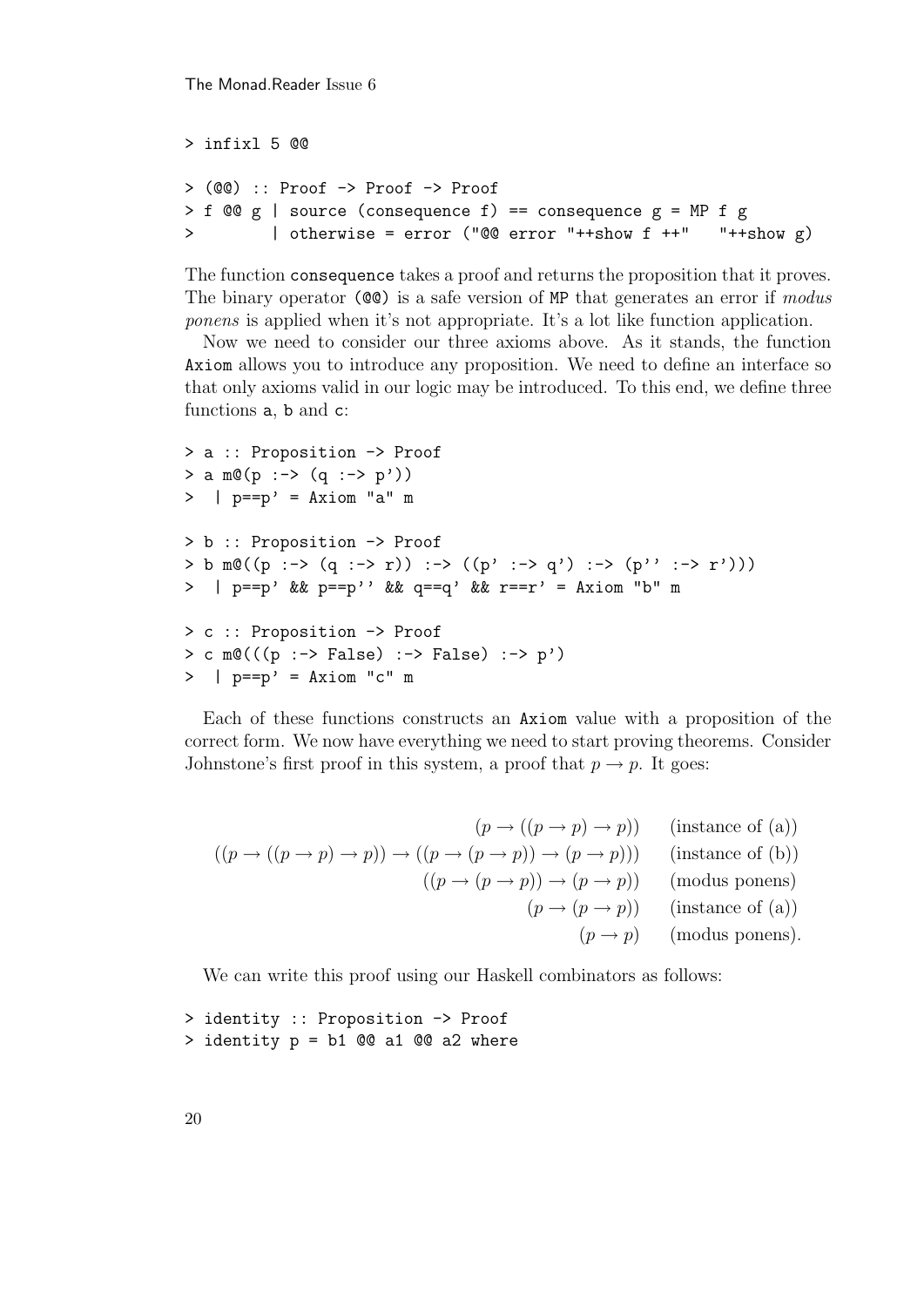```
> infixl 5 @@
> (@@) :: Proof -> Proof -> Proof
> f @@ g | source (consequence f) == consequence g = MP f g
> | otherwise = error ("@@ error "++show f ++" "++show g)
```
The function consequence takes a proof and returns the proposition that it proves. The binary operator ( $QQ$ ) is a safe version of MP that generates an error if modus ponens is applied when it's not appropriate. It's a lot like function application.

Now we need to consider our three axioms above. As it stands, the function Axiom allows you to introduce any proposition. We need to define an interface so that only axioms valid in our logic may be introduced. To this end, we define three functions a, b and c:

```
> a :: Proposition -> Proof
> a m\mathbb{Q}(p \div > (q \div > p'))> | p==p' = Axiom "a" m> b :: Proposition -> Proof
> b m@((p :-> (q :-> r)) :-> ((p' :-> q') :-> (p'' :-> r')))
> | p==p' && p==p'' && q==q' && r==r' = Axiom "b" m
> c :: Proposition -> Proof
> c m\mathbb{O}((p \div) False) \div False) \div p')
> | p==p' = Axiom "c" m
```
Each of these functions constructs an Axiom value with a proposition of the correct form. We now have everything we need to start proving theorems. Consider Johnstone's first proof in this system, a proof that  $p \to p$ . It goes:

$$
(p \to ((p \to p) \to p)) \qquad \text{(instance of (a))}
$$
\n
$$
((p \to ((p \to p) \to p)) \to ((p \to (p \to p)) \to (p \to p))) \qquad \text{(instance of (b))}
$$
\n
$$
((p \to (p \to p)) \to (p \to p)) \qquad \text{(modus ponens)}
$$
\n
$$
(p \to (p \to p)) \qquad \text{(instance of (a))}
$$
\n
$$
(p \to p) \qquad \text{(modus ponens)}
$$

We can write this proof using our Haskell combinators as follows:

> identity :: Proposition -> Proof > identity p = b1 @@ a1 @@ a2 where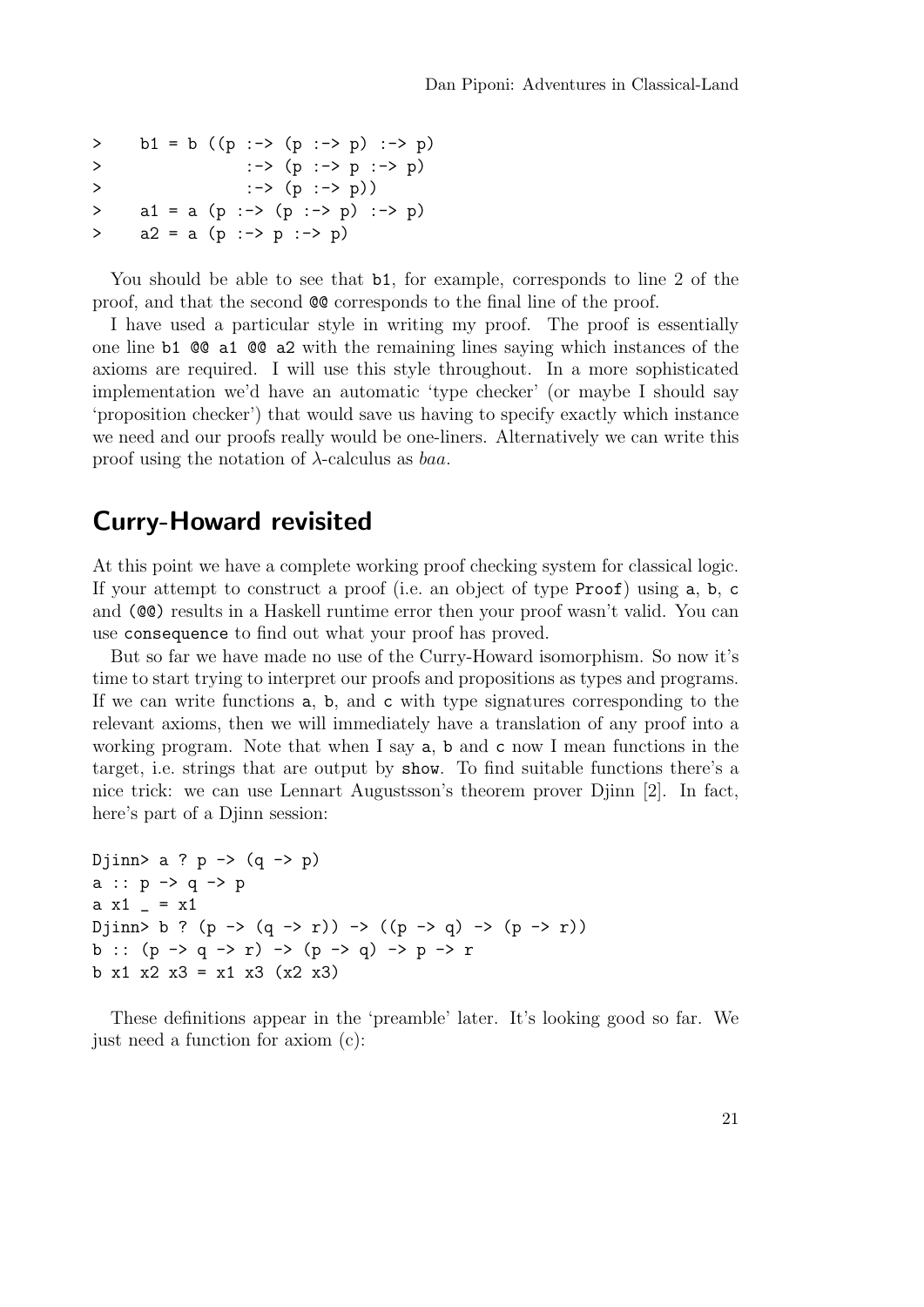> b1 = b ((p :-> (p :-> p) :-> p) > :-> (p :-> p :-> p) > :->  $(p :-> p))$ > a1 = a (p :-> (p :-> p) :-> p)  $> a2 = a (p :-> p :-> p)$ 

You should be able to see that b1, for example, corresponds to line 2 of the proof, and that the second @@ corresponds to the final line of the proof.

I have used a particular style in writing my proof. The proof is essentially one line b1 @@ a1 @@ a2 with the remaining lines saying which instances of the axioms are required. I will use this style throughout. In a more sophisticated implementation we'd have an automatic 'type checker' (or maybe I should say 'proposition checker') that would save us having to specify exactly which instance we need and our proofs really would be one-liners. Alternatively we can write this proof using the notation of  $\lambda$ -calculus as *baa*.

#### Curry-Howard revisited

At this point we have a complete working proof checking system for classical logic. If your attempt to construct a proof (i.e. an object of type Proof) using a, b, c and (@@) results in a Haskell runtime error then your proof wasn't valid. You can use consequence to find out what your proof has proved.

But so far we have made no use of the Curry-Howard isomorphism. So now it's time to start trying to interpret our proofs and propositions as types and programs. If we can write functions a, b, and c with type signatures corresponding to the relevant axioms, then we will immediately have a translation of any proof into a working program. Note that when I say a, b and c now I mean functions in the target, i.e. strings that are output by show. To find suitable functions there's a nice trick: we can use Lennart Augustsson's theorem prover Djinn [\[2\]](#page-30-1). In fact, here's part of a Djinn session:

```
Djinn> a ? p \rightarrow (q \rightarrow p)a :: p \rightarrow q \rightarrow pa x1 = x1Djinn> b ? (p -> (q -> r)) -> ((p -> q) -> (p -> r))
b :: (p \rightarrow q \rightarrow r) \rightarrow (p \rightarrow q) \rightarrow p \rightarrow rb \text{ x1 x2 x3} = x1 x3 (x2 x3)
```
These definitions appear in the 'preamble' later. It's looking good so far. We just need a function for axiom (c):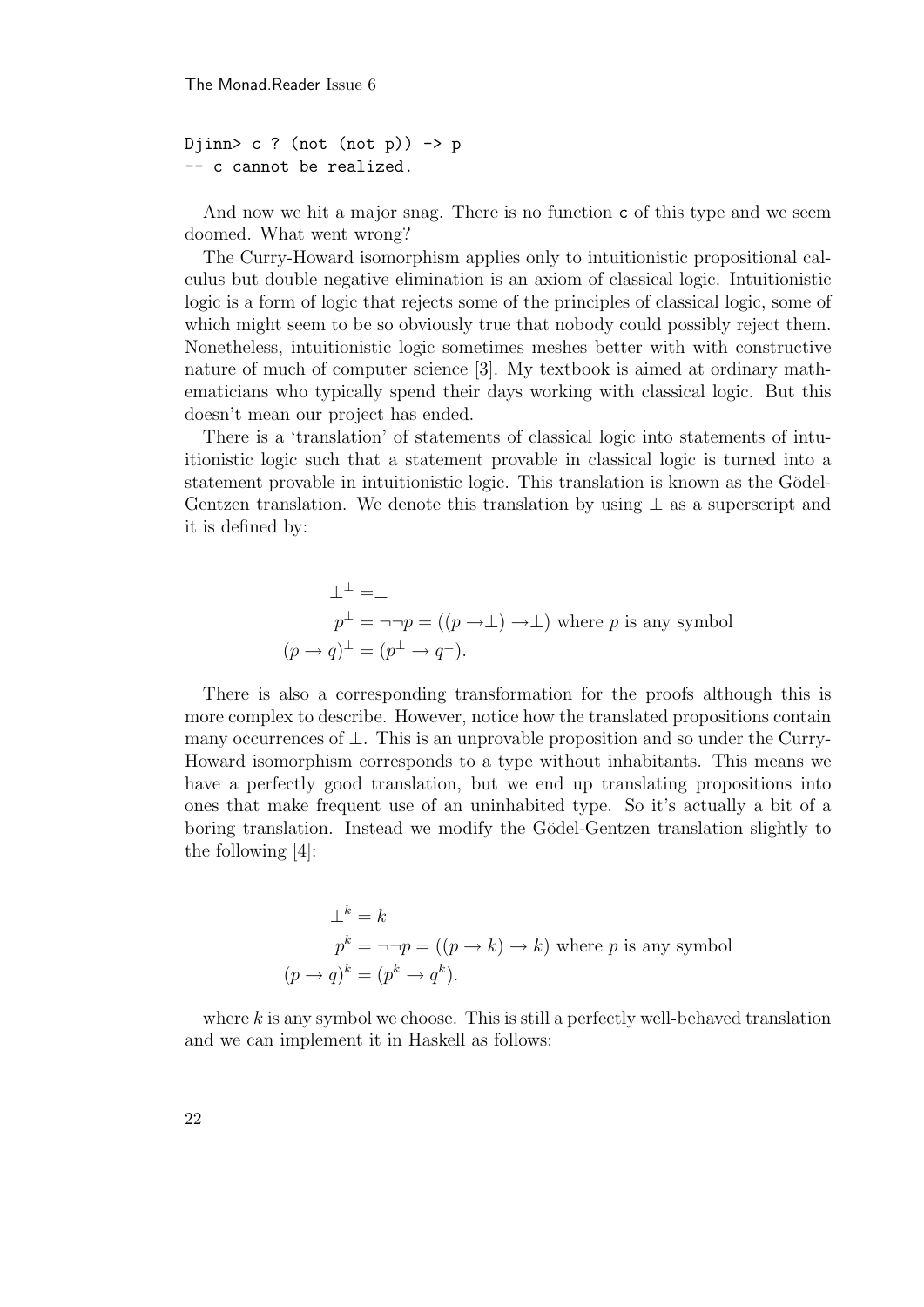Djinn> c ? (not (not p))  $\rightarrow$  p -- c cannot be realized.

And now we hit a major snag. There is no function c of this type and we seem doomed. What went wrong?

The Curry-Howard isomorphism applies only to intuitionistic propositional calculus but double negative elimination is an axiom of classical logic. Intuitionistic logic is a form of logic that rejects some of the principles of classical logic, some of which might seem to be so obviously true that nobody could possibly reject them. Nonetheless, intuitionistic logic sometimes meshes better with with constructive nature of much of computer science [\[3\]](#page-30-2). My textbook is aimed at ordinary mathematicians who typically spend their days working with classical logic. But this doesn't mean our project has ended.

There is a 'translation' of statements of classical logic into statements of intuitionistic logic such that a statement provable in classical logic is turned into a statement provable in intuitionistic logic. This translation is known as the Gödel-Gentzen translation. We denote this translation by using  $\perp$  as a superscript and it is defined by:

$$
\perp^{\perp} = \perp
$$
  
\n
$$
p^{\perp} = \neg \neg p = ((p \to \perp) \to \perp) \text{ where } p \text{ is any symbol}
$$
  
\n
$$
(p \to q)^{\perp} = (p^{\perp} \to q^{\perp}).
$$

There is also a corresponding transformation for the proofs although this is more complex to describe. However, notice how the translated propositions contain many occurrences of  $\perp$ . This is an unprovable proposition and so under the Curry-Howard isomorphism corresponds to a type without inhabitants. This means we have a perfectly good translation, but we end up translating propositions into ones that make frequent use of an uninhabited type. So it's actually a bit of a boring translation. Instead we modify the Gödel-Gentzen translation slightly to the following [\[4\]](#page-30-3):

$$
\perp^k = k
$$
  
\n
$$
p^k = \neg \neg p = ((p \to k) \to k)
$$
 where *p* is any symbol  
\n
$$
(p \to q)^k = (p^k \to q^k).
$$

where  $k$  is any symbol we choose. This is still a perfectly well-behaved translation and we can implement it in Haskell as follows: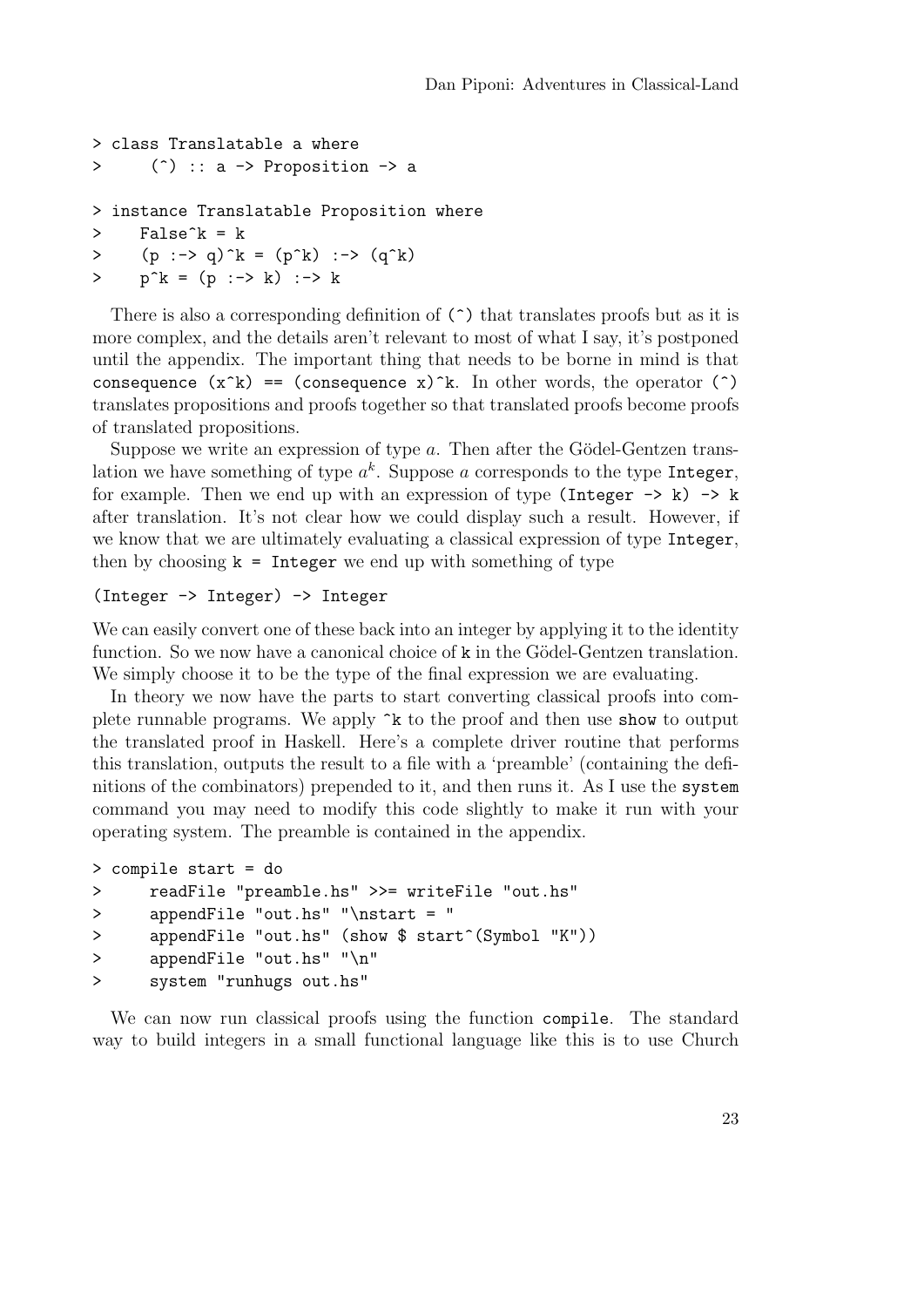```
> class Translatable a where
> (<sup>2</sup>) :: a -> Proposition -> a
> instance Translatable Proposition where
```

```
> False<sup>k = k</sup>
```

```
> (p :-> q)^k = (p^k) :-> (q^k)
```

```
> p^k = (p \div k) \div k
```
There is also a corresponding definition of  $(\hat{\ })$  that translates proofs but as it is more complex, and the details aren't relevant to most of what I say, it's postponed until the appendix. The important thing that needs to be borne in mind is that consequence  $(x^k) = (consequence x)^k$ . In other words, the operator (<sup>\*</sup>) translates propositions and proofs together so that translated proofs become proofs of translated propositions.

Suppose we write an expression of type  $a$ . Then after the Gödel-Gentzen translation we have something of type  $a^k$ . Suppose  $a$  corresponds to the type Integer, for example. Then we end up with an expression of type (Integer  $\rightarrow k$ )  $\rightarrow k$ after translation. It's not clear how we could display such a result. However, if we know that we are ultimately evaluating a classical expression of type Integer, then by choosing  $k =$  Integer we end up with something of type

```
(Integer -> Integer) -> Integer
```
We can easily convert one of these back into an integer by applying it to the identity function. So we now have a canonical choice of  $k$  in the Gödel-Gentzen translation. We simply choose it to be the type of the final expression we are evaluating.

In theory we now have the parts to start converting classical proofs into complete runnable programs. We apply  $\hat{\mathsf{k}}$  to the proof and then use show to output the translated proof in Haskell. Here's a complete driver routine that performs this translation, outputs the result to a file with a 'preamble' (containing the definitions of the combinators) prepended to it, and then runs it. As I use the system command you may need to modify this code slightly to make it run with your operating system. The preamble is contained in the appendix.

```
> compile start = do
> readFile "preamble.hs" >>= writeFile "out.hs"
> appendFile "out.hs" "\nstart = "
> appendFile "out.hs" (show $ start^(Symbol "K"))
> appendFile "out.hs" "\n"
> system "runhugs out.hs"
```
We can now run classical proofs using the function compile. The standard way to build integers in a small functional language like this is to use Church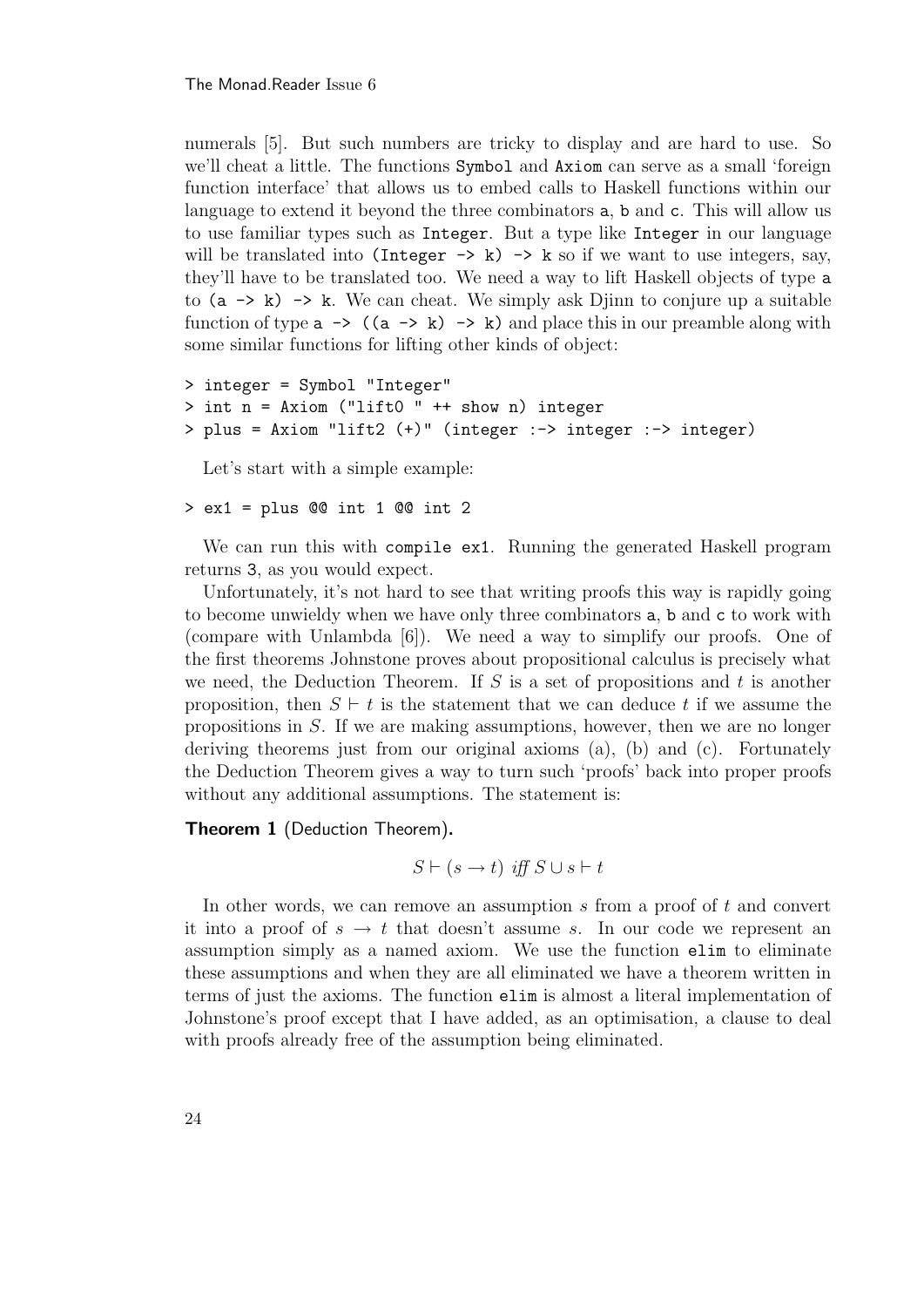numerals [\[5\]](#page-30-4). But such numbers are tricky to display and are hard to use. So we'll cheat a little. The functions Symbol and Axiom can serve as a small 'foreign function interface' that allows us to embed calls to Haskell functions within our language to extend it beyond the three combinators a, b and c. This will allow us to use familiar types such as Integer. But a type like Integer in our language will be translated into (Integer  $\rightarrow k$ )  $\rightarrow k$  so if we want to use integers, say, they'll have to be translated too. We need a way to lift Haskell objects of type a to  $(a \rightarrow k) \rightarrow k$ . We can cheat. We simply ask Djinn to conjure up a suitable function of type  $a \rightarrow (a \rightarrow k) \rightarrow k$  and place this in our preamble along with some similar functions for lifting other kinds of object:

```
> integer = Symbol "Integer"
> int n = Axiom ("lift0 " ++ show n) integer
> plus = Axiom "lift2 (+)" (integer :-> integer :-> integer)
```
Let's start with a simple example:

```
> ex1 = plus @@ int 1 @@ int 2
```
We can run this with compile ex1. Running the generated Haskell program returns 3, as you would expect.

Unfortunately, it's not hard to see that writing proofs this way is rapidly going to become unwieldy when we have only three combinators a, b and c to work with (compare with Unlambda [\[6\]](#page-30-5)). We need a way to simplify our proofs. One of the first theorems Johnstone proves about propositional calculus is precisely what we need, the Deduction Theorem. If  $S$  is a set of propositions and  $t$  is another proposition, then  $S \vdash t$  is the statement that we can deduce t if we assume the propositions in S. If we are making assumptions, however, then we are no longer deriving theorems just from our original axioms (a), (b) and (c). Fortunately the Deduction Theorem gives a way to turn such 'proofs' back into proper proofs without any additional assumptions. The statement is:

Theorem 1 (Deduction Theorem).

$$
S \vdash (s \to t) \text{ iff } S \cup s \vdash t
$$

In other words, we can remove an assumption  $s$  from a proof of  $t$  and convert it into a proof of  $s \to t$  that doesn't assume s. In our code we represent an assumption simply as a named axiom. We use the function elim to eliminate these assumptions and when they are all eliminated we have a theorem written in terms of just the axioms. The function elim is almost a literal implementation of Johnstone's proof except that I have added, as an optimisation, a clause to deal with proofs already free of the assumption being eliminated.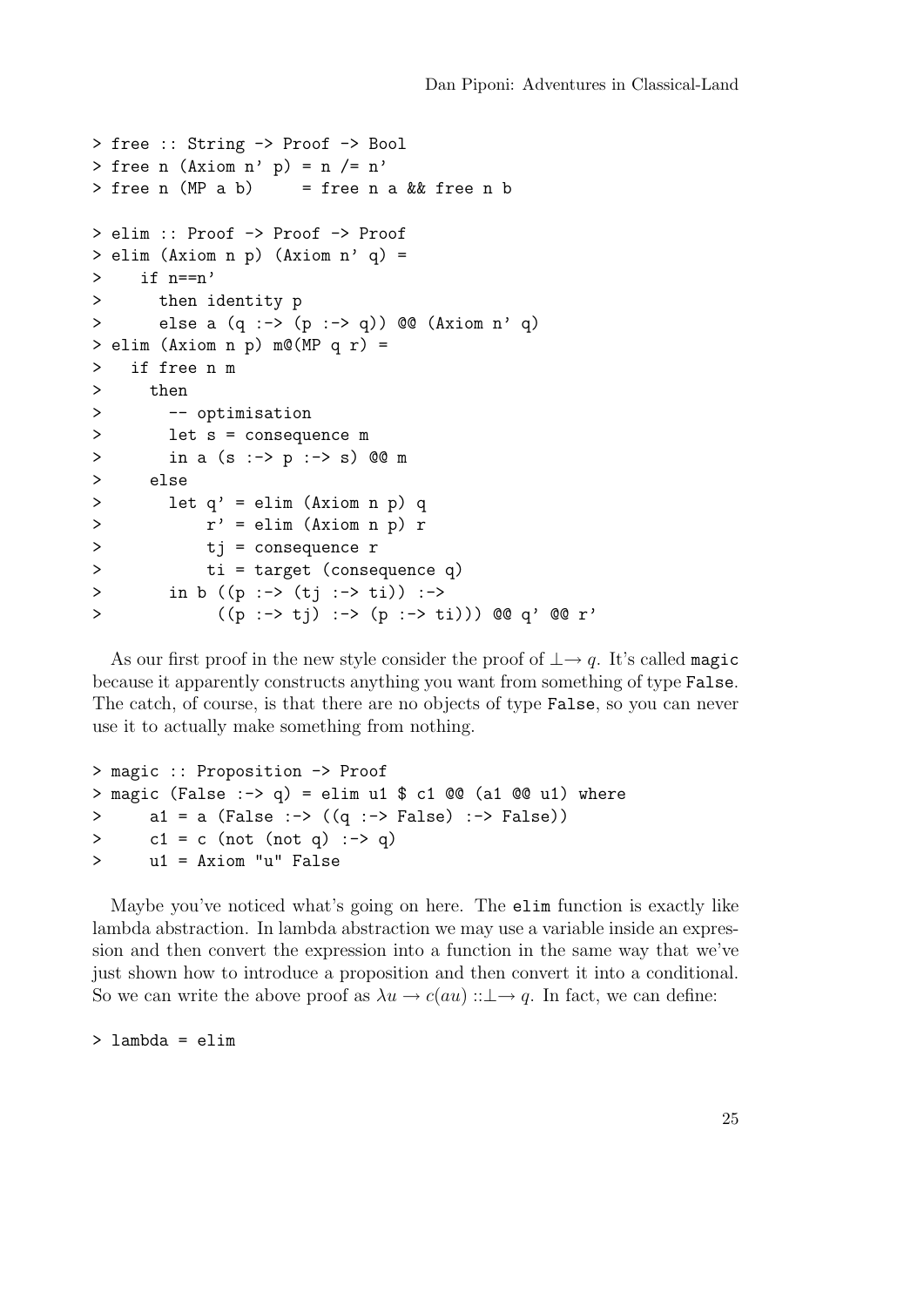```
> free :: String -> Proof -> Bool
> free n (Axiom n' p) = n /= n'
> free n (MP a b) = free n a && free n b
> elim :: Proof -> Proof -> Proof
> elim (Axiom n p) (Axiom n' q) =
> if n==n'
> then identity p
> else a (q :-> (p :-> q)) @@ (Axiom n' q)
> elim (Axiom n p) m@(MP q r) =
> if free n m
> then
> -- optimisation
> let s = consequence m
> in a (s :-> p :-> s) @@ m
> else
> let q' = elim (Axiom n p) q
> r' = elim (Axiom n p) r
> tj = consequence r
> ti = target (consequence q)
> in b ((p :-> (tj :-> ti)) :->
> ((p :-> tj) :-> (p :-> ti))) @@ q' @@ r'
```
As our first proof in the new style consider the proof of  $\perp \rightarrow q$ . It's called magic because it apparently constructs anything you want from something of type False. The catch, of course, is that there are no objects of type False, so you can never use it to actually make something from nothing.

```
> magic :: Proposition -> Proof
> magic (False \Rightarrow q) = elim u1 $ c1 @@ (a1 @@ u1) where
> a1 = a (False : -> ((q : -> False) : -> False))> c1 = c (not (not q) :-> q)
> u1 = Axiom "u" False
```
Maybe you've noticed what's going on here. The elim function is exactly like lambda abstraction. In lambda abstraction we may use a variable inside an expression and then convert the expression into a function in the same way that we've just shown how to introduce a proposition and then convert it into a conditional. So we can write the above proof as  $\lambda u \to c(au)$  :: $\bot \to q$ . In fact, we can define:

> lambda = elim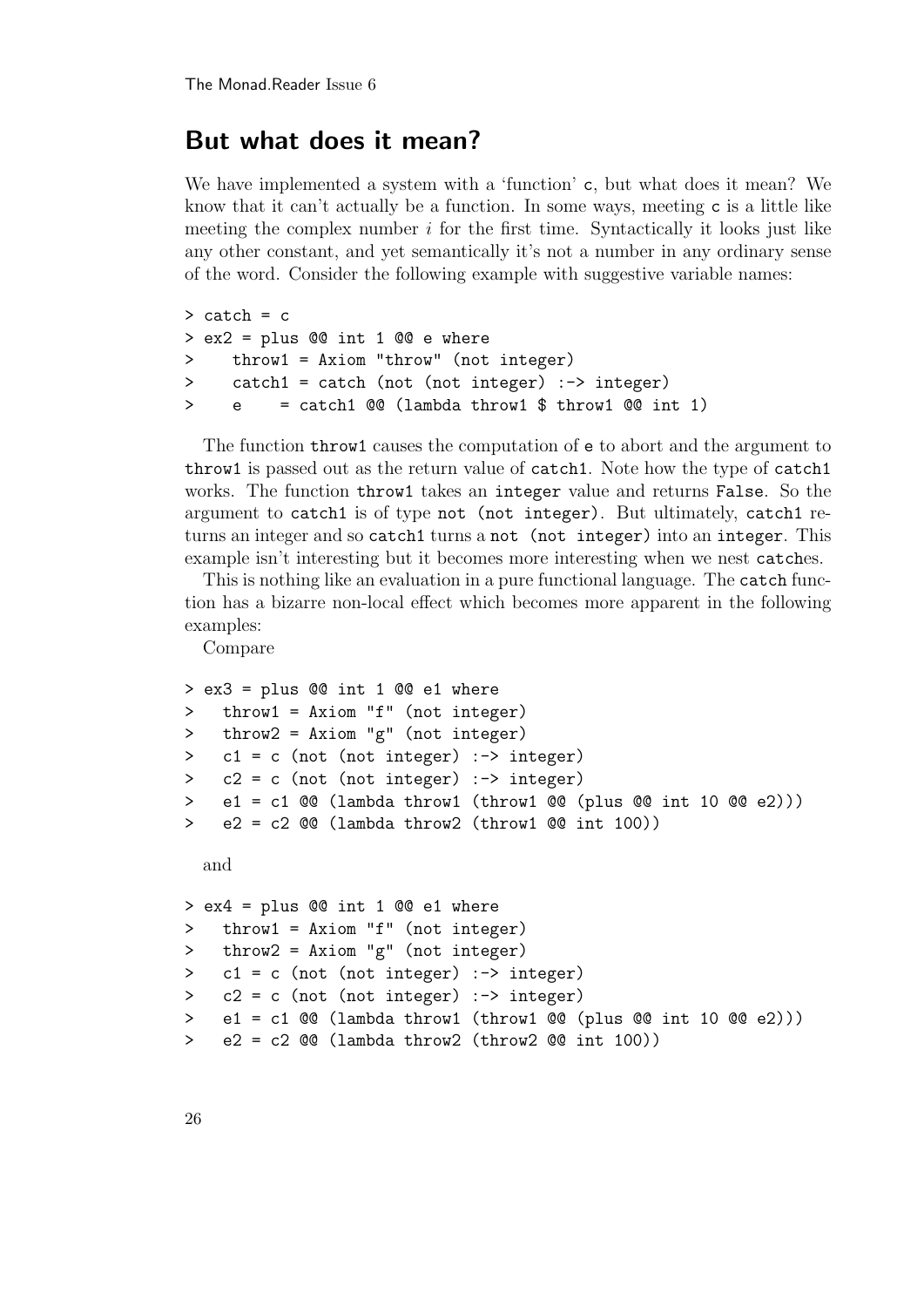#### But what does it mean?

We have implemented a system with a 'function' c, but what does it mean? We know that it can't actually be a function. In some ways, meeting c is a little like meeting the complex number  $i$  for the first time. Syntactically it looks just like any other constant, and yet semantically it's not a number in any ordinary sense of the word. Consider the following example with suggestive variable names:

```
> catch = c
> ex2 = plus @@ int 1 @@ e where
> throw1 = Axiom "throw" (not integer)
> catch1 = catch (not (not integer) :-> integer)
> e = catch1 @ (lambda throw1 $ throw1 @ int 1)
```
The function throw1 causes the computation of e to abort and the argument to throw1 is passed out as the return value of catch1. Note how the type of catch1 works. The function throw1 takes an integer value and returns False. So the argument to catch1 is of type not (not integer). But ultimately, catch1 returns an integer and so catch1 turns a not (not integer) into an integer. This example isn't interesting but it becomes more interesting when we nest catches.

This is nothing like an evaluation in a pure functional language. The catch function has a bizarre non-local effect which becomes more apparent in the following examples:

Compare

```
> ex3 = plus @@ int 1 @@ e1 where
> throw1 = Axiom "f" (not integer)
> throw2 = Axiom "g" (not integer)
> c1 = c (not (not integer) :-> integer)
> c2 = c (not (not integer) :-> integer)
> e1 = c1 @@ (lambda throw1 (throw1 @@ (plus @@ int 10 @@ e2)))
> e2 = c2 @Q (lambda throw2 (throw1 @Q int 100))
 and
> ex4 = plus @@ int 1 @@ e1 where
> throw1 = Axiom "f" (not integer)
> throw2 = Axiom "g" (not integer)
> c1 = c (not (not integer) :-> integer)
```

```
> c2 = c (not (not integer) :-> integer)
```

```
> e1 = c1 @@ (lambda throw1 (throw1 @@ (plus @@ int 10 @@ e2)))
> e2 = c2 @@ (lambda throw2 (throw2 @@ int 100))
```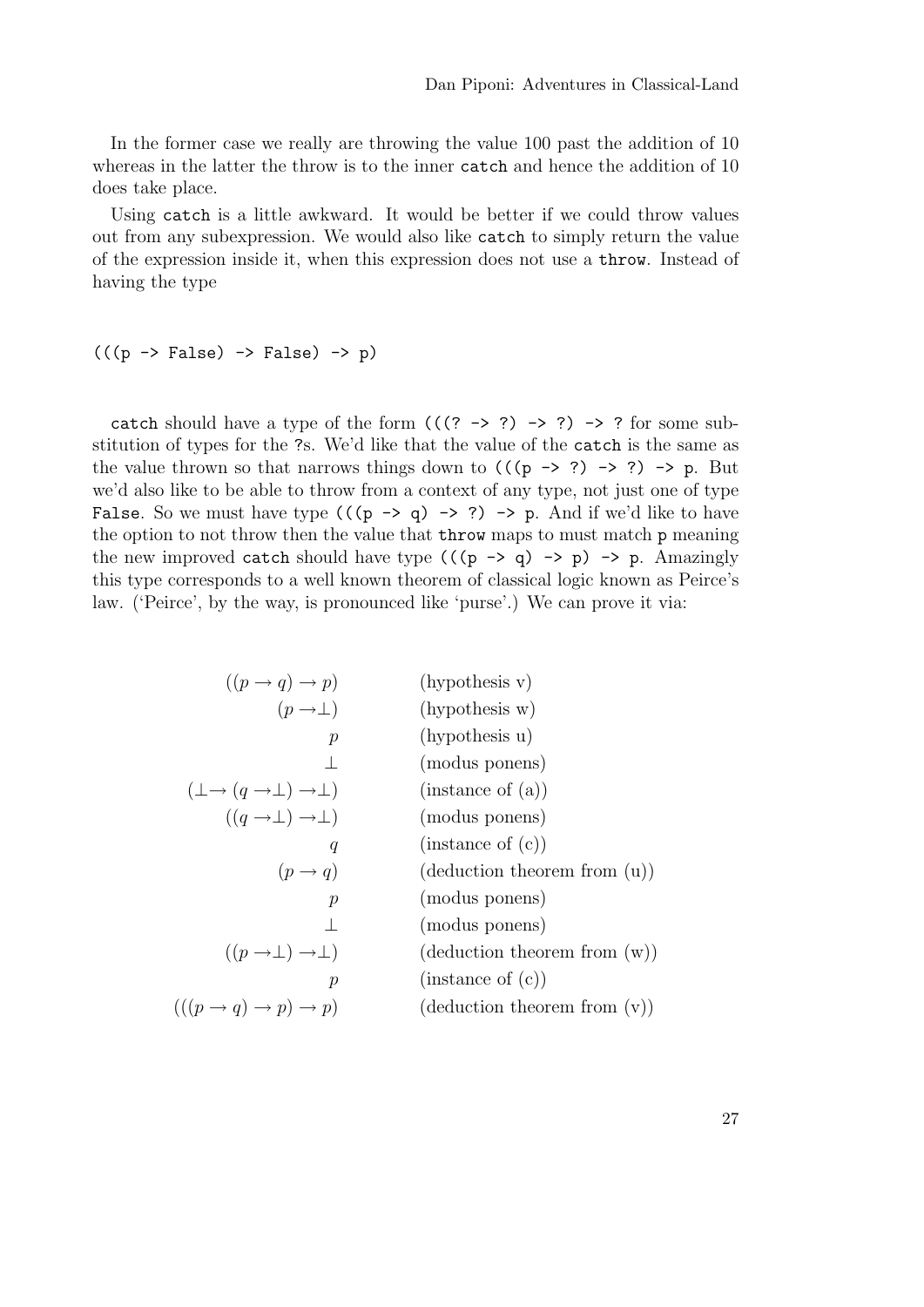In the former case we really are throwing the value 100 past the addition of 10 whereas in the latter the throw is to the inner catch and hence the addition of 10 does take place.

Using catch is a little awkward. It would be better if we could throw values out from any subexpression. We would also like catch to simply return the value of the expression inside it, when this expression does not use a throw. Instead of having the type

 $(((p \rightarrow False) \rightarrow False) \rightarrow p)$ 

catch should have a type of the form  $(((? \rightarrow ?) \rightarrow ?) \rightarrow ?$  for some substitution of types for the ?s. We'd like that the value of the catch is the same as the value thrown so that narrows things down to  $((p \rightarrow ?) \rightarrow ?) \rightarrow p$ . But we'd also like to be able to throw from a context of any type, not just one of type False. So we must have type  $((p \rightarrow q) \rightarrow ?) \rightarrow p$ . And if we'd like to have the option to not throw then the value that throw maps to must match p meaning the new improved catch should have type  $((p \rightarrow q) \rightarrow p) \rightarrow p$ . Amazingly this type corresponds to a well known theorem of classical logic known as Peirce's law. ('Peirce', by the way, is pronounced like 'purse'.) We can prove it via:

$$
((p \to q) \to p) \qquad \text{(hypothesis v)}
$$
\n
$$
(p \to \perp) \qquad \text{(hypothesis w)}
$$
\n
$$
p \qquad \text{(hypothesis u)}
$$
\n
$$
(\perp \to (q \to \perp) \to \perp) \qquad \text{(instance of (a))}
$$
\n
$$
((q \to \perp) \to \perp) \qquad \text{(modus ponens)}
$$
\n
$$
q \qquad \text{(instance of (c))}
$$
\n
$$
(p \to q) \qquad \text{(deduction theorem from (u))}
$$
\n
$$
p \qquad \text{(modus ponens)}
$$
\n
$$
((p \to \perp) \to \perp) \qquad \text{(modus ponens)}
$$
\n
$$
((p \to q) \to p) \qquad \text{(deduction theorem from (w))}
$$
\n
$$
p \qquad \text{(instance of (c))}
$$
\n
$$
(((p \to q) \to p) \to p) \qquad \text{(deduction theorem from (v))}
$$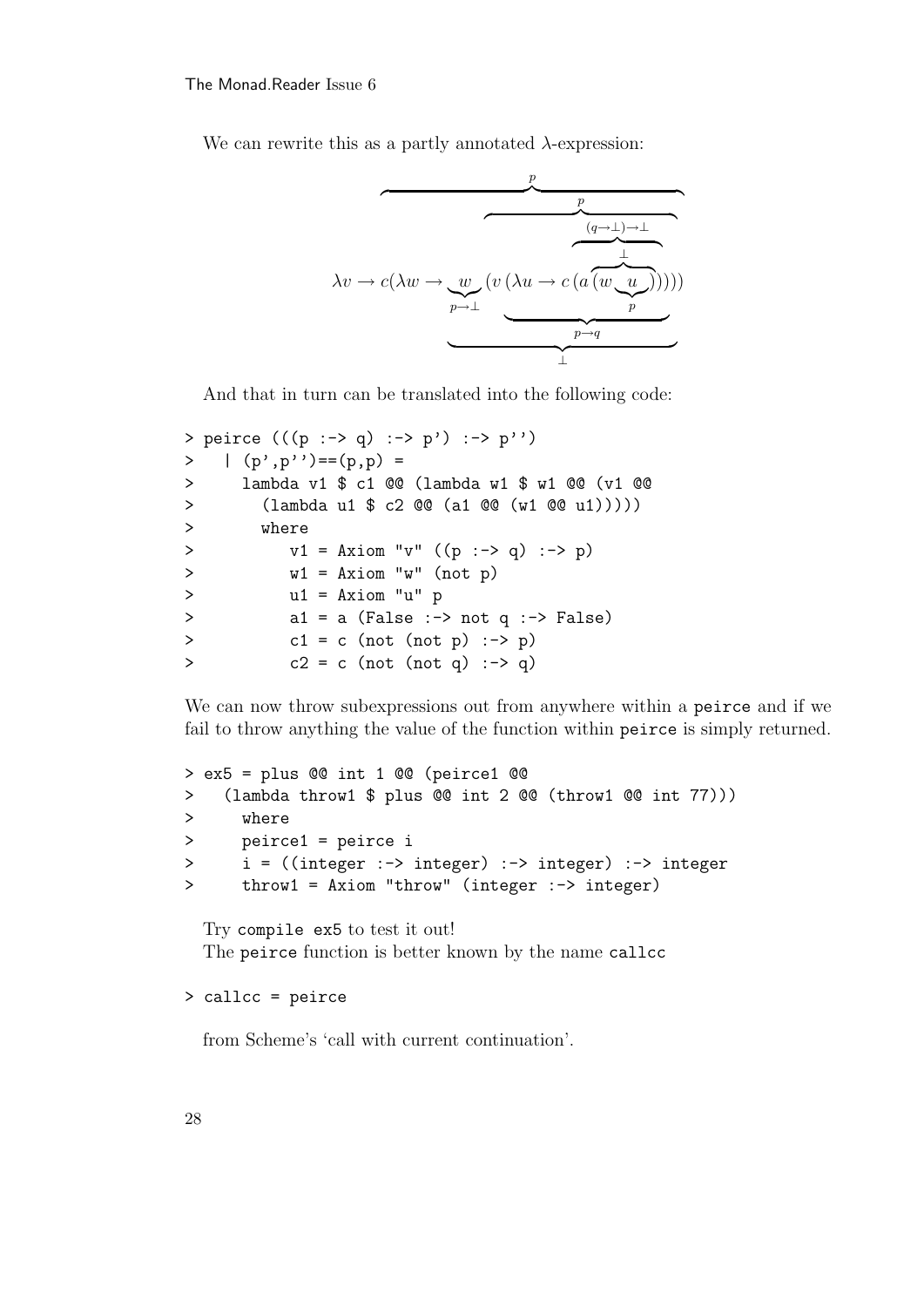We can rewrite this as a partly annotated  $\lambda$ -expression:

$$
\lambda v \to c(\lambda w \to \underbrace{w}_{p \to \perp} (v \underbrace{(\lambda u \to c \underbrace{(a \underbrace{w \to b \to \perp}_{p \to q} P)}_{p \to q})))))
$$

And that in turn can be translated into the following code:

```
> peirce (((p :-> q) :-> p') :-> p'')> | (p', p'') = (p, p) => lambda v1 $ c1 @@ (lambda w1 $ w1 @@ (v1 @@
> (lambda u1 $ c2 @@ (a1 @@ (w1 @@ u1)))))
> where
> v1 = Axiom "v" ((p :- > q) :- > p)> w1 = Axiom "w" (not p)> u1 = Axiom "u" p
> a1 = a (False :-> not q :-> False)
> c1 = c (not (not p) :-> p)
> c2 = c (not (not q) :-> q)
```
We can now throw subexpressions out from anywhere within a peirce and if we fail to throw anything the value of the function within peirce is simply returned.

```
> ex5 = plus @@ int 1 @@ (peirce1 @@
> (lambda throw1 $ plus @@ int 2 @@ (throw1 @@ int 77)))
> where
> peirce1 = peirce i
> i = ((integer :-> integer) :-> integer) :-> integer
> throw1 = Axiom "throw" (integer :-> integer)
```
Try compile ex5 to test it out! The peirce function is better known by the name callcc

```
> callcc = peirce
```
from Scheme's 'call with current continuation'.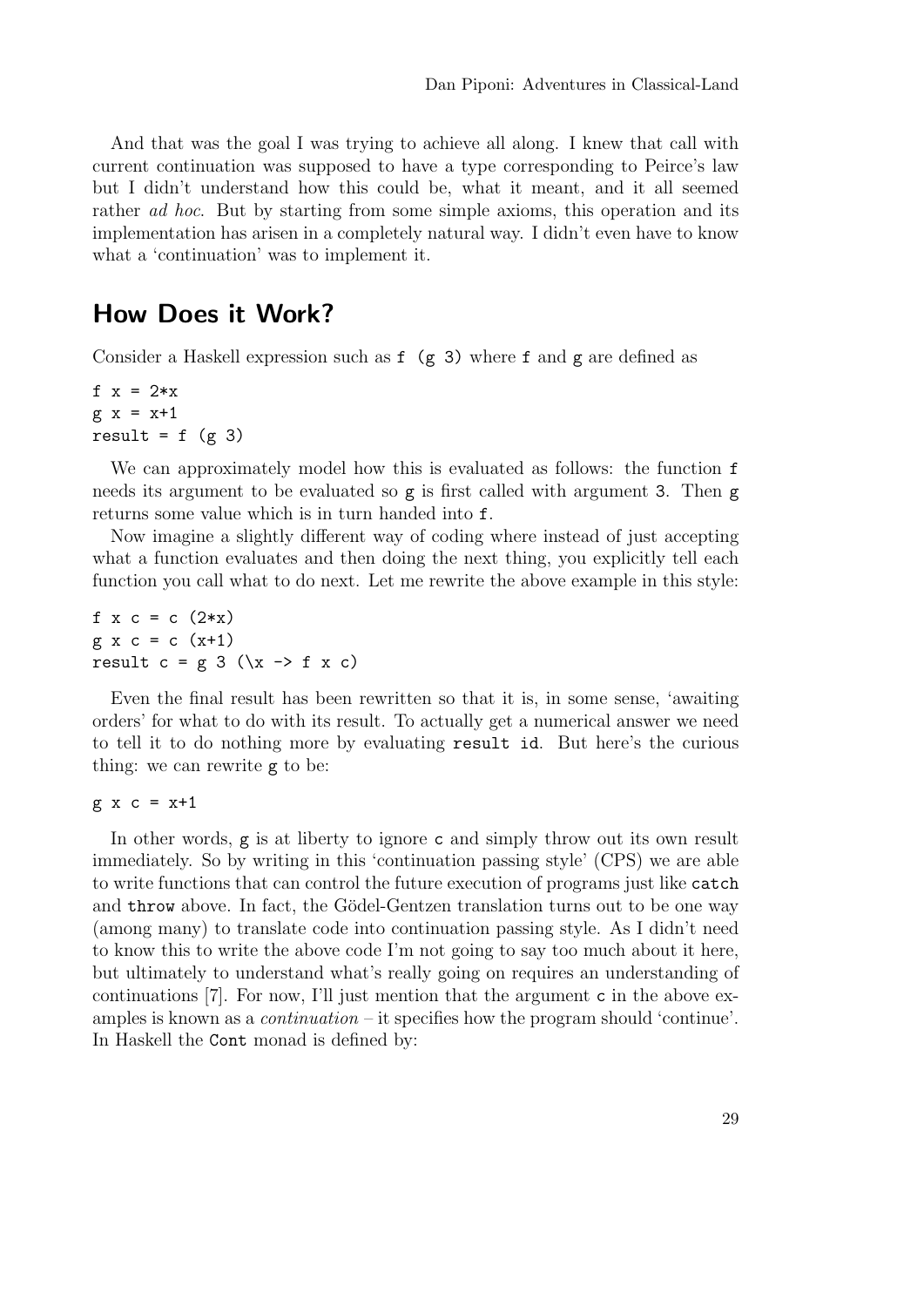And that was the goal I was trying to achieve all along. I knew that call with current continuation was supposed to have a type corresponding to Peirce's law but I didn't understand how this could be, what it meant, and it all seemed rather ad hoc. But by starting from some simple axioms, this operation and its implementation has arisen in a completely natural way. I didn't even have to know what a 'continuation' was to implement it.

#### How Does it Work?

Consider a Haskell expression such as f (g 3) where f and g are defined as

```
f x = 2*xg x = x + 1result = f (g 3)
```
We can approximately model how this is evaluated as follows: the function f needs its argument to be evaluated so g is first called with argument 3. Then g returns some value which is in turn handed into f.

Now imagine a slightly different way of coding where instead of just accepting what a function evaluates and then doing the next thing, you explicitly tell each function you call what to do next. Let me rewrite the above example in this style:

f x  $c = c$   $(2*x)$  $g \times c = c (x+1)$ result  $c = g \frac{3}{x} \rightarrow f \frac{x}{c}$ 

Even the final result has been rewritten so that it is, in some sense, 'awaiting orders' for what to do with its result. To actually get a numerical answer we need to tell it to do nothing more by evaluating result id. But here's the curious thing: we can rewrite g to be:

#### $g \times c = x+1$

In other words, g is at liberty to ignore c and simply throw out its own result immediately. So by writing in this 'continuation passing style' (CPS) we are able to write functions that can control the future execution of programs just like catch and throw above. In fact, the Gödel-Gentzen translation turns out to be one way (among many) to translate code into continuation passing style. As I didn't need to know this to write the above code I'm not going to say too much about it here, but ultimately to understand what's really going on requires an understanding of continuations [\[7\]](#page-31-0). For now, I'll just mention that the argument c in the above examples is known as a *continuation* – it specifies how the program should 'continue'. In Haskell the Cont monad is defined by: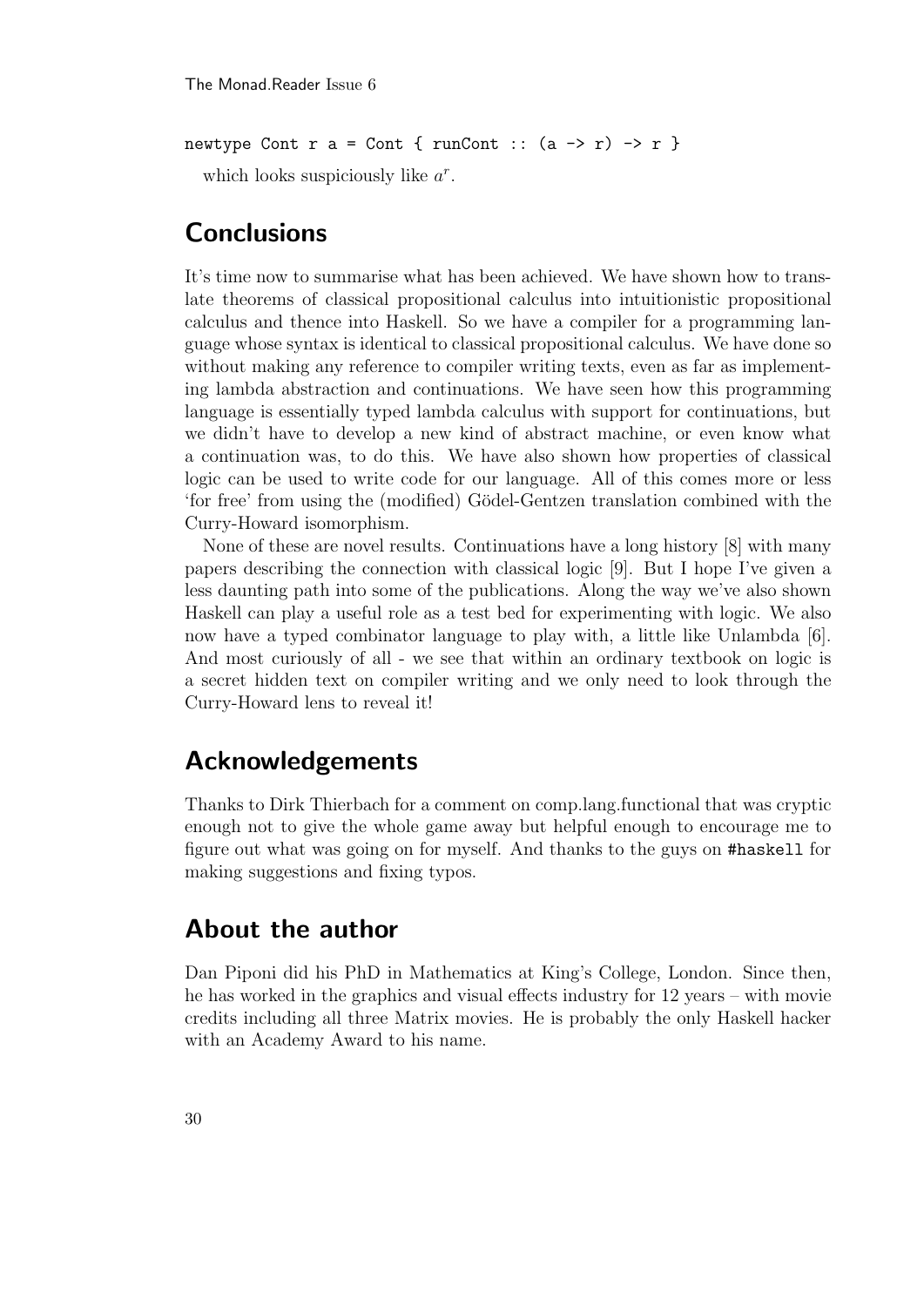```
newtype Cont r a = Cont { runCont :: (a \rightarrow r) \rightarrow r }
  which looks suspiciously like a^r.
```
#### Conclusions

It's time now to summarise what has been achieved. We have shown how to translate theorems of classical propositional calculus into intuitionistic propositional calculus and thence into Haskell. So we have a compiler for a programming language whose syntax is identical to classical propositional calculus. We have done so without making any reference to compiler writing texts, even as far as implementing lambda abstraction and continuations. We have seen how this programming language is essentially typed lambda calculus with support for continuations, but we didn't have to develop a new kind of abstract machine, or even know what a continuation was, to do this. We have also shown how properties of classical logic can be used to write code for our language. All of this comes more or less 'for free' from using the (modified) G¨odel-Gentzen translation combined with the Curry-Howard isomorphism.

None of these are novel results. Continuations have a long history [\[8\]](#page-31-1) with many papers describing the connection with classical logic [\[9\]](#page-31-2). But I hope I've given a less daunting path into some of the publications. Along the way we've also shown Haskell can play a useful role as a test bed for experimenting with logic. We also now have a typed combinator language to play with, a little like Unlambda [\[6\]](#page-30-5). And most curiously of all - we see that within an ordinary textbook on logic is a secret hidden text on compiler writing and we only need to look through the Curry-Howard lens to reveal it!

#### Acknowledgements

Thanks to Dirk Thierbach for a comment on comp.lang.functional that was cryptic enough not to give the whole game away but helpful enough to encourage me to figure out what was going on for myself. And thanks to the guys on #haskell for making suggestions and fixing typos.

#### About the author

Dan Piponi did his PhD in Mathematics at King's College, London. Since then, he has worked in the graphics and visual effects industry for 12 years – with movie credits including all three Matrix movies. He is probably the only Haskell hacker with an Academy Award to his name.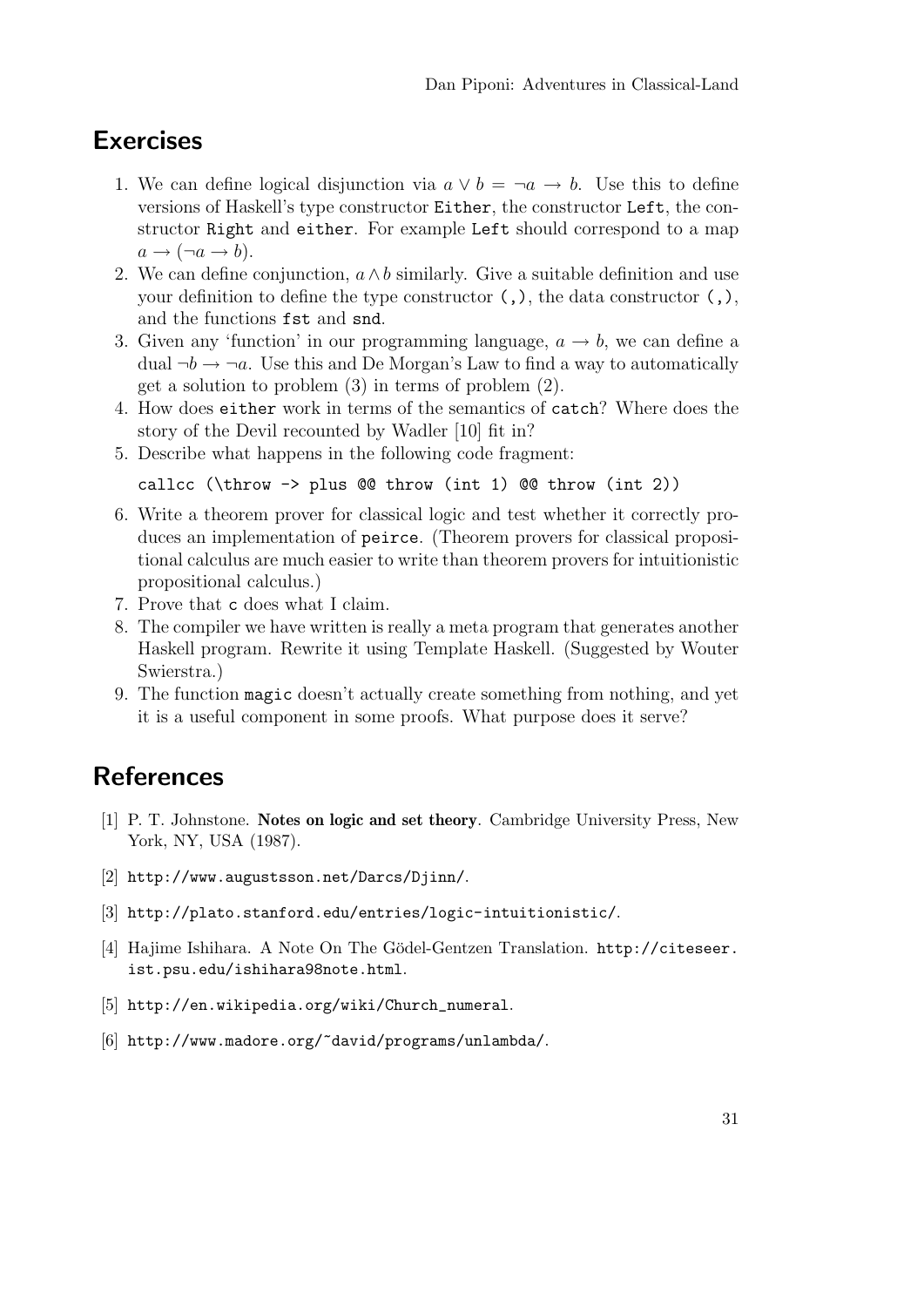#### **Exercises**

- 1. We can define logical disjunction via  $a \vee b = \neg a \rightarrow b$ . Use this to define versions of Haskell's type constructor Either, the constructor Left, the constructor Right and either. For example Left should correspond to a map  $a \rightarrow (\neg a \rightarrow b).$
- 2. We can define conjunction,  $a \wedge b$  similarly. Give a suitable definition and use your definition to define the type constructor (,), the data constructor (,), and the functions fst and snd.
- 3. Given any 'function' in our programming language,  $a \rightarrow b$ , we can define a dual  $\neg b \rightarrow \neg a$ . Use this and De Morgan's Law to find a way to automatically get a solution to problem (3) in terms of problem (2).
- 4. How does either work in terms of the semantics of catch? Where does the story of the Devil recounted by Wadler [\[10\]](#page-31-3) fit in?
- 5. Describe what happens in the following code fragment:

```
callcc (\throw -> plus @@ throw (int 1) @@ throw (int 2))
```
- 6. Write a theorem prover for classical logic and test whether it correctly produces an implementation of peirce. (Theorem provers for classical propositional calculus are much easier to write than theorem provers for intuitionistic propositional calculus.)
- 7. Prove that c does what I claim.
- 8. The compiler we have written is really a meta program that generates another Haskell program. Rewrite it using Template Haskell. (Suggested by Wouter Swierstra.)
- 9. The function magic doesn't actually create something from nothing, and yet it is a useful component in some proofs. What purpose does it serve?

#### References

- <span id="page-30-0"></span>[1] P. T. Johnstone. Notes on logic and set theory. Cambridge University Press, New York, NY, USA (1987).
- <span id="page-30-1"></span>[2] <http://www.augustsson.net/Darcs/Djinn/>.
- <span id="page-30-2"></span>[3] <http://plato.stanford.edu/entries/logic-intuitionistic/>.
- <span id="page-30-3"></span>[4] Hajime Ishihara. A Note On The Gödel-Gentzen Translation. [http://citeseer.](http://citeseer.ist.psu.edu/ishihara98note.html) [ist.psu.edu/ishihara98note.html](http://citeseer.ist.psu.edu/ishihara98note.html).
- <span id="page-30-4"></span>[5] [http://en.wikipedia.org/wiki/Church\\_numeral](http://en.wikipedia.org/wiki/Church_numeral).
- <span id="page-30-5"></span>[6] <http://www.madore.org/~david/programs/unlambda/>.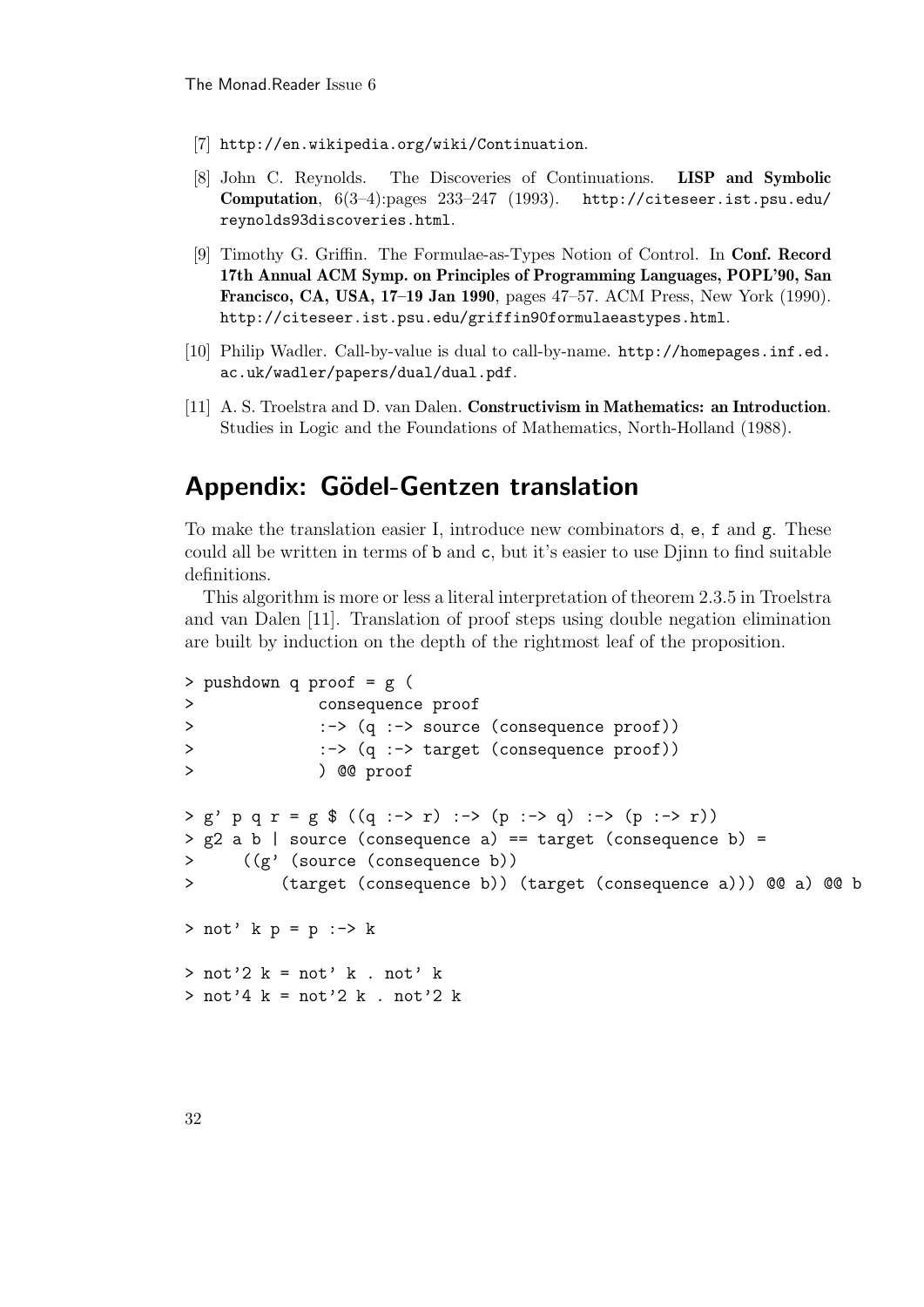- <span id="page-31-0"></span>[7] <http://en.wikipedia.org/wiki/Continuation>.
- <span id="page-31-1"></span>[8] John C. Reynolds. The Discoveries of Continuations. LISP and Symbolic Computation, 6(3–4):pages 233–247 (1993). [http://citeseer.ist.psu.edu/](http://citeseer.ist.psu.edu/reynolds93discoveries.html) [reynolds93discoveries.html](http://citeseer.ist.psu.edu/reynolds93discoveries.html).
- <span id="page-31-2"></span>[9] Timothy G. Griffin. The Formulae-as-Types Notion of Control. In Conf. Record 17th Annual ACM Symp. on Principles of Programming Languages, POPL'90, San Francisco, CA, USA, 17–19 Jan 1990, pages 47–57. ACM Press, New York (1990). <http://citeseer.ist.psu.edu/griffin90formulaeastypes.html>.
- <span id="page-31-3"></span>[10] Philip Wadler. Call-by-value is dual to call-by-name. [http://homepages.inf.ed.](http://homepages.inf.ed.ac.uk/wadler/papers/dual/dual.pdf) [ac.uk/wadler/papers/dual/dual.pdf](http://homepages.inf.ed.ac.uk/wadler/papers/dual/dual.pdf).
- <span id="page-31-4"></span>[11] A. S. Troelstra and D. van Dalen. Constructivism in Mathematics: an Introduction. Studies in Logic and the Foundations of Mathematics, North-Holland (1988).

#### Appendix: Gödel-Gentzen translation

To make the translation easier I, introduce new combinators d, e, f and g. These could all be written in terms of b and c, but it's easier to use Djinn to find suitable definitions.

This algorithm is more or less a literal interpretation of theorem 2.3.5 in Troelstra and van Dalen [\[11\]](#page-31-4). Translation of proof steps using double negation elimination are built by induction on the depth of the rightmost leaf of the proposition.

```
> pushdown q proof = g (
> consequence proof
> :-> (q :-> source (consequence proof))
> :-> (q :-> target (consequence proof))
> ) @@ proof
> g' p q r = g $ ((q :-> r) :-> (p :-> q) :-> (p :-> r))
> g2 a b | source (consequence a) == target (consequence b) =
> ((g' (source (consequence b))
> (target (consequence b)) (target (consequence a))) @@ a) @@ b
> not' k p = p :-> k
> not'2 k = not' k . not' k
> not'4 k = not'2 k . not'2 k
```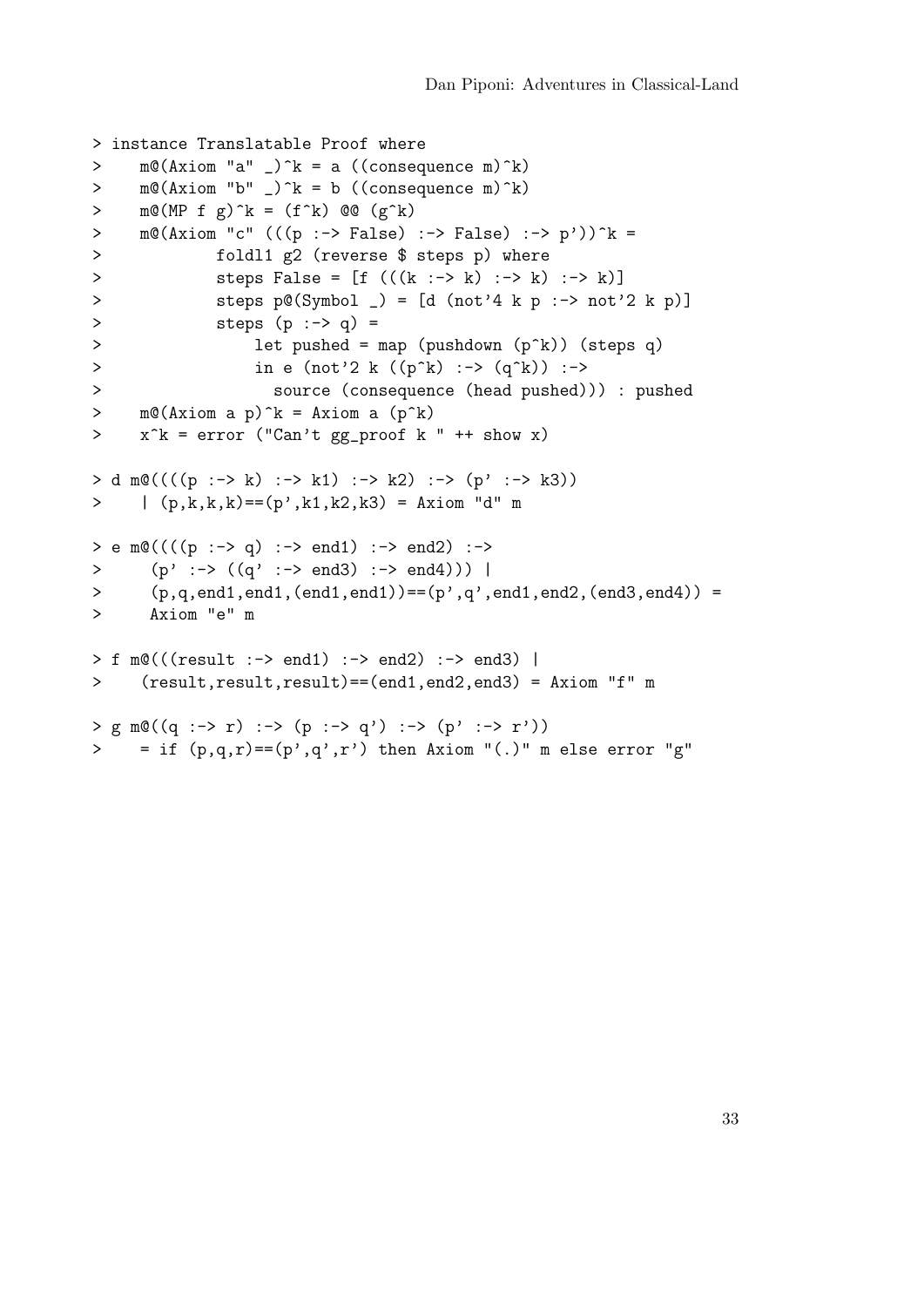```
> instance Translatable Proof where
> m@(Axiom "a" _ )^k = a ((consequence m)^k)> m@(Axiom "b" _)^k = b ((consequence m)^k)
> m@(MP f g)^k = (f^k) @@ (g^k)> m@(Axiom "c" ((p :-> False) :-> False) :-> p')^k => foldl1 g2 (reverse $ steps p) where
> steps False = [f (((k :-> k) :-> k) :-> k)]
> steps p@(Symbol _) = [d (not'4 k p :-> not'2 k p)]
> steps (p :-> q) =
> let pushed = map (pushdown (p^k)) (steps q)
> in e (not'2 k ((p^k) :-> (q^k)) :->
> source (consequence (head pushed))) : pushed
> m@(Axiom a p)\hat{k} = Axiom a (p\hat{k})
> x^k = error ("Can't gg_proof k " ++ show x)
> d m@((((p :-> k) :-> k1) :-> k2) :-> (p' :-> k3))
> | (p,k,k,k)==(p',k1,k2,k3) = Axiom "d" m> e m\mathbb{O}((((p :-> q) :-> \text{end1}) :-> \text{end2}) :->> (p' :=>(q' :=>-\text{end3}) :->\text{end4}))> (p,q,end1,end1, (end1,end1))==(p',q',end1,end2, (end3,end4)) =
> Axiom "e" m
> f m@(((result :-> end1) :-> end2) :-> end3)> (result,result,result)==(end1,end2,end3) = Axiom "f" m
> g \text{ m@}((q \div r) \div (p \div q)) \div (p' \div (p' \div r))> = if (p,q,r)=p',q',r') then Axiom "(.)" m else error "g"
```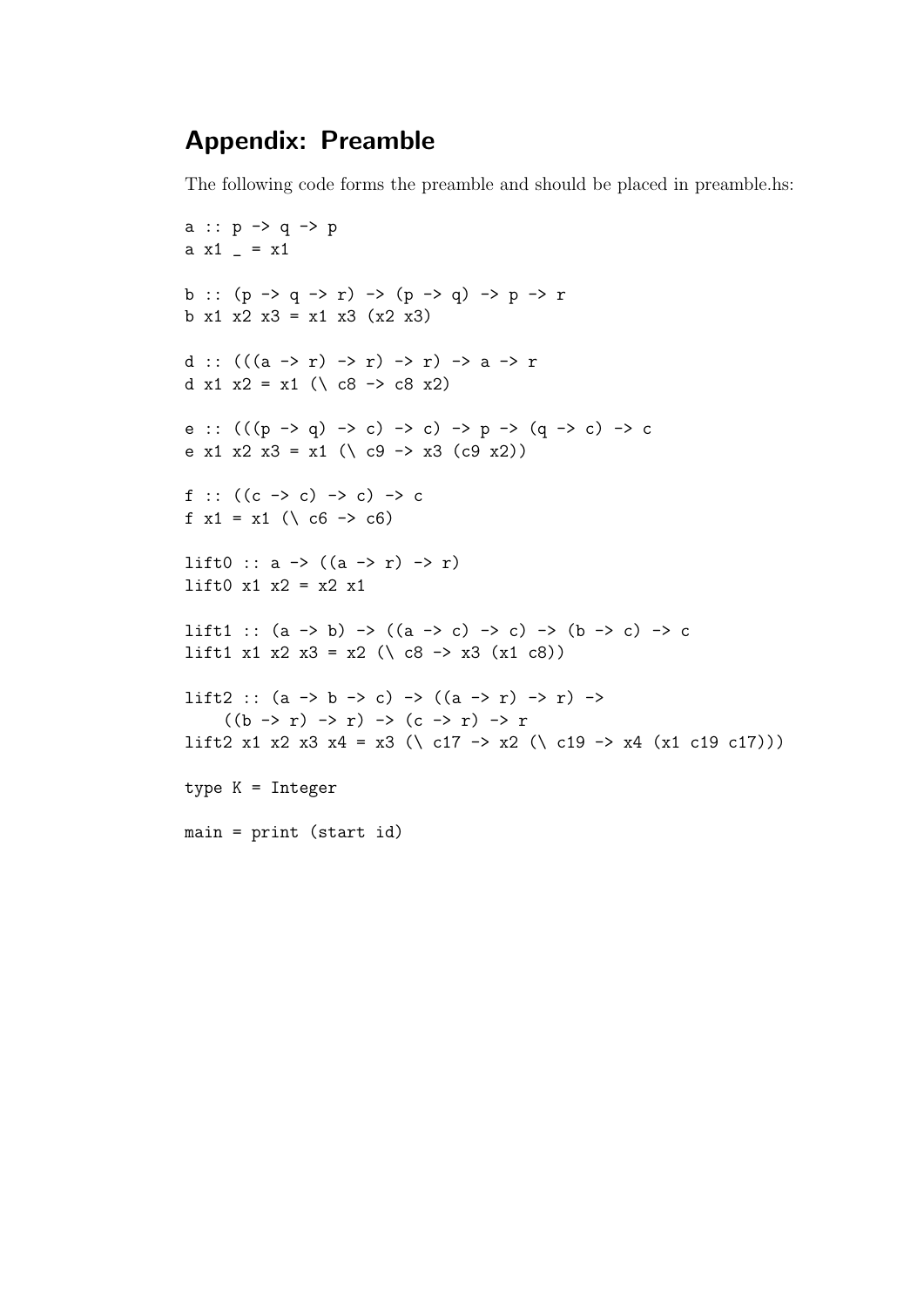### Appendix: Preamble

The following code forms the preamble and should be placed in preamble.hs:

```
a :: p -> q -> p
a x1 = x1b :: (p \rightarrow q \rightarrow r) \rightarrow (p \rightarrow q) \rightarrow p \rightarrow rb \text{ x1 x2 x3} = x1 x3 (x2 x3)d :: (((a \rightarrow r) \rightarrow r) \rightarrow r) \rightarrow a \rightarrow rd x1 x2 = x1 (\ c8 -> c8 x2)
e :: (((p \rightarrow q) \rightarrow c) \rightarrow c) \rightarrow p \rightarrow (q \rightarrow c) \rightarrow ce x1 x2 x3 = x1 (\ c9 \rightarrow x3 (c9 \text{ x2}))
f :: ((c \rightarrow c) \rightarrow c) \rightarrow cf x1 = x1 (\ c6 \rightarrow c6)
lift0 :: a -> ((a \rightarrow r) \rightarrow r)lift0 x1 x2 = x2 x1lift1 :: (a \rightarrow b) \rightarrow ((a \rightarrow c) \rightarrow c) \rightarrow (b \rightarrow c) \rightarrow clift1 x1 x2 x3 = x2 (\ c8 \rightarrow x3 (x1 c8))
lift2 :: (a \rightarrow b \rightarrow c) \rightarrow ((a \rightarrow r) \rightarrow r) \rightarrow((b \rightarrow r) \rightarrow r) \rightarrow (c \rightarrow r) \rightarrow rlift2 x1 x2 x3 x4 = x3 (\ c17 -> x2 (\ c19 -> x4 (x1 c19 c17)))
type K = Integer
main = print (start id)
```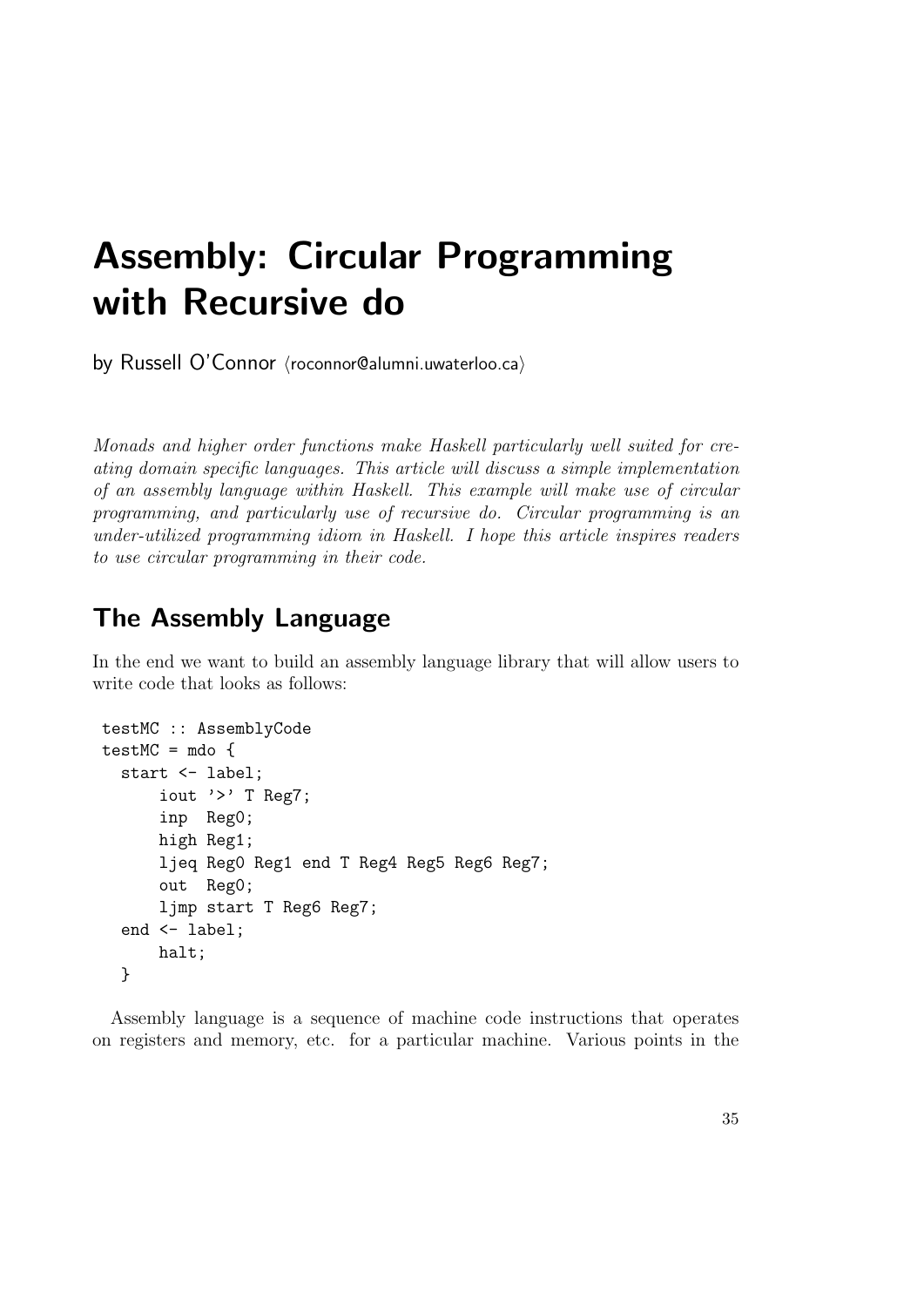# Assembly: Circular Programming with Recursive do

by Russell O'Connor (roconnor@alumni.uwaterloo.ca)

<span id="page-34-0"></span>Monads and higher order functions make Haskell particularly well suited for creating domain specific languages. This article will discuss a simple implementation of an assembly language within Haskell. This example will make use of circular programming, and particularly use of recursive do. Circular programming is an under-utilized programming idiom in Haskell. I hope this article inspires readers to use circular programming in their code.

### The Assembly Language

In the end we want to build an assembly language library that will allow users to write code that looks as follows:

```
testMC :: AssemblyCode
testMC = \text{mdo} {
 start <- label;
      iout '>' T Reg7;
      inp Reg0;
      high Reg1;
      ljeq Reg0 Reg1 end T Reg4 Reg5 Reg6 Reg7;
      out Reg0;
      ljmp start T Reg6 Reg7;
 end <- label;
      halt;
  }
```
Assembly language is a sequence of machine code instructions that operates on registers and memory, etc. for a particular machine. Various points in the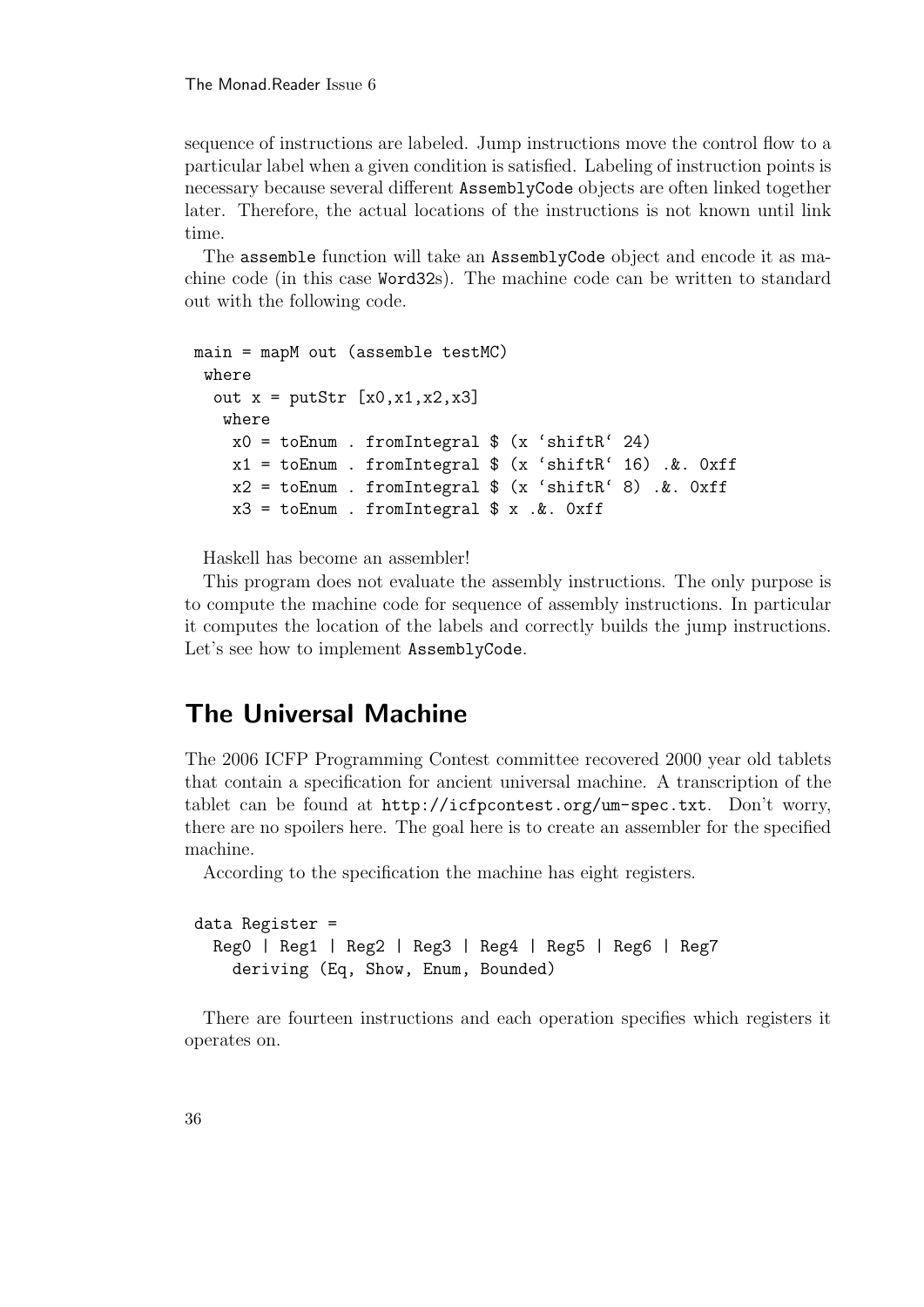sequence of instructions are labeled. Jump instructions move the control flow to a particular label when a given condition is satisfied. Labeling of instruction points is necessary because several different AssemblyCode objects are often linked together later. Therefore, the actual locations of the instructions is not known until link time.

The assemble function will take an AssemblyCode object and encode it as machine code (in this case Word32s). The machine code can be written to standard out with the following code.

```
main = mapM out (assemble testMC)
 where
  out x = putStr [x0, x1, x2, x3]where
     x0 = \text{toEnum}. fromIntegral \frac{1}{2} (x 'shiftR' 24)
     x1 = \text{toEnum}. fromIntegral \frac{1}{2} (x 'shiftR' 16) .&. Oxff
     x2 = \text{toEnum}. fromIntegral x = \text{shiftR} (x \text{shiftR} 8) .&. 0xff
     x3 = \text{toEnum}. fromIntegral x \cdot x. 0xff
```
Haskell has become an assembler!

This program does not evaluate the assembly instructions. The only purpose is to compute the machine code for sequence of assembly instructions. In particular it computes the location of the labels and correctly builds the jump instructions. Let's see how to implement AssemblyCode.

#### The Universal Machine

The 2006 ICFP Programming Contest committee recovered 2000 year old tablets that contain a specification for ancient universal machine. A transcription of the tablet can be found at <http://icfpcontest.org/um-spec.txt>. Don't worry, there are no spoilers here. The goal here is to create an assembler for the specified machine.

According to the specification the machine has eight registers.

```
data Register =
 Reg0 | Reg1 | Reg2 | Reg3 | Reg4 | Reg5 | Reg6 | Reg7
    deriving (Eq, Show, Enum, Bounded)
```
There are fourteen instructions and each operation specifies which registers it operates on.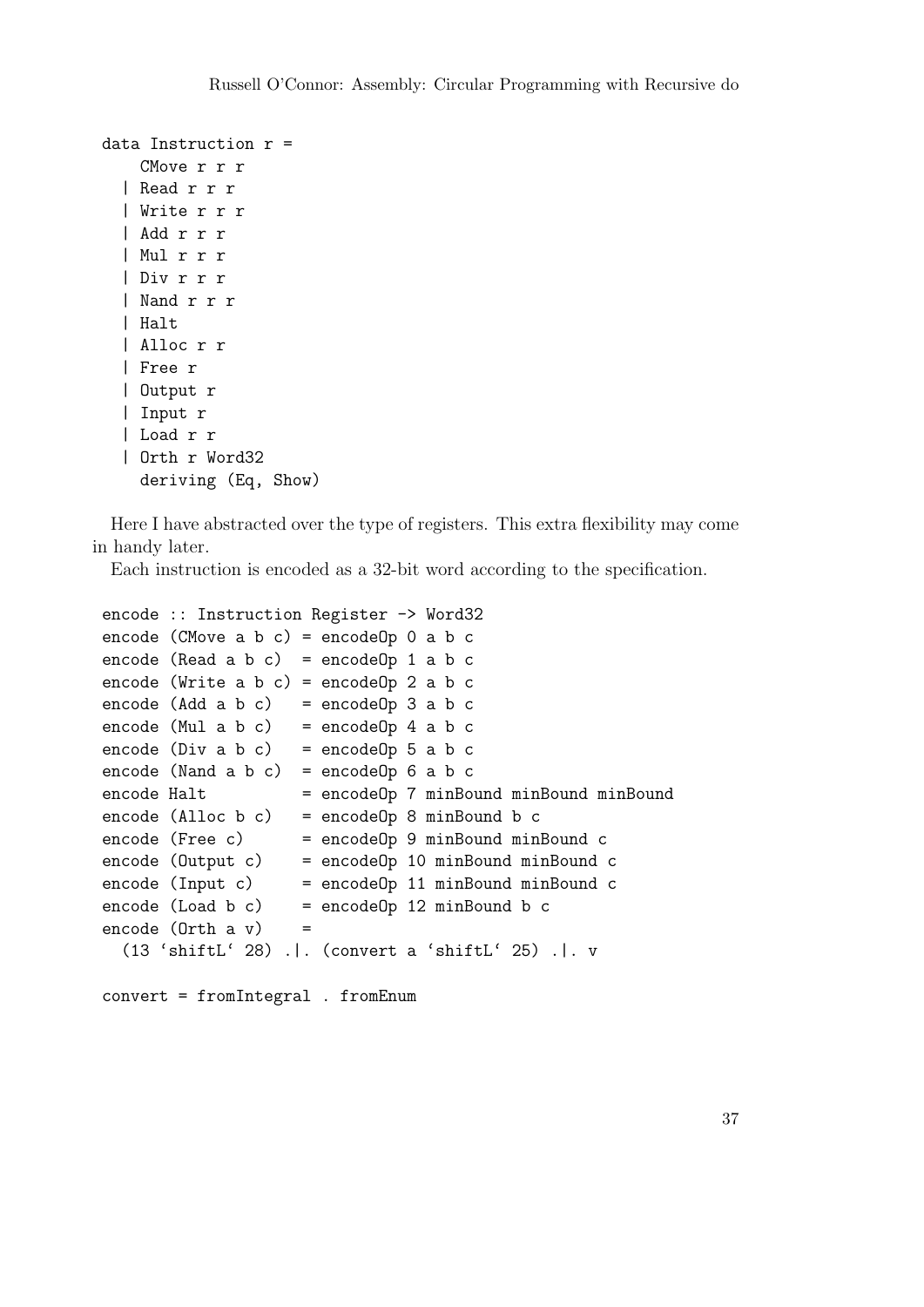```
data Instruction r =CMove r r r
  | Read r r r
  | Write r r r
  | Add r r r
  | Mul r r r
  | Div r r r
  | Nand r r r
  | Halt
  | Alloc r r
  | Free r
  | Output r
  | Input r
  | Load r r
  | Orth r Word32
    deriving (Eq, Show)
```
Here I have abstracted over the type of registers. This extra flexibility may come in handy later.

Each instruction is encoded as a 32-bit word according to the specification.

```
encode :: Instruction Register -> Word32
encode (CMove a b c) = encodeOp 0 a b c
encode (Read a b c) = encodeOp 1 a b c
encode (Write a b c) = encodeOp 2 a b c
encode (Add a b c) = encodeOp 3 a b cencode (Mul a b c) = encodeOp 4 a b c
encode (Div a b c) = encode0p 5 a b c
encode (Nand a b c) = encode Op 6 a b c
encode Halt = encodeOp 7 minBound minBound minBound
encode (Alloc b c) = encodeOp 8 minBound b c
encode (Free c) = encodeOp 9 minBound minBound c
encode (Output c) = encodeOp 10 minBound minBound c
encode (Input c) = encodeOp 11 minBound minBound c
encode (Load b c) = encode0p 12 minBound b c
encode (Orth a v) =
  (13 'shiftL' 28) .|. (convert a 'shiftL' 25) .|. v
```

```
convert = fromIntegral . fromEnum
```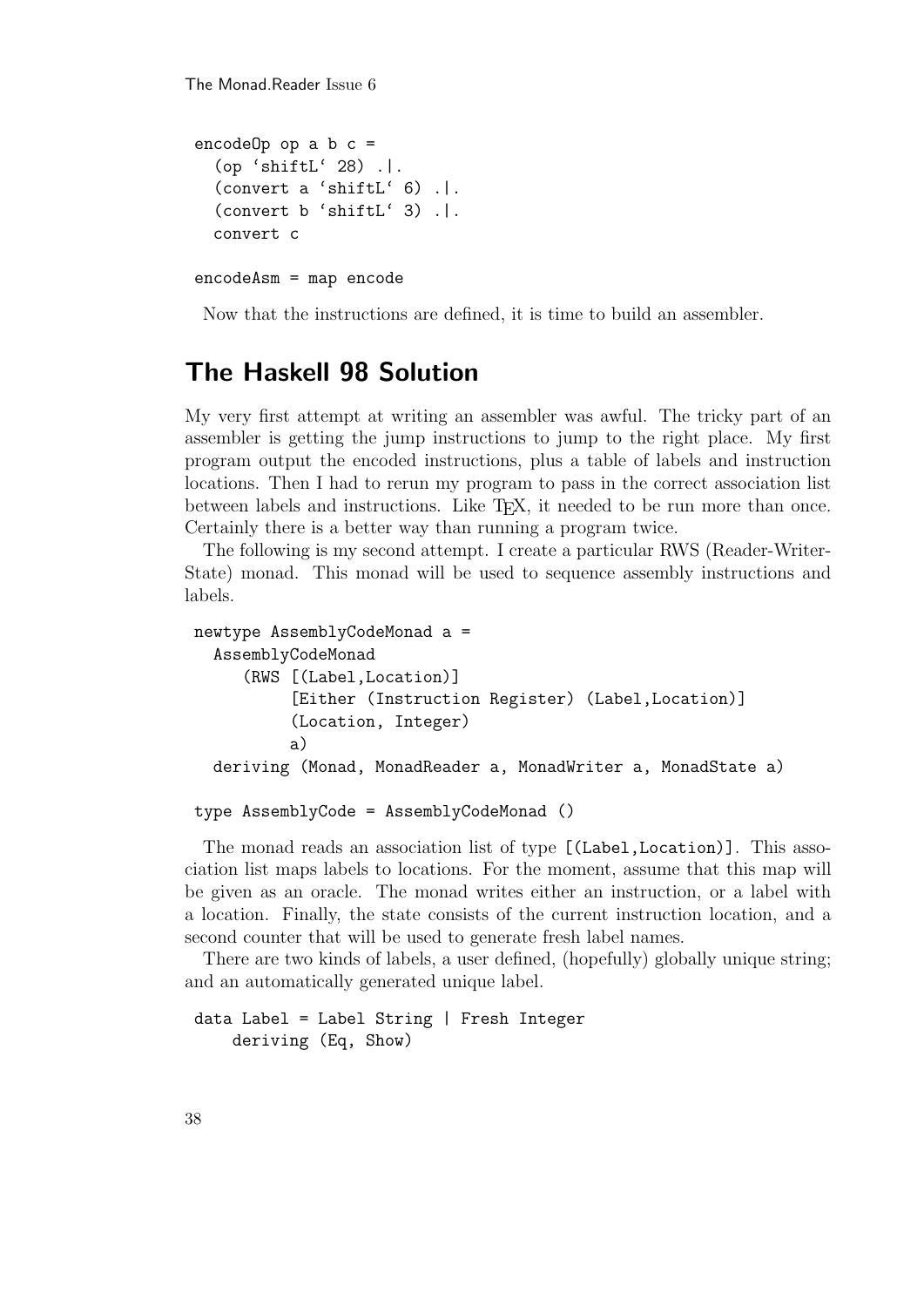```
encodeOp op a b c =
  (op 'shiftL' 28) .|.
  (convert a 'shiftL' 6) .|.
  (convert b 'shiftL' 3) .|.
 convert c
```
encodeAsm = map encode

Now that the instructions are defined, it is time to build an assembler.

### The Haskell 98 Solution

My very first attempt at writing an assembler was awful. The tricky part of an assembler is getting the jump instructions to jump to the right place. My first program output the encoded instructions, plus a table of labels and instruction locations. Then I had to rerun my program to pass in the correct association list between labels and instructions. Like T<sub>E</sub>X, it needed to be run more than once. Certainly there is a better way than running a program twice.

The following is my second attempt. I create a particular RWS (Reader-Writer-State) monad. This monad will be used to sequence assembly instructions and labels.

```
newtype AssemblyCodeMonad a =
  AssemblyCodeMonad
     (RWS [(Label,Location)]
          [Either (Instruction Register) (Label,Location)]
          (Location, Integer)
          a)
  deriving (Monad, MonadReader a, MonadWriter a, MonadState a)
```
#### type AssemblyCode = AssemblyCodeMonad ()

The monad reads an association list of type [(Label,Location)]. This association list maps labels to locations. For the moment, assume that this map will be given as an oracle. The monad writes either an instruction, or a label with a location. Finally, the state consists of the current instruction location, and a second counter that will be used to generate fresh label names.

There are two kinds of labels, a user defined, (hopefully) globally unique string; and an automatically generated unique label.

```
data Label = Label String | Fresh Integer
    deriving (Eq, Show)
```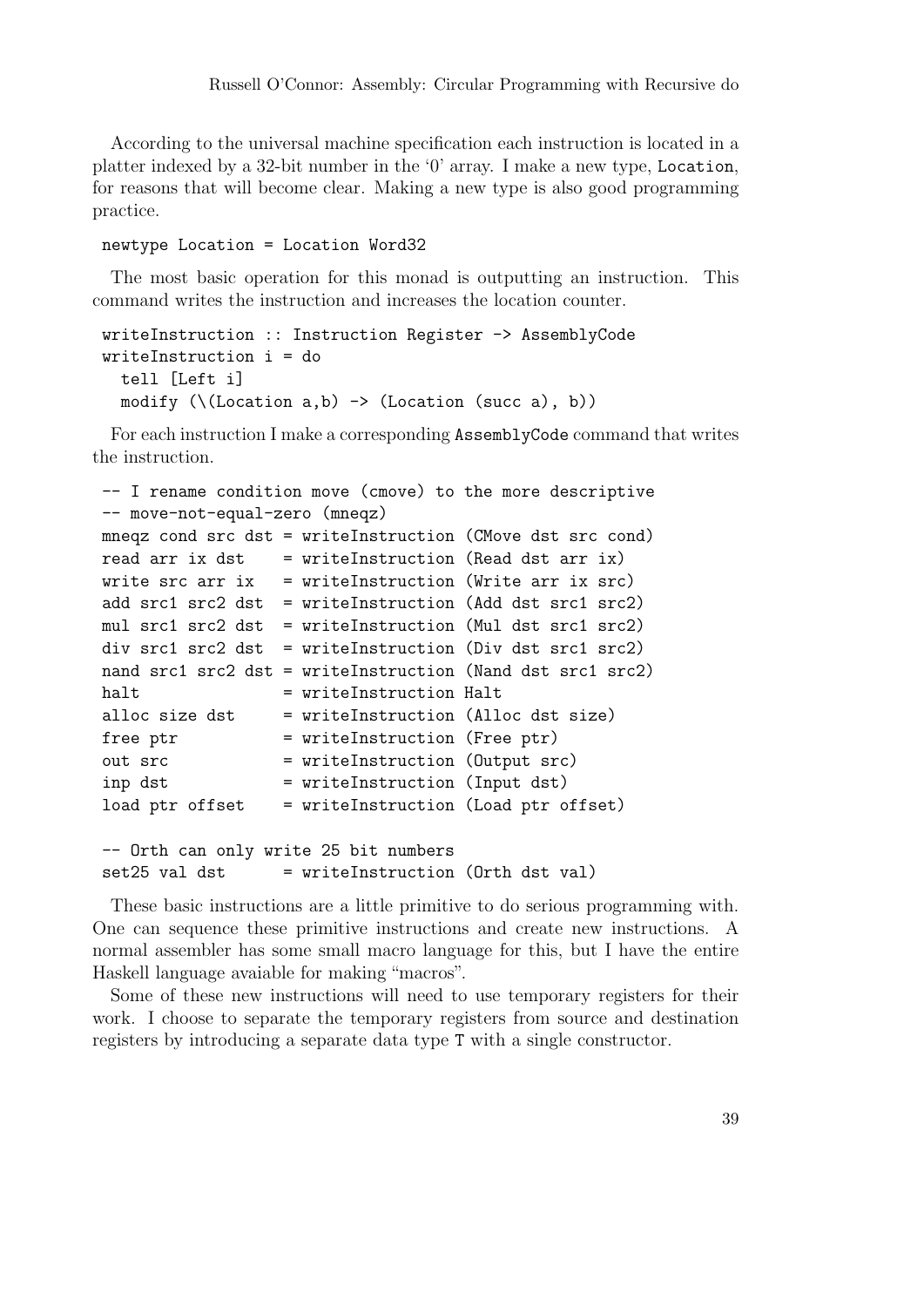According to the universal machine specification each instruction is located in a platter indexed by a 32-bit number in the '0' array. I make a new type, Location, for reasons that will become clear. Making a new type is also good programming practice.

newtype Location = Location Word32

The most basic operation for this monad is outputting an instruction. This command writes the instruction and increases the location counter.

```
writeInstruction :: Instruction Register -> AssemblyCode
writeInstruction i = do
  tell [Left i]
 modify (\{(Location a, b) \rightarrow (Location (succ a), b))
```
For each instruction I make a corresponding AssemblyCode command that writes the instruction.

```
-- I rename condition move (cmove) to the more descriptive
-- move-not-equal-zero (mneqz)
mneqz cond src dst = writeInstruction (CMove dst src cond)
read arr ix dst = writeInstruction (Read dst arr ix)
write src arr ix = writeInstruction (Write arr ix src)
add src1 src2 dst = writeInstruction (Add dst src1 src2)
mul src1 src2 dst = writeInstruction (Mul dst src1 src2)
div src1 src2 dst = writeInstruction (Div dst src1 src2)
nand src1 src2 dst = writeInstruction (Nand dst src1 src2)
halt = writeInstruction Halt
alloc size dst = writeInstruction (Alloc dst size)
free ptr = writeInstruction (Free ptr)
out src = writeInstruction (Output src)
inp dst = writeInstruction (Input dst)
load ptr offset = writeInstruction (Load ptr offset)
-- Orth can only write 25 bit numbers
set25 val dst = writeInstruction (Orth dst val)
```
These basic instructions are a little primitive to do serious programming with. One can sequence these primitive instructions and create new instructions. A normal assembler has some small macro language for this, but I have the entire Haskell language avaiable for making "macros".

Some of these new instructions will need to use temporary registers for their work. I choose to separate the temporary registers from source and destination registers by introducing a separate data type T with a single constructor.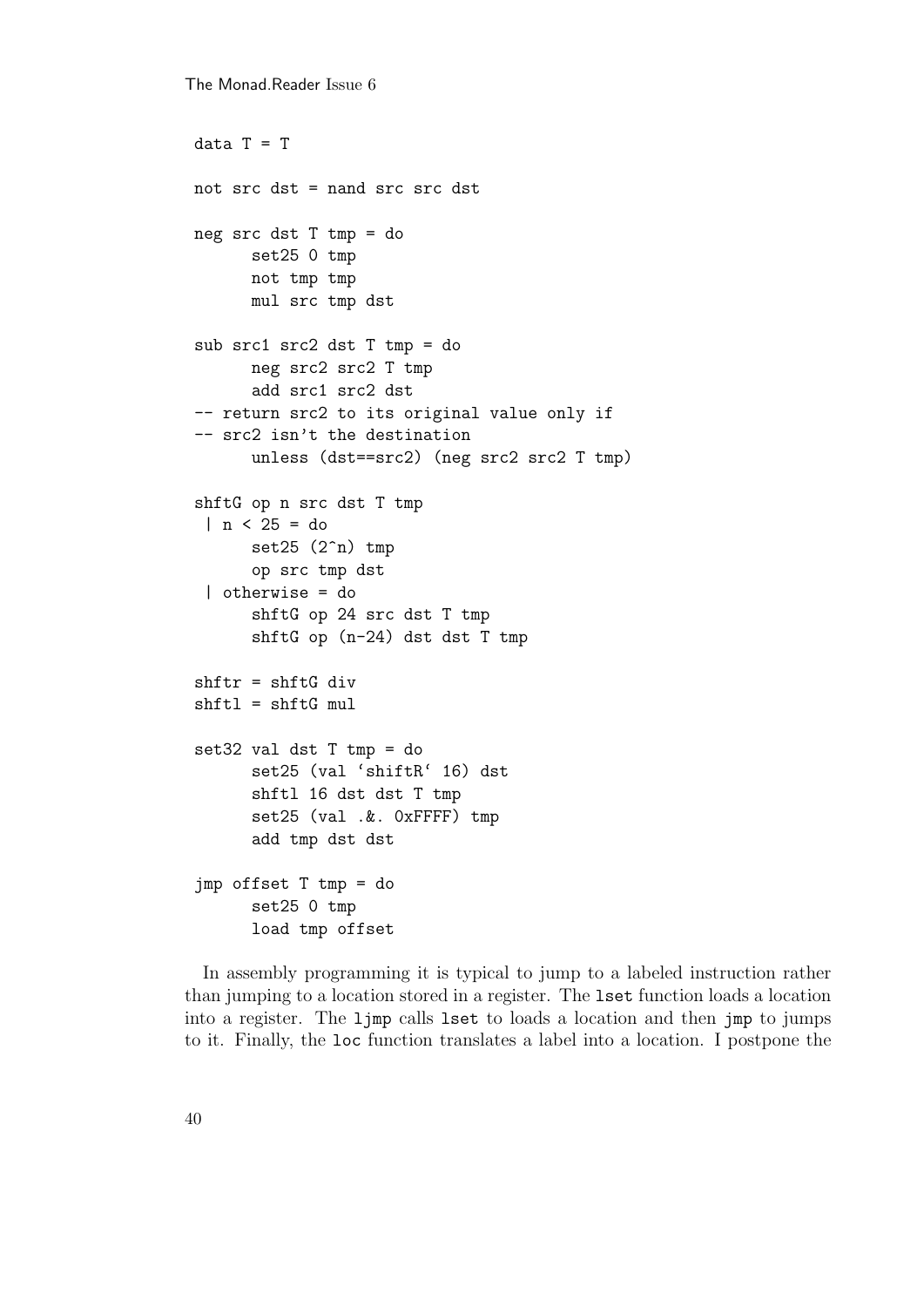```
data T = Tnot src dst = nand src src dst
neg src dst T tmp = do
      set25 0 tmp
      not tmp tmp
      mul src tmp dst
sub src1 src2 dst T tmp = do
      neg src2 src2 T tmp
      add src1 src2 dst
-- return src2 to its original value only if
-- src2 isn't the destination
      unless (dst==src2) (neg src2 src2 T tmp)
shftG op n src dst T tmp
 | n < 25 = do
      set25 (2<sup>h</sup>) tmp
      op src tmp dst
 | otherwise = do
      shftG op 24 src dst T tmp
      shftG op (n-24) dst dst T tmp
shftr = shftG div
shftl = shftG mul
set32 val dst T tmp = do
      set25 (val 'shiftR' 16) dst
      shftl 16 dst dst T tmp
      set25 (val .&. 0xFFFF) tmp
      add tmp dst dst
jmp offset T tmp = do
      set25 0 tmp
      load tmp offset
```
In assembly programming it is typical to jump to a labeled instruction rather than jumping to a location stored in a register. The lset function loads a location into a register. The ljmp calls lset to loads a location and then jmp to jumps to it. Finally, the loc function translates a label into a location. I postpone the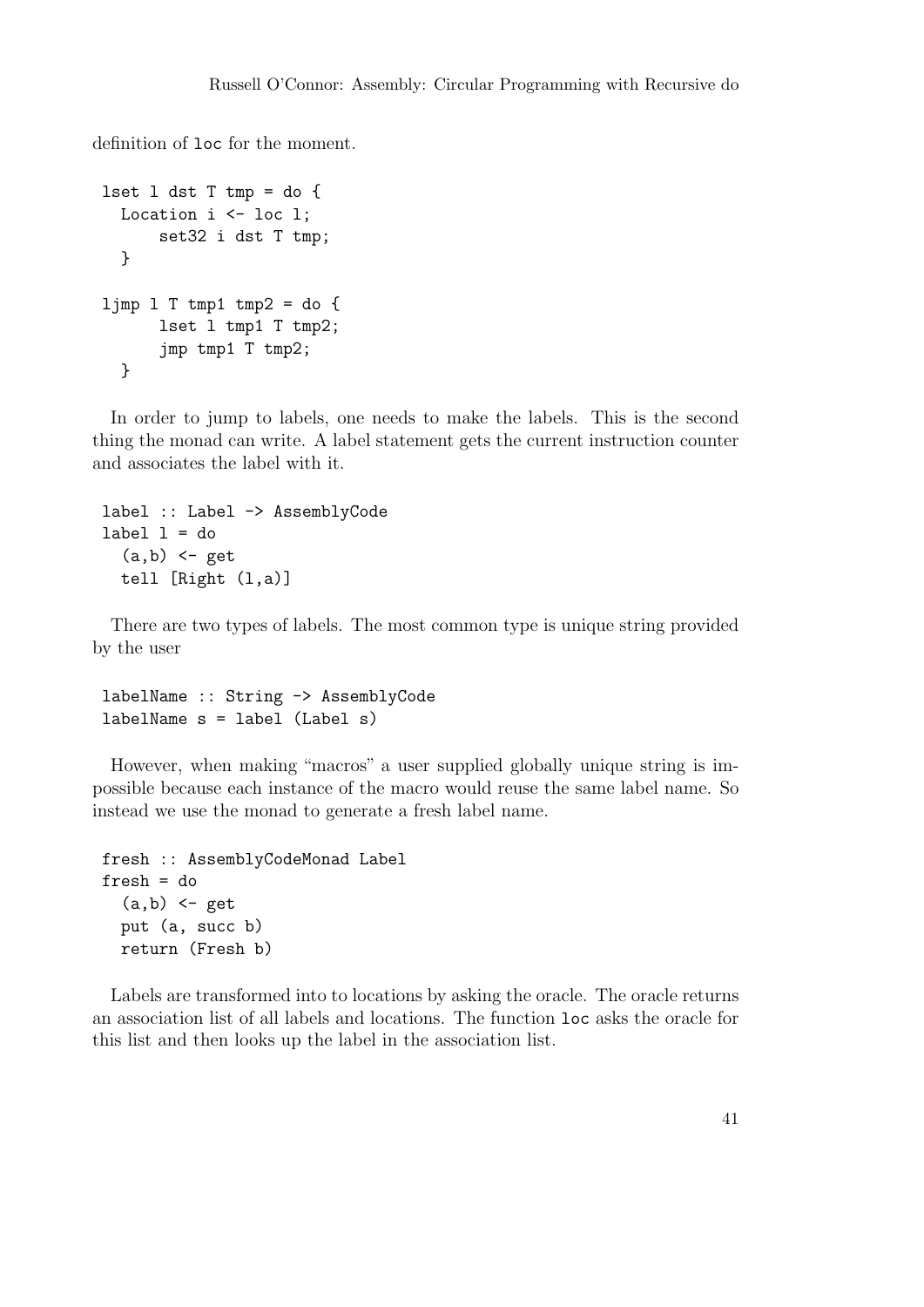definition of loc for the moment.

```
lset l dst T tmp = do \{Location i \leftarrow loc 1;
      set32 i dst T tmp;
  }
ljmp l T tmp1 tmp2 = do {
      lset l tmp1 T tmp2;
      jmp tmp1 T tmp2;
  }
```
In order to jump to labels, one needs to make the labels. This is the second thing the monad can write. A label statement gets the current instruction counter and associates the label with it.

```
label :: Label -> AssemblyCode
label 1 = do(a,b) <- get
 tell [Right (l,a)]
```
There are two types of labels. The most common type is unique string provided by the user

```
labelName :: String -> AssemblyCode
labelName s = label (Label s)
```
However, when making "macros" a user supplied globally unique string is impossible because each instance of the macro would reuse the same label name. So instead we use the monad to generate a fresh label name.

```
fresh :: AssemblyCodeMonad Label
fresh = do
  (a,b) <- get
 put (a, succ b)
 return (Fresh b)
```
Labels are transformed into to locations by asking the oracle. The oracle returns an association list of all labels and locations. The function loc asks the oracle for this list and then looks up the label in the association list.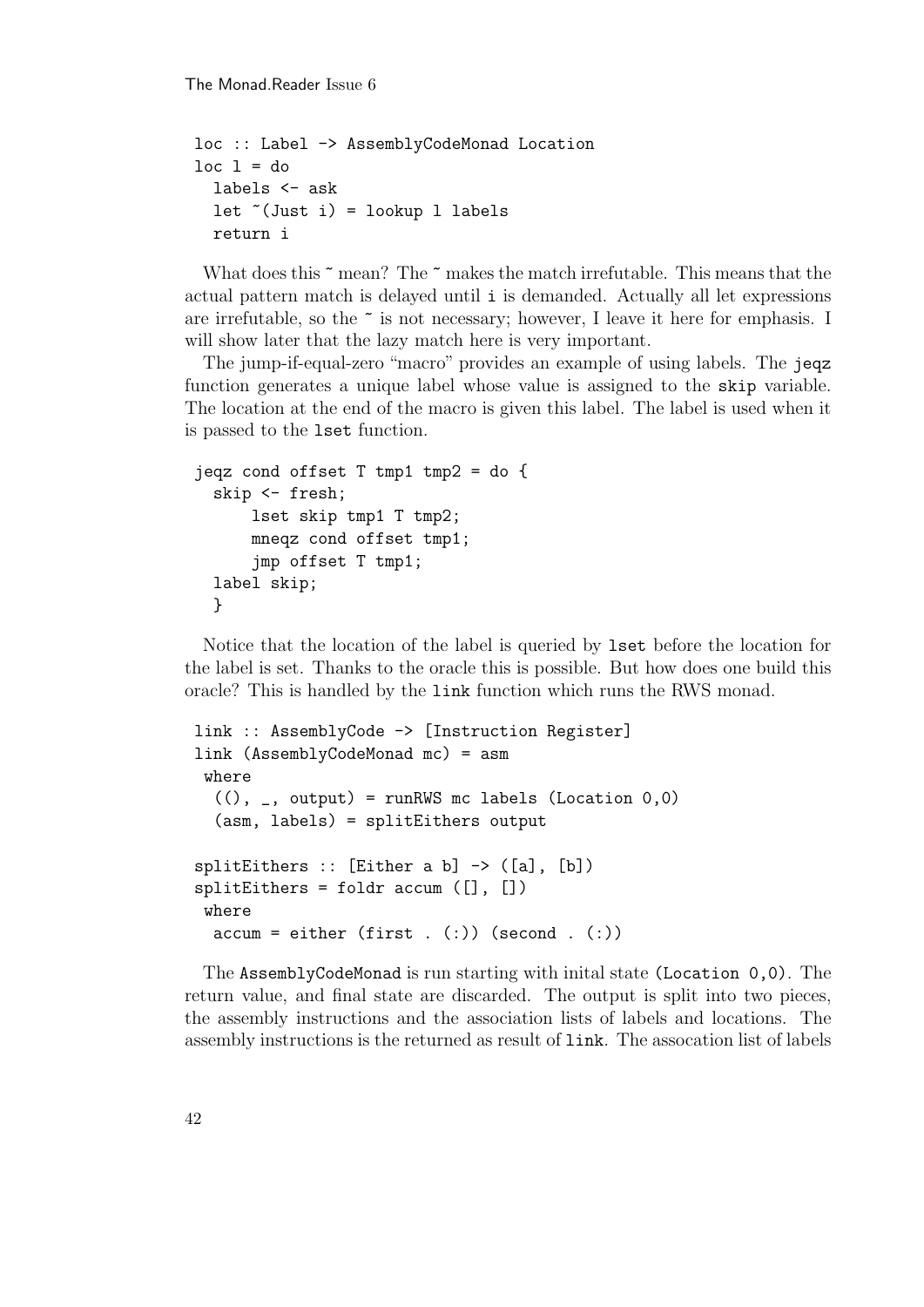```
loc :: Label -> AssemblyCodeMonad Location
loc 1 = dolabels <- ask
 let *(Just i) = lookup 1 labelsreturn i
```
What does this  $\tilde{\ }$  mean? The  $\tilde{\ }$  makes the match irrefutable. This means that the actual pattern match is delayed until i is demanded. Actually all let expressions are irrefutable, so the  $\tilde{\phantom{a}}$  is not necessary; however, I leave it here for emphasis. I will show later that the lazy match here is very important.

The jump-if-equal-zero "macro" provides an example of using labels. The jeqz function generates a unique label whose value is assigned to the skip variable. The location at the end of the macro is given this label. The label is used when it is passed to the lset function.

```
jeqz cond offset T tmp1 tmp2 = do {
 skip <- fresh;
      lset skip tmp1 T tmp2;
     mneqz cond offset tmp1;
      jmp offset T tmp1;
 label skip;
 }
```
Notice that the location of the label is queried by lset before the location for the label is set. Thanks to the oracle this is possible. But how does one build this oracle? This is handled by the link function which runs the RWS monad.

```
link :: AssemblyCode -> [Instruction Register]
link (AssemblyCodeMonad mc) = asm
 where
  ((), _{-}, output) = runRWS mc labels (Location 0,0)
  (asm, labels) = splitEithers output
splitEithers :: [Either a b] \rightarrow ([a], [b])
splitEtthers = foldr accum ([], [])where
  \text{accum} = \text{either (first . (:)}) (\text{second . } (:) )
```
The AssemblyCodeMonad is run starting with inital state (Location 0,0). The return value, and final state are discarded. The output is split into two pieces, the assembly instructions and the association lists of labels and locations. The assembly instructions is the returned as result of link. The assocation list of labels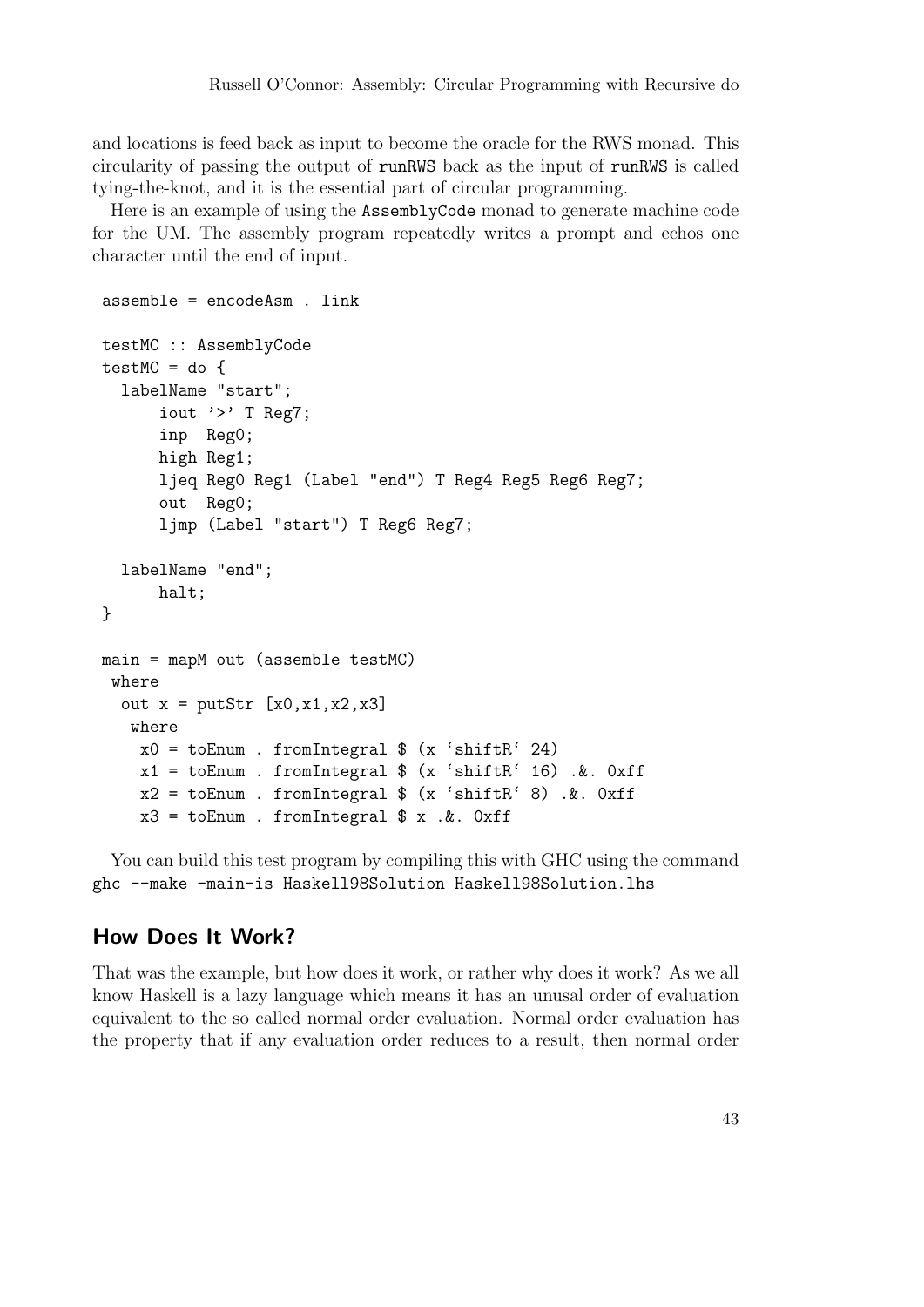and locations is feed back as input to become the oracle for the RWS monad. This circularity of passing the output of runRWS back as the input of runRWS is called tying-the-knot, and it is the essential part of circular programming.

Here is an example of using the AssemblyCode monad to generate machine code for the UM. The assembly program repeatedly writes a prompt and echos one character until the end of input.

```
assemble = encodeAsm . link
testMC :: AssemblyCode
testMC = do \{labelName "start";
       iout '>' T Reg7;
      inp Reg0;
      high Reg1;
      ljeq Reg0 Reg1 (Label "end") T Reg4 Reg5 Reg6 Reg7;
       out Reg0;
       ljmp (Label "start") T Reg6 Reg7;
  labelName "end";
      halt;
}
main = mapM out (assemble testMC)
 where
  out x = putStr [x0, x1, x2, x3]
   where
    x0 = \text{toEnum}. fromIntegral \frac{1}{2} (x 'shiftR' 24)
    x1 = \text{toEnum}. fromIntegral \frac{1}{2} (x 'shiftR' 16) .&. Oxff
    x2 = \text{toEnum}. fromIntegral \frac{1}{2} (x 'shiftR' 8) .&. Oxff
    x3 = \text{toEnum}. fromIntegral x \cdot x. 0xff
```
You can build this test program by compiling this with GHC using the command ghc --make -main-is Haskell98Solution Haskell98Solution.lhs

#### How Does It Work?

That was the example, but how does it work, or rather why does it work? As we all know Haskell is a lazy language which means it has an unusal order of evaluation equivalent to the so called normal order evaluation. Normal order evaluation has the property that if any evaluation order reduces to a result, then normal order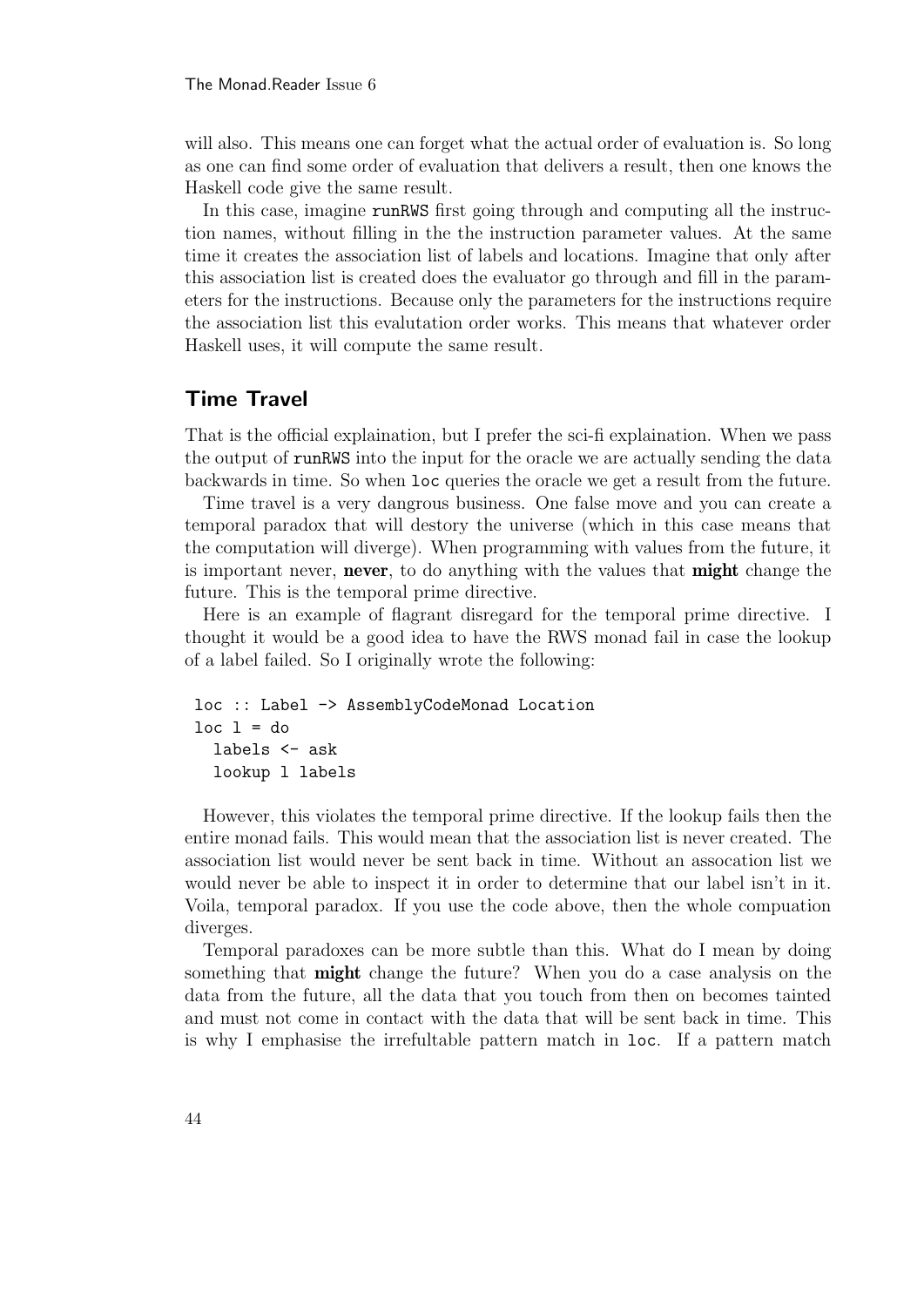will also. This means one can forget what the actual order of evaluation is. So long as one can find some order of evaluation that delivers a result, then one knows the Haskell code give the same result.

In this case, imagine runRWS first going through and computing all the instruction names, without filling in the the instruction parameter values. At the same time it creates the association list of labels and locations. Imagine that only after this association list is created does the evaluator go through and fill in the parameters for the instructions. Because only the parameters for the instructions require the association list this evalutation order works. This means that whatever order Haskell uses, it will compute the same result.

#### Time Travel

That is the official explaination, but I prefer the sci-fi explaination. When we pass the output of runRWS into the input for the oracle we are actually sending the data backwards in time. So when loc queries the oracle we get a result from the future.

Time travel is a very dangrous business. One false move and you can create a temporal paradox that will destory the universe (which in this case means that the computation will diverge). When programming with values from the future, it is important never, never, to do anything with the values that **might** change the future. This is the temporal prime directive.

Here is an example of flagrant disregard for the temporal prime directive. I thought it would be a good idea to have the RWS monad fail in case the lookup of a label failed. So I originally wrote the following:

```
loc :: Label -> AssemblyCodeMonad Location
loc 1 = dolabels <- ask
 lookup l labels
```
However, this violates the temporal prime directive. If the lookup fails then the entire monad fails. This would mean that the association list is never created. The association list would never be sent back in time. Without an assocation list we would never be able to inspect it in order to determine that our label isn't in it. Voila, temporal paradox. If you use the code above, then the whole compuation diverges.

Temporal paradoxes can be more subtle than this. What do I mean by doing something that **might** change the future? When you do a case analysis on the data from the future, all the data that you touch from then on becomes tainted and must not come in contact with the data that will be sent back in time. This is why I emphasise the irrefultable pattern match in loc. If a pattern match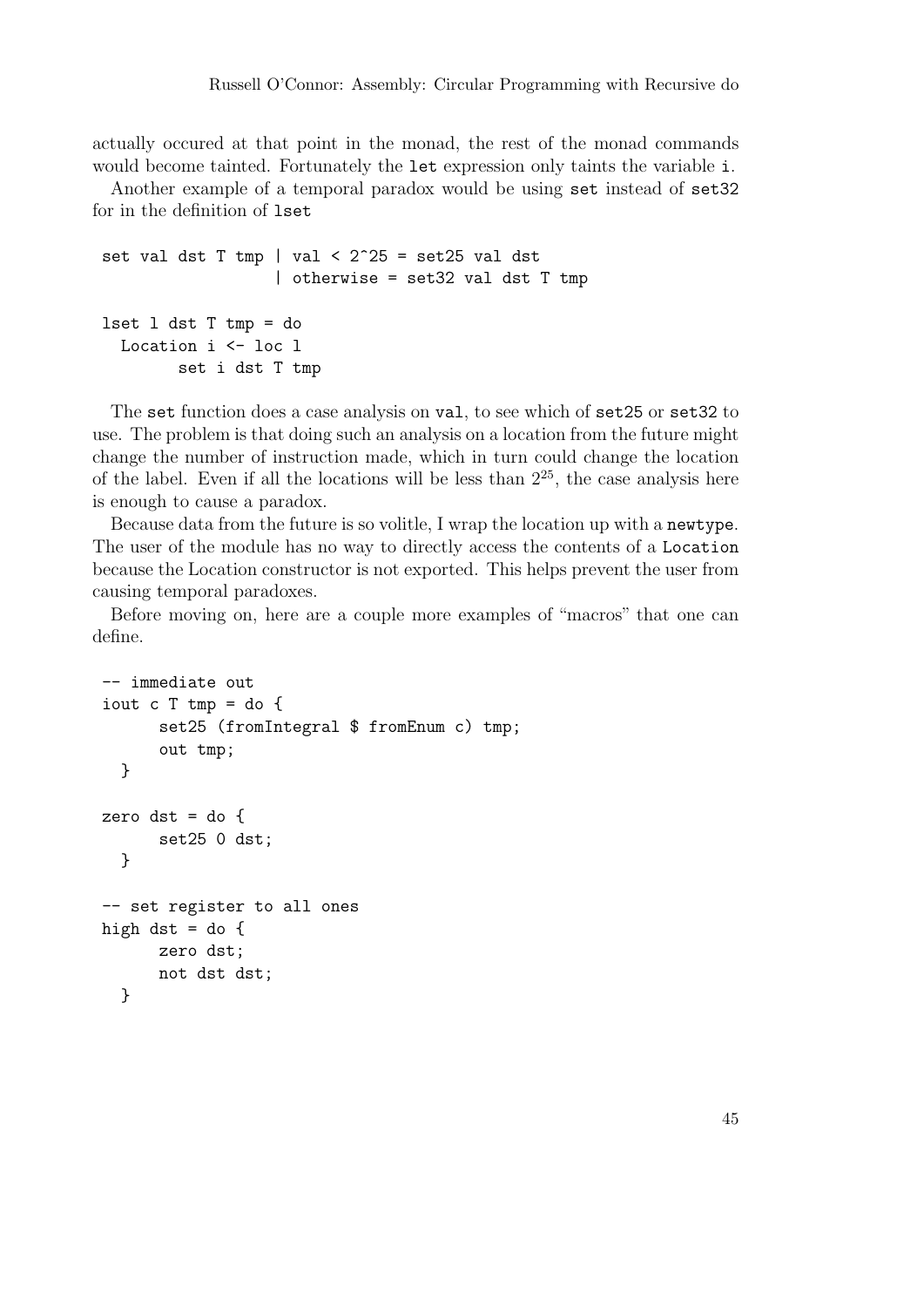actually occured at that point in the monad, the rest of the monad commands would become tainted. Fortunately the let expression only taints the variable i.

Another example of a temporal paradox would be using set instead of set32 for in the definition of lset

```
set val dst T tmp | val < 2^25 = set25 val dst
                  | otherwise = set32 val dst T tmp
lset l dst T tmp = do
 Location i <- loc l
        set i dst T tmp
```
The set function does a case analysis on val, to see which of set25 or set32 to use. The problem is that doing such an analysis on a location from the future might change the number of instruction made, which in turn could change the location of the label. Even if all the locations will be less than  $2^{25}$ , the case analysis here is enough to cause a paradox.

Because data from the future is so volitle, I wrap the location up with a newtype. The user of the module has no way to directly access the contents of a Location because the Location constructor is not exported. This helps prevent the user from causing temporal paradoxes.

Before moving on, here are a couple more examples of "macros" that one can define.

```
-- immediate out
iout c T tmp = do {
      set25 (fromIntegral $ fromEnum c) tmp;
      out tmp;
  }
zero dst = do \{set25 0 dst;
 }
-- set register to all ones
high dst = do {
      zero dst;
      not dst dst;
  }
```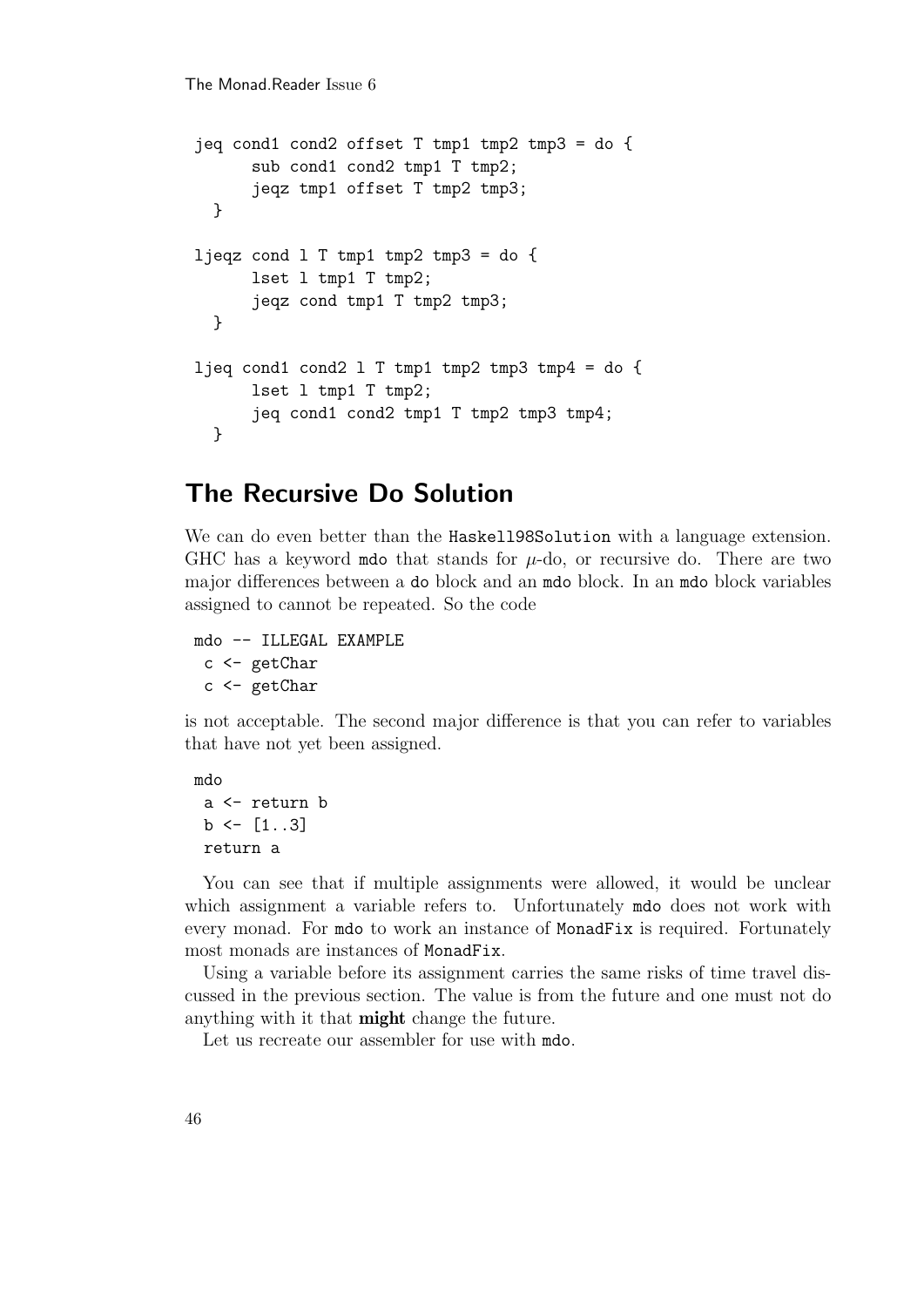```
jeq cond1 cond2 offset T tmp1 tmp2 tmp3 = do {
      sub cond1 cond2 tmp1 T tmp2;
      jeqz tmp1 offset T tmp2 tmp3;
 }
ljeqz cond l T tmp1 tmp2 tmp3 = do {
      lset l tmp1 T tmp2;
      jeqz cond tmp1 T tmp2 tmp3;
 }
ljeq cond1 cond2 l T tmp1 tmp2 tmp3 tmp4 = do {
      lset l tmp1 T tmp2;
      jeq cond1 cond2 tmp1 T tmp2 tmp3 tmp4;
 }
```
#### The Recursive Do Solution

We can do even better than the Haskell98Solution with a language extension. GHC has a keyword mdo that stands for  $\mu$ -do, or recursive do. There are two major differences between a do block and an mdo block. In an mdo block variables assigned to cannot be repeated. So the code

```
mdo -- ILLEGAL EXAMPLE
 c <- getChar
 c <- getChar
```
is not acceptable. The second major difference is that you can refer to variables that have not yet been assigned.

```
mdo
 a <- return b
 b \leq 1.3return a
```
You can see that if multiple assignments were allowed, it would be unclear which assignment a variable refers to. Unfortunately mdo does not work with every monad. For mdo to work an instance of MonadFix is required. Fortunately most monads are instances of MonadFix.

Using a variable before its assignment carries the same risks of time travel discussed in the previous section. The value is from the future and one must not do anything with it that might change the future.

Let us recreate our assembler for use with mdo.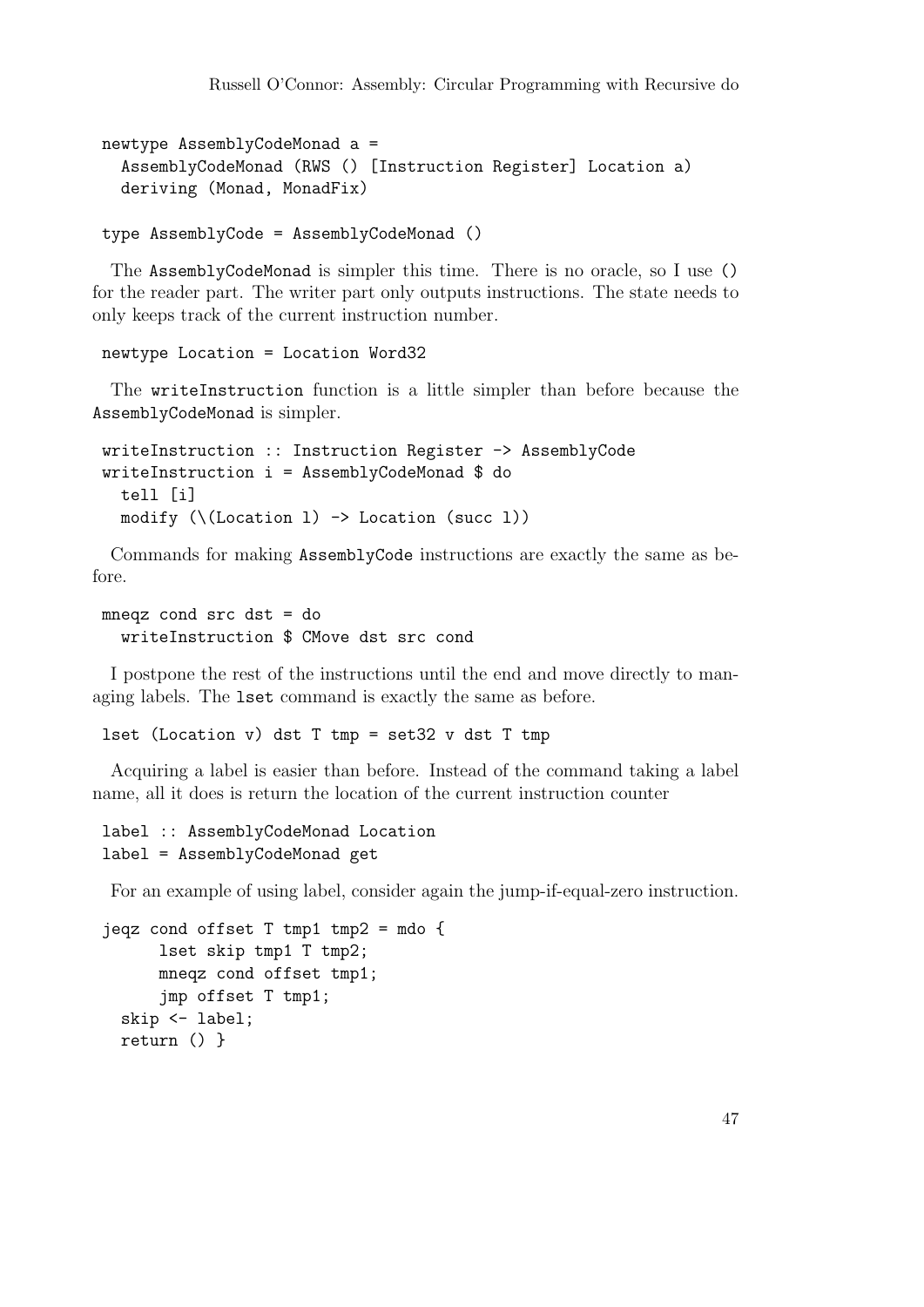```
newtype AssemblyCodeMonad a =
 AssemblyCodeMonad (RWS () [Instruction Register] Location a)
 deriving (Monad, MonadFix)
```

```
type AssemblyCode = AssemblyCodeMonad ()
```
The AssemblyCodeMonad is simpler this time. There is no oracle, so I use () for the reader part. The writer part only outputs instructions. The state needs to only keeps track of the current instruction number.

```
newtype Location = Location Word32
```
The writeInstruction function is a little simpler than before because the AssemblyCodeMonad is simpler.

```
writeInstruction :: Instruction Register -> AssemblyCode
writeInstruction i = AssemblyCodeMonad $ do
  tell [i]
  modify (\text{Location 1}) \rightarrow \text{Location (succ 1)})
```
Commands for making AssemblyCode instructions are exactly the same as before.

```
mneqz cond src dst = do
  writeInstruction $ CMove dst src cond
```
I postpone the rest of the instructions until the end and move directly to managing labels. The lset command is exactly the same as before.

```
lset (Location v) dst T tmp = set32 v dst T tmp
```
Acquiring a label is easier than before. Instead of the command taking a label name, all it does is return the location of the current instruction counter

```
label :: AssemblyCodeMonad Location
label = AssemblyCodeMonad get
```
For an example of using label, consider again the jump-if-equal-zero instruction.

```
jeqz cond offset T tmp1 tmp2 = mdo {
      lset skip tmp1 T tmp2;
      mneqz cond offset tmp1;
      jmp offset T tmp1;
  skip <- label;
  return () }
```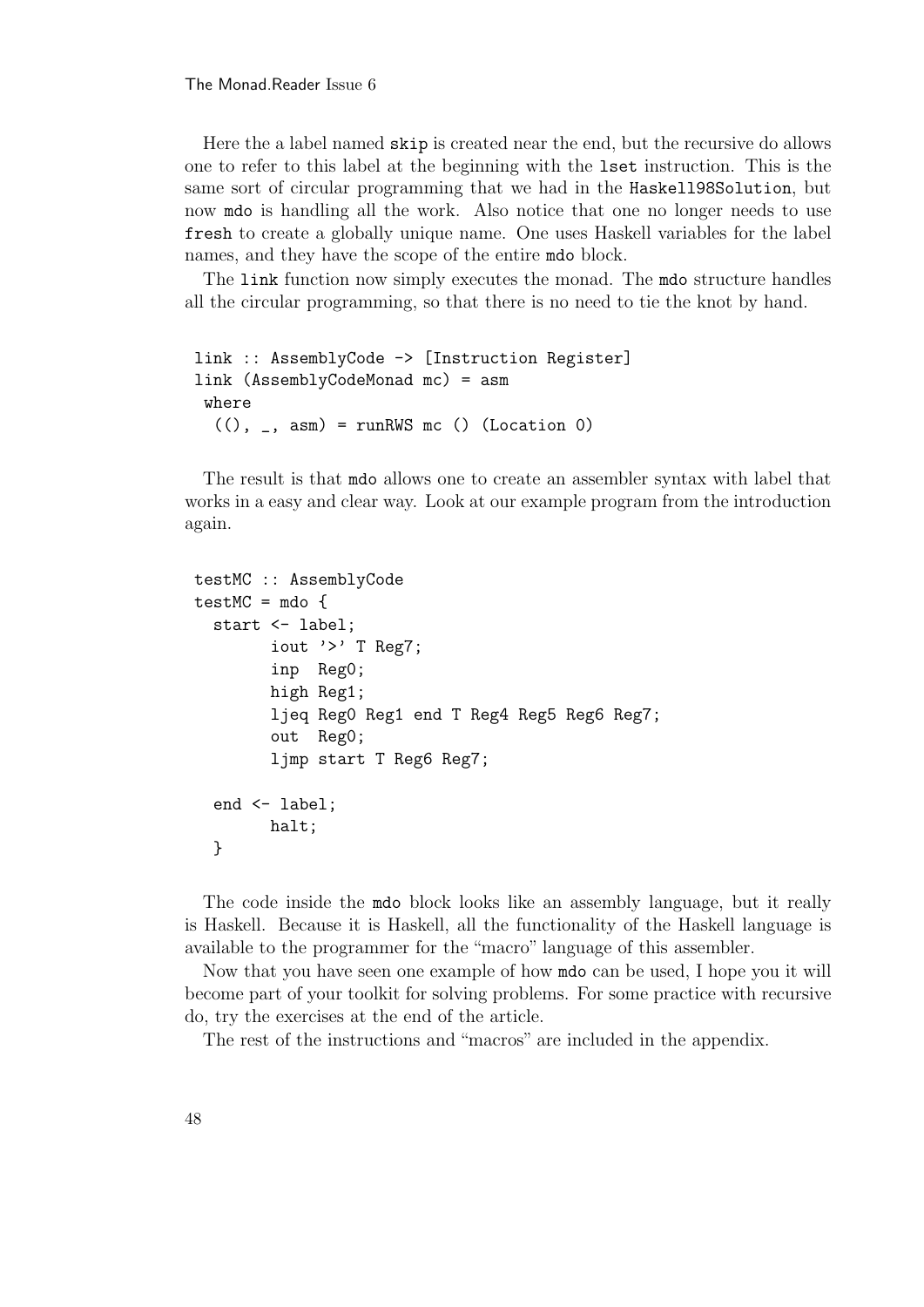Here the a label named skip is created near the end, but the recursive do allows one to refer to this label at the beginning with the lset instruction. This is the same sort of circular programming that we had in the Haskell98Solution, but now mdo is handling all the work. Also notice that one no longer needs to use fresh to create a globally unique name. One uses Haskell variables for the label names, and they have the scope of the entire mdo block.

The link function now simply executes the monad. The mdo structure handles all the circular programming, so that there is no need to tie the knot by hand.

```
link :: AssemblyCode -> [Instruction Register]
link (AssemblyCodeMonad mc) = asm
where
  ((), \Box, \Deltasm) = runRWS mc () (Location 0)
```
The result is that mdo allows one to create an assembler syntax with label that works in a easy and clear way. Look at our example program from the introduction again.

```
testMC :: AssemblyCode
testMC = \text{mdo} {
  start <- label;
        iout '>' T Reg7;
        inp Reg0;
        high Reg1;
        ljeq Reg0 Reg1 end T Reg4 Reg5 Reg6 Reg7;
        out Reg0;
        ljmp start T Reg6 Reg7;
  end <- label;
        halt;
  }
```
The code inside the mdo block looks like an assembly language, but it really is Haskell. Because it is Haskell, all the functionality of the Haskell language is available to the programmer for the "macro" language of this assembler.

Now that you have seen one example of how mdo can be used, I hope you it will become part of your toolkit for solving problems. For some practice with recursive do, try the exercises at the end of the article.

The rest of the instructions and "macros" are included in the appendix.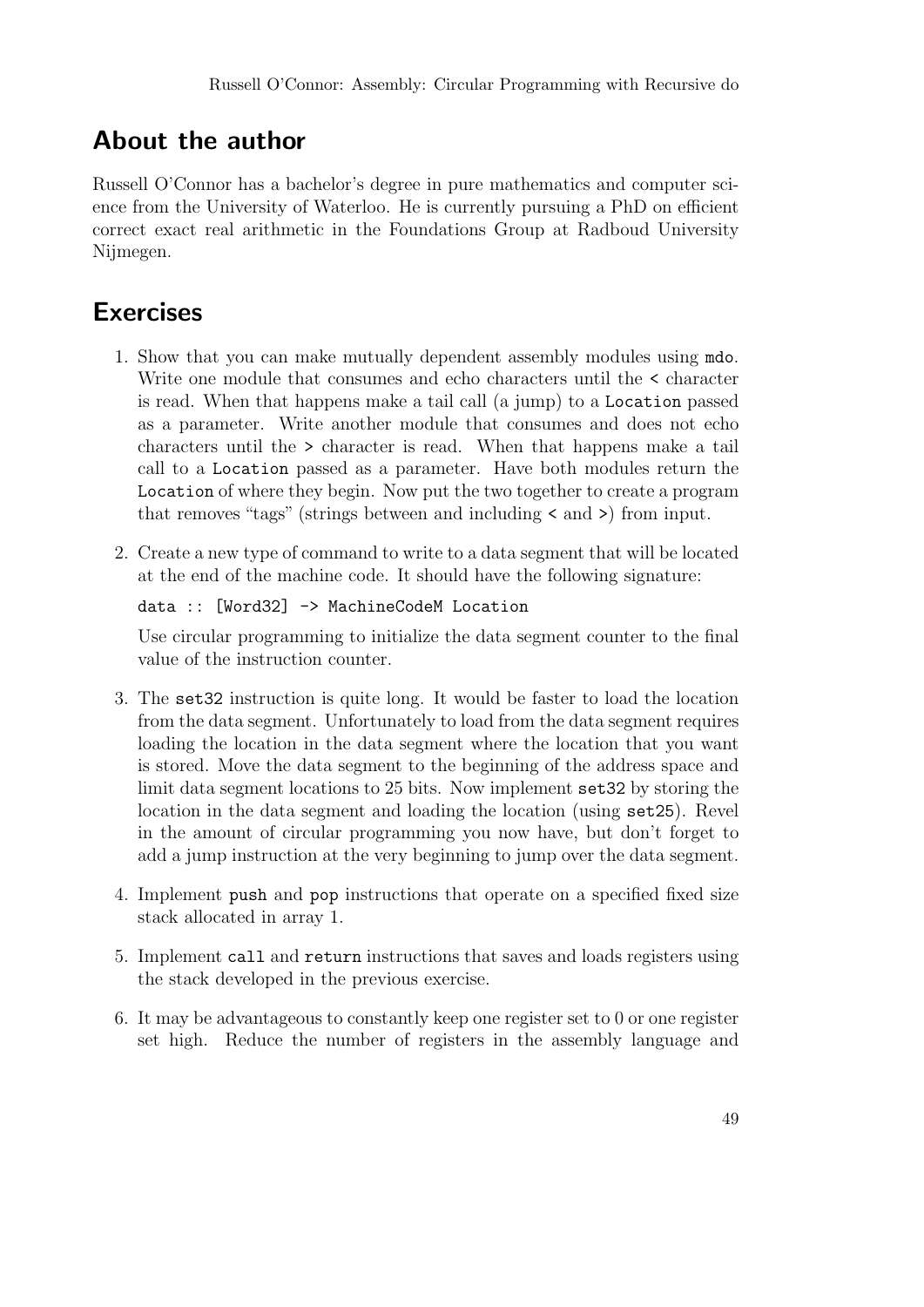### About the author

Russell O'Connor has a bachelor's degree in pure mathematics and computer science from the University of Waterloo. He is currently pursuing a PhD on efficient correct exact real arithmetic in the Foundations Group at Radboud University Nijmegen.

## **Exercises**

- 1. Show that you can make mutually dependent assembly modules using mdo. Write one module that consumes and echo characters until the  $\lt$  character is read. When that happens make a tail call (a jump) to a Location passed as a parameter. Write another module that consumes and does not echo characters until the > character is read. When that happens make a tail call to a Location passed as a parameter. Have both modules return the Location of where they begin. Now put the two together to create a program that removes "tags" (strings between and including < and >) from input.
- 2. Create a new type of command to write to a data segment that will be located at the end of the machine code. It should have the following signature:

data :: [Word32] -> MachineCodeM Location

Use circular programming to initialize the data segment counter to the final value of the instruction counter.

- 3. The set32 instruction is quite long. It would be faster to load the location from the data segment. Unfortunately to load from the data segment requires loading the location in the data segment where the location that you want is stored. Move the data segment to the beginning of the address space and limit data segment locations to 25 bits. Now implement set32 by storing the location in the data segment and loading the location (using set25). Revel in the amount of circular programming you now have, but don't forget to add a jump instruction at the very beginning to jump over the data segment.
- 4. Implement push and pop instructions that operate on a specified fixed size stack allocated in array 1.
- 5. Implement call and return instructions that saves and loads registers using the stack developed in the previous exercise.
- 6. It may be advantageous to constantly keep one register set to 0 or one register set high. Reduce the number of registers in the assembly language and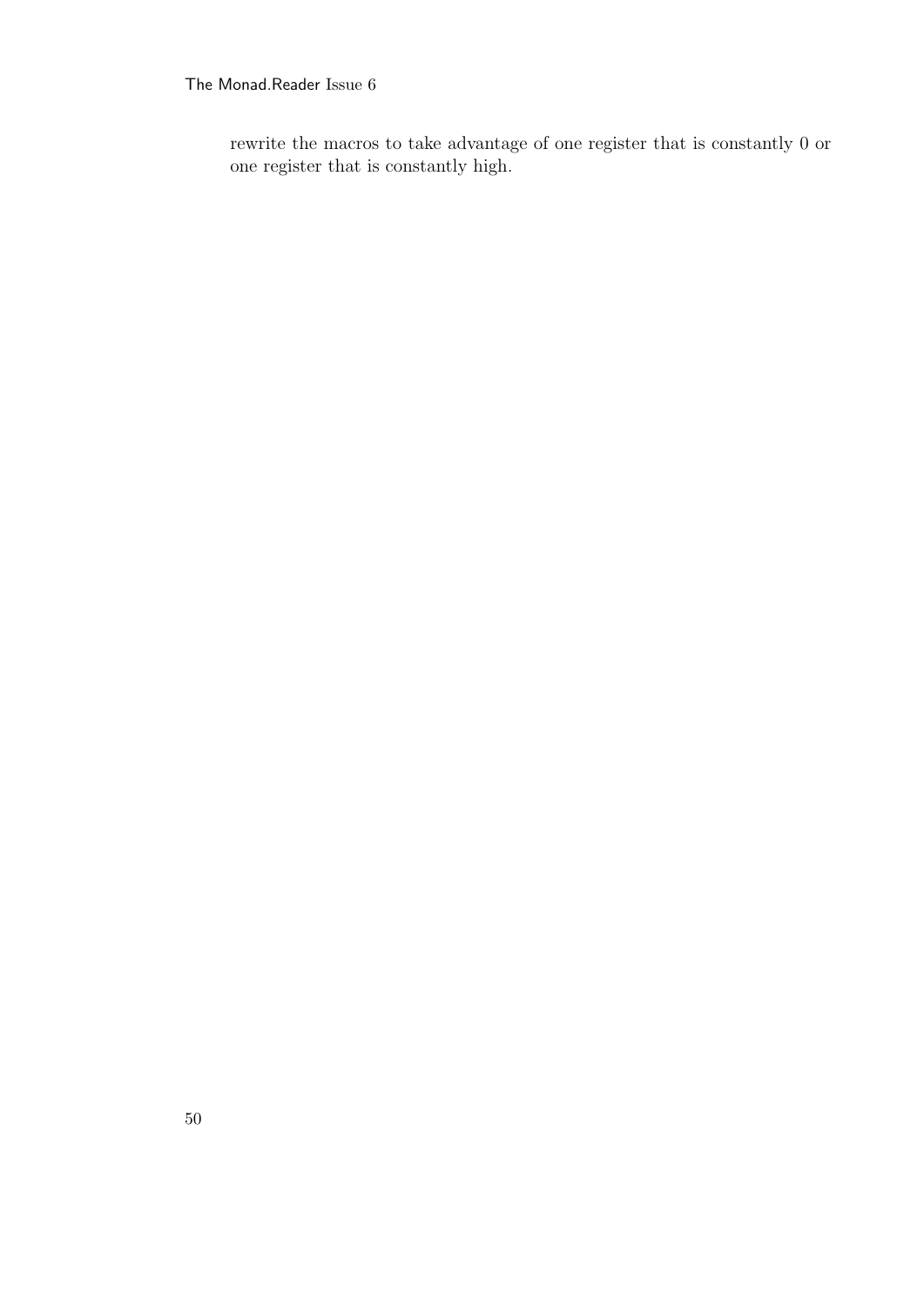rewrite the macros to take advantage of one register that is constantly 0 or one register that is constantly high.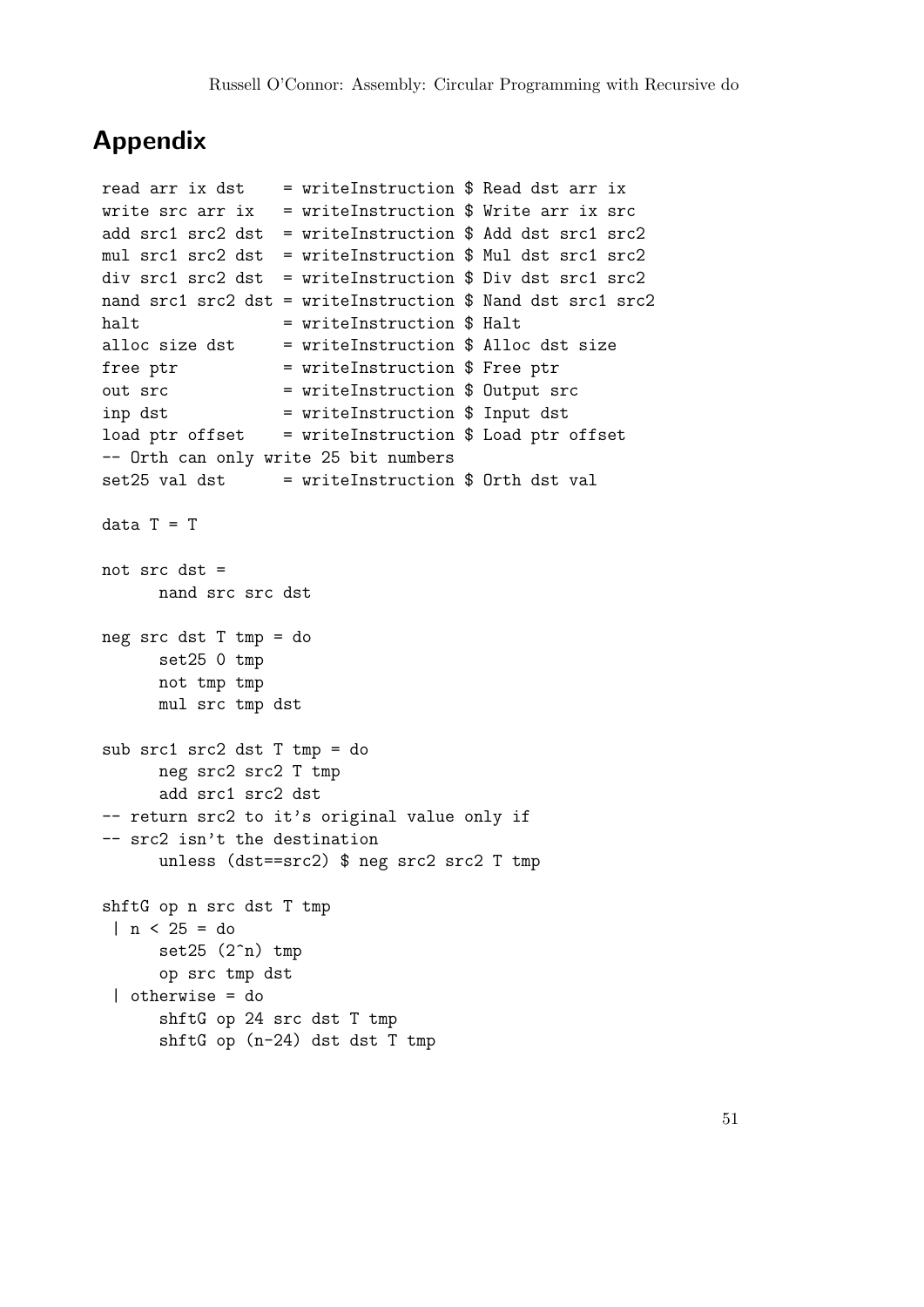### Appendix

```
read arr ix dst = writeInstruction $ Read dst arr ix
write src arr ix = writeInstruction $ Write arr ix src
add src1 src2 dst = writeInstruction $ Add dst src1 src2
mul src1 src2 dst = writeInstruction $ Mul dst src1 src2
div src1 src2 dst = writeInstruction $ Div dst src1 src2
nand src1 src2 dst = writeInstruction $ Nand dst src1 src2
halt = writeInstruction $ Halt
alloc size dst = writeInstruction $ Alloc dst size
free ptr = writeInstruction $ Free ptr
out src = writeInstruction $ Output src
inp dst = writeInstruction $ Input dst
load ptr offset = writeInstruction $ Load ptr offset
-- Orth can only write 25 bit numbers
set25 val dst = writeInstruction $ Orth dst val
data T = Tnot src dst =
     nand src src dst
neg src dst T tmp = do
     set25 0 tmp
     not tmp tmp
     mul src tmp dst
sub src1 src2 dst T tmp = do
     neg src2 src2 T tmp
     add src1 src2 dst
-- return src2 to it's original value only if
-- src2 isn't the destination
     unless (dst==src2) $ neg src2 src2 T tmp
shftG op n src dst T tmp
 | n < 25 = do
     set25 (2<sup>o</sup>n) tmp
     op src tmp dst
 | otherwise = do
     shftG op 24 src dst T tmp
     shftG op (n-24) dst dst T tmp
```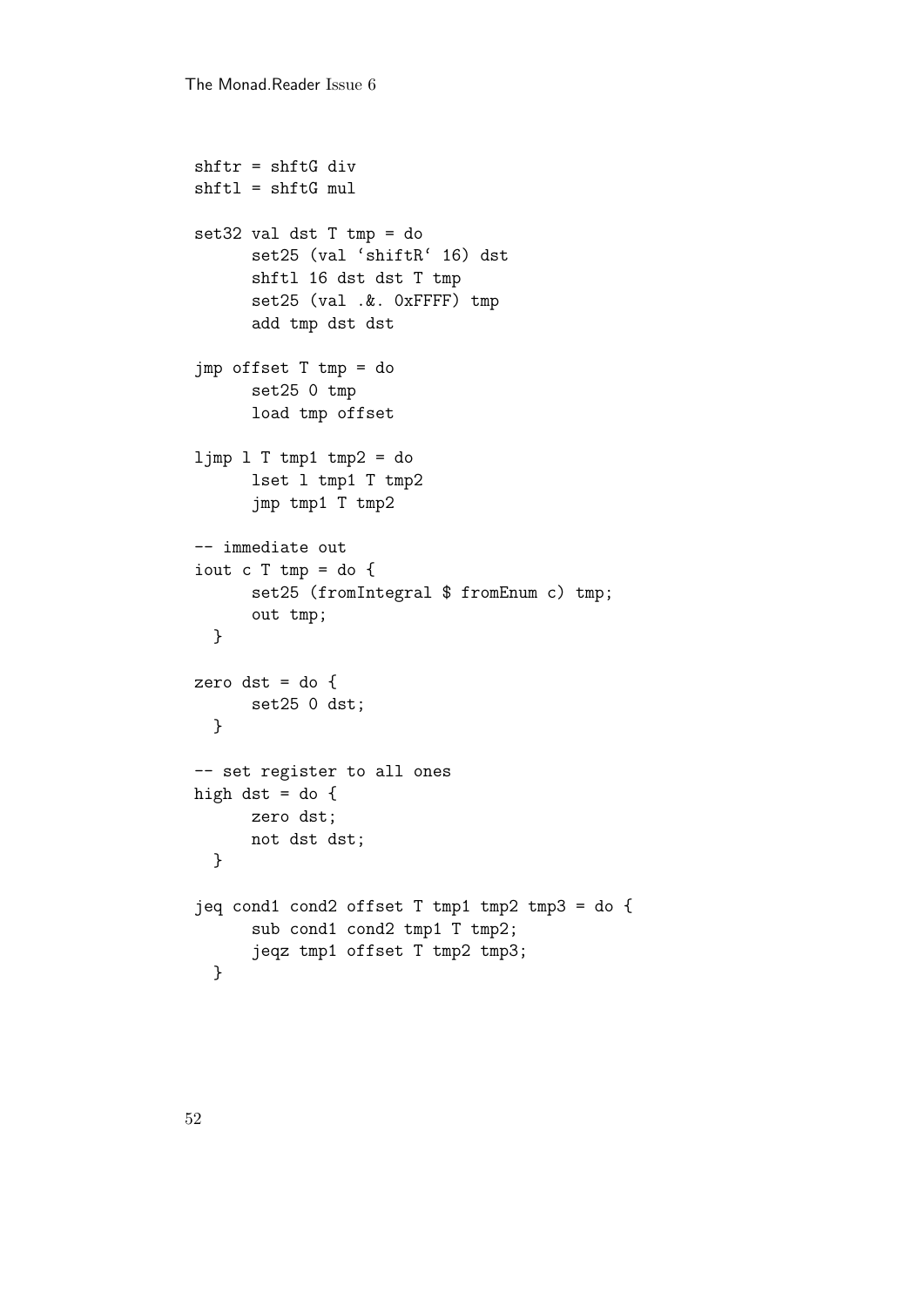```
shftr = shftG div
shftl = shftG mul
set32 val dst T tmp = do
      set25 (val 'shiftR' 16) dst
      shftl 16 dst dst T tmp
      set25 (val .&. 0xFFFF) tmp
      add tmp dst dst
jmp offset T tmp = do
      set25 0 tmp
      load tmp offset
ljmp l T tmp1 tmp2 = do
      lset l tmp1 T tmp2
      jmp tmp1 T tmp2
-- immediate out
iout c T tmp = do {
      set25 (fromIntegral $ fromEnum c) tmp;
      out tmp;
  }
zero dst = do {
      set25 0 dst;
  }
-- set register to all ones
high dst = do {
      zero dst;
      not dst dst;
  }
jeq cond1 cond2 offset T tmp1 tmp2 tmp3 = do {
      sub cond1 cond2 tmp1 T tmp2;
      jeqz tmp1 offset T tmp2 tmp3;
  }
```